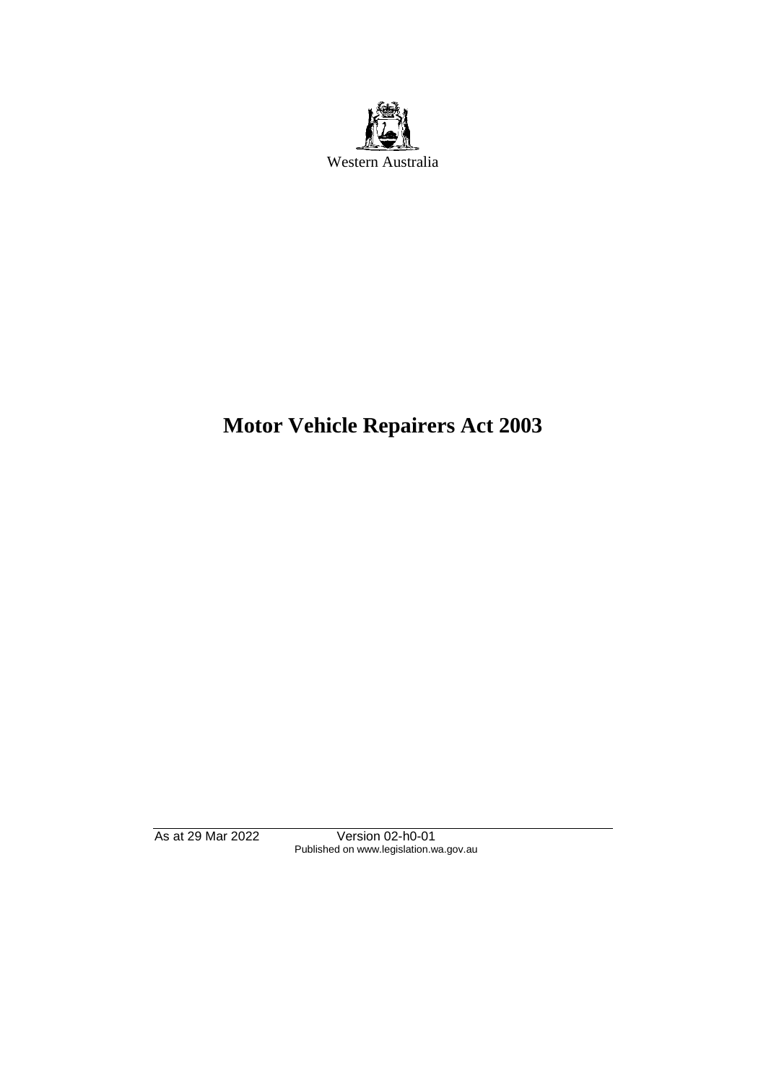

# **Motor Vehicle Repairers Act 2003**

As at 29 Mar 2022 Version 02-h0-01 Published on www.legislation.wa.gov.au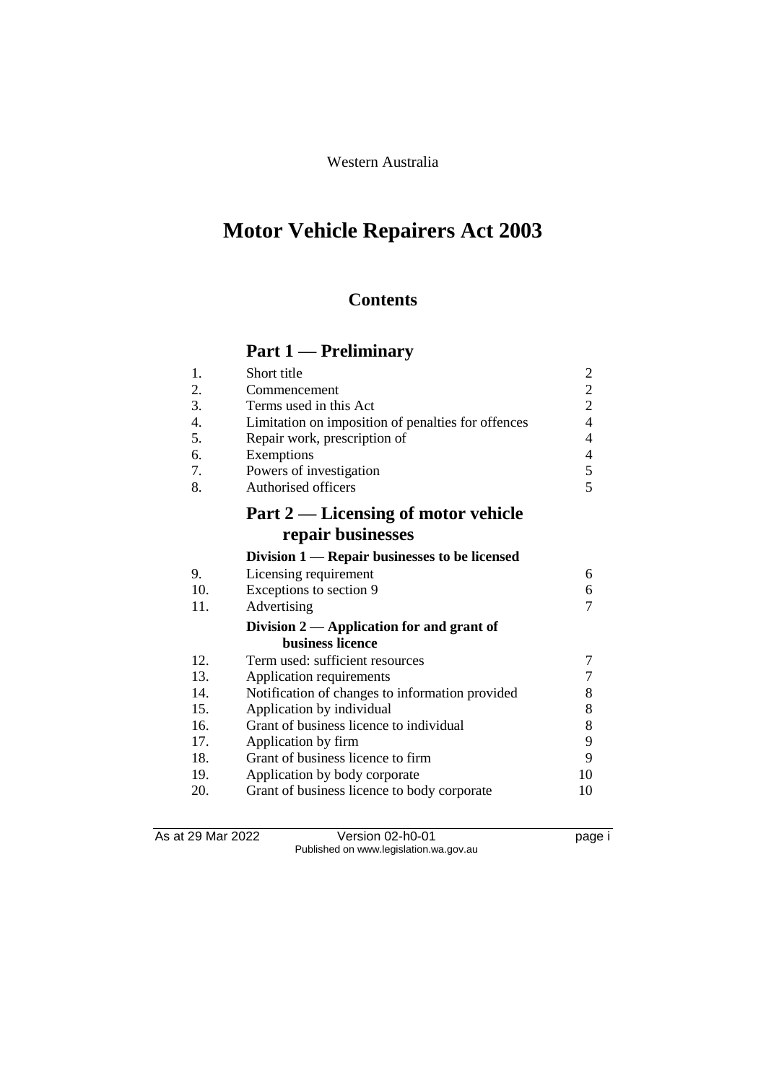Western Australia

# **Motor Vehicle Repairers Act 2003**

# **Contents**

# **Part 1 — Preliminary**

| 1.  | Short title                                        | $\overline{\mathbf{c}}$  |
|-----|----------------------------------------------------|--------------------------|
| 2.  | Commencement                                       | $\frac{2}{2}$            |
| 3.  | Terms used in this Act                             |                          |
| 4.  | Limitation on imposition of penalties for offences | $\overline{4}$           |
| 5.  | Repair work, prescription of                       | $\overline{\mathcal{A}}$ |
| 6.  | Exemptions                                         | $\overline{\mathcal{A}}$ |
| 7.  | Powers of investigation                            | 5                        |
| 8.  | <b>Authorised officers</b>                         | $\overline{5}$           |
|     | Part 2 — Licensing of motor vehicle                |                          |
|     | repair businesses                                  |                          |
|     | Division 1 — Repair businesses to be licensed      |                          |
| 9.  | Licensing requirement                              | 6                        |
| 10. | Exceptions to section 9                            | 6                        |
| 11. | Advertising                                        | 7                        |
|     | Division 2 — Application for and grant of          |                          |
|     | business licence                                   |                          |
| 12. | Term used: sufficient resources                    | 7                        |
| 13. | Application requirements                           | $\overline{7}$           |
| 14. | Notification of changes to information provided    | 8                        |
| 15. | Application by individual                          | 8                        |
| 16. | Grant of business licence to individual            | 8                        |
| 17. | Application by firm                                | 9                        |
| 18. | Grant of business licence to firm                  | 9                        |
| 19. | Application by body corporate                      | 10                       |
| 20. | Grant of business licence to body corporate        | 10                       |
|     |                                                    |                          |

As at 29 Mar 2022 Version 02-h0-01 page i Published on www.legislation.wa.gov.au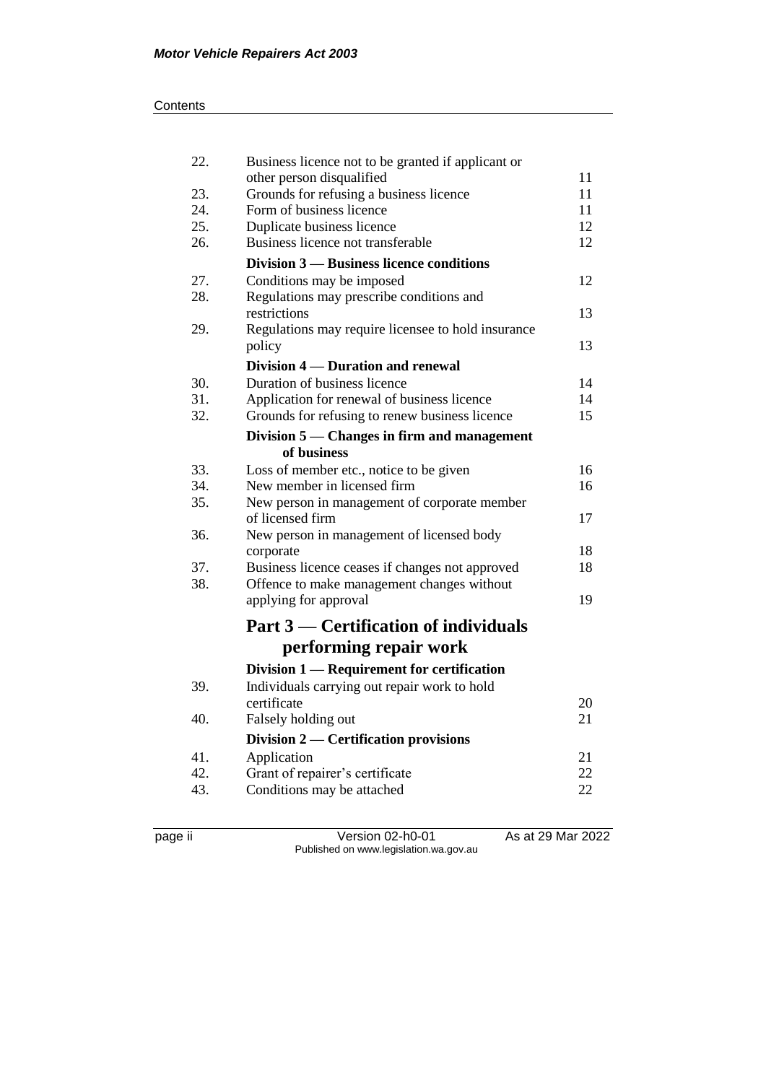#### **Contents**

| 22. | Business licence not to be granted if applicant or                     | 11 |
|-----|------------------------------------------------------------------------|----|
| 23. | other person disqualified<br>Grounds for refusing a business licence   | 11 |
| 24. | Form of business licence                                               | 11 |
| 25. | Duplicate business licence                                             | 12 |
| 26. | Business licence not transferable                                      | 12 |
|     | Division 3 – Business licence conditions                               |    |
| 27. | Conditions may be imposed                                              | 12 |
| 28. | Regulations may prescribe conditions and<br>restrictions               | 13 |
| 29. | Regulations may require licensee to hold insurance                     |    |
|     | policy                                                                 | 13 |
|     | Division 4 — Duration and renewal                                      |    |
| 30. | Duration of business licence                                           | 14 |
| 31. | Application for renewal of business licence                            | 14 |
| 32. | Grounds for refusing to renew business licence                         | 15 |
|     | Division 5 — Changes in firm and management<br>of business             |    |
| 33. |                                                                        | 16 |
| 34. | Loss of member etc., notice to be given<br>New member in licensed firm | 16 |
| 35. | New person in management of corporate member                           |    |
|     | of licensed firm                                                       | 17 |
| 36. | New person in management of licensed body                              |    |
|     | corporate                                                              | 18 |
| 37. | Business licence ceases if changes not approved                        | 18 |
| 38. | Offence to make management changes without                             |    |
|     | applying for approval                                                  | 19 |
|     | Part 3 — Certification of individuals                                  |    |
|     | performing repair work                                                 |    |
|     | Division 1 — Requirement for certification                             |    |
| 39. | Individuals carrying out repair work to hold                           |    |
|     | certificate                                                            | 20 |
| 40. | Falsely holding out                                                    | 21 |
|     | Division 2 — Certification provisions                                  |    |
| 41. | Application                                                            | 21 |
| 42. | Grant of repairer's certificate                                        | 22 |
| 43. | Conditions may be attached                                             | 22 |
|     |                                                                        |    |

page ii Version 02-h0-01 As at 29 Mar 2022 Published on www.legislation.wa.gov.au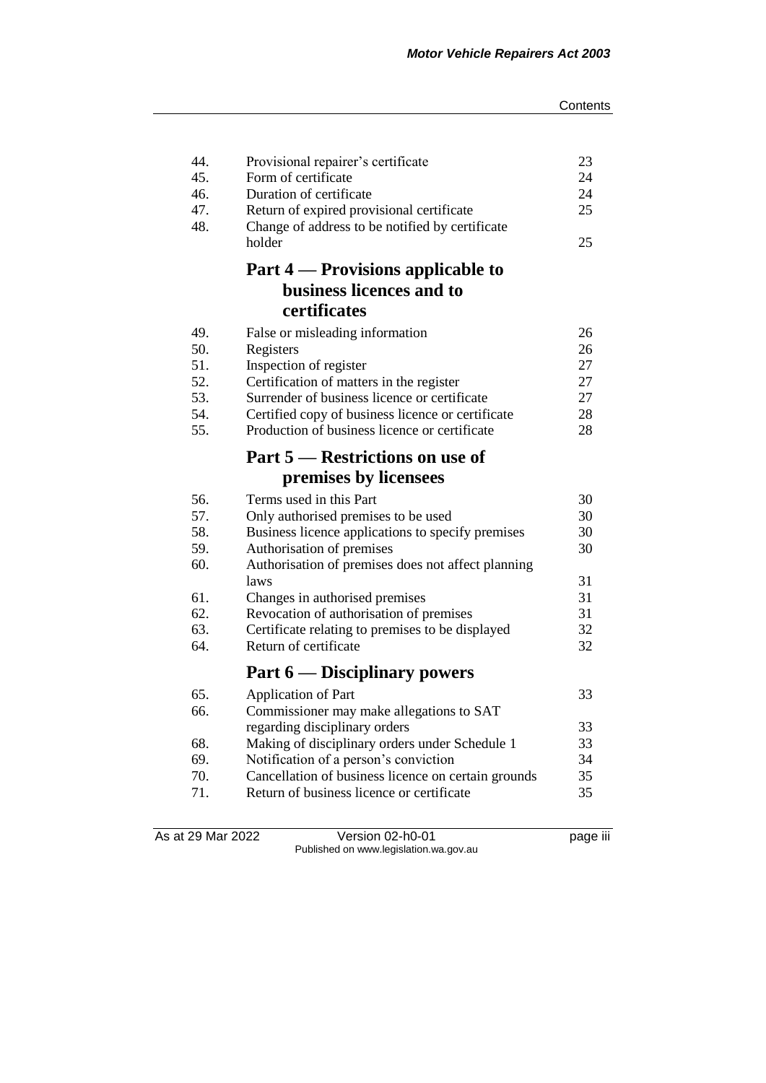| 44.<br>45.<br>46.<br>47.<br>48. | Provisional repairer's certificate<br>Form of certificate<br>Duration of certificate<br>Return of expired provisional certificate<br>Change of address to be notified by certificate<br>holder | 23<br>24<br>24<br>25<br>25 |
|---------------------------------|------------------------------------------------------------------------------------------------------------------------------------------------------------------------------------------------|----------------------------|
|                                 | Part 4 — Provisions applicable to                                                                                                                                                              |                            |
|                                 | business licences and to                                                                                                                                                                       |                            |
|                                 | certificates                                                                                                                                                                                   |                            |
| 49.                             | False or misleading information                                                                                                                                                                | 26                         |
| 50.                             | Registers                                                                                                                                                                                      | 26                         |
| 51.                             | Inspection of register                                                                                                                                                                         | 27                         |
| 52.                             | Certification of matters in the register                                                                                                                                                       | 27                         |
| 53.                             | Surrender of business licence or certificate                                                                                                                                                   | 27                         |
| 54.                             | Certified copy of business licence or certificate                                                                                                                                              | 28                         |
| 55.                             | Production of business licence or certificate                                                                                                                                                  | 28                         |
|                                 | Part 5 — Restrictions on use of                                                                                                                                                                |                            |
|                                 | premises by licensees                                                                                                                                                                          |                            |
| 56.                             | Terms used in this Part                                                                                                                                                                        | 30                         |
| 57.                             | Only authorised premises to be used                                                                                                                                                            | 30                         |
| 58.                             | Business licence applications to specify premises                                                                                                                                              | 30                         |
| 59.                             | Authorisation of premises                                                                                                                                                                      | 30                         |
| 60.                             | Authorisation of premises does not affect planning                                                                                                                                             |                            |
|                                 | laws                                                                                                                                                                                           | 31                         |
| 61.                             | Changes in authorised premises                                                                                                                                                                 | 31                         |
| 62.                             | Revocation of authorisation of premises                                                                                                                                                        | 31                         |
| 63.                             | Certificate relating to premises to be displayed                                                                                                                                               | 32                         |
| 64.                             | Return of certificate                                                                                                                                                                          | 32                         |
|                                 | Part 6 — Disciplinary powers                                                                                                                                                                   |                            |
| 65.                             | <b>Application of Part</b>                                                                                                                                                                     | 33                         |
| 66.                             | Commissioner may make allegations to SAT                                                                                                                                                       |                            |
|                                 | regarding disciplinary orders                                                                                                                                                                  | 33                         |
| 68.                             | Making of disciplinary orders under Schedule 1                                                                                                                                                 | 33                         |
| 69.                             | Notification of a person's conviction                                                                                                                                                          | 34                         |
| 70.                             | Cancellation of business licence on certain grounds                                                                                                                                            | 35                         |
| 71.                             | Return of business licence or certificate                                                                                                                                                      | 35                         |
|                                 |                                                                                                                                                                                                |                            |

As at 29 Mar 2022 Version 02-h0-01 page iii Published on www.legislation.wa.gov.au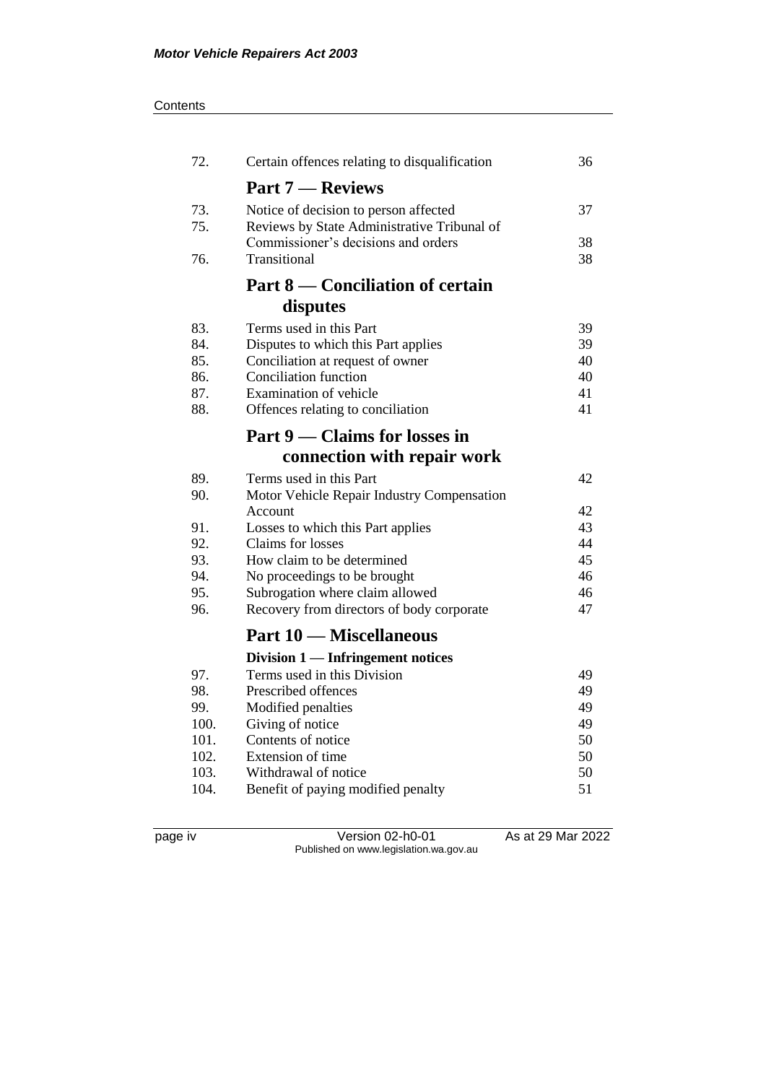#### **Contents**

| 72.  | Certain offences relating to disqualification | 36 |
|------|-----------------------------------------------|----|
|      | <b>Part 7 — Reviews</b>                       |    |
| 73.  | Notice of decision to person affected         | 37 |
| 75.  | Reviews by State Administrative Tribunal of   |    |
|      | Commissioner's decisions and orders           | 38 |
| 76.  | Transitional                                  | 38 |
|      | Part 8 — Conciliation of certain              |    |
|      | disputes                                      |    |
| 83.  | Terms used in this Part                       | 39 |
| 84.  | Disputes to which this Part applies           | 39 |
| 85.  | Conciliation at request of owner              | 40 |
| 86.  | <b>Conciliation function</b>                  | 40 |
| 87.  | Examination of vehicle                        | 41 |
| 88.  | Offences relating to conciliation             | 41 |
|      | Part 9 — Claims for losses in                 |    |
|      | connection with repair work                   |    |
| 89.  | Terms used in this Part                       | 42 |
| 90.  | Motor Vehicle Repair Industry Compensation    |    |
|      | Account                                       | 42 |
| 91.  | Losses to which this Part applies             | 43 |
| 92.  | Claims for losses                             | 44 |
| 93.  | How claim to be determined                    | 45 |
| 94.  | No proceedings to be brought                  | 46 |
| 95.  | Subrogation where claim allowed               | 46 |
| 96.  | Recovery from directors of body corporate     | 47 |
|      | <b>Part 10 – Miscellaneous</b>                |    |
|      | Division $1$ — Infringement notices           |    |
| 97.  | Terms used in this Division                   | 49 |
| 98.  | Prescribed offences                           | 49 |
| 99.  | Modified penalties                            | 49 |
| 100. | Giving of notice                              | 49 |
| 101. | Contents of notice                            | 50 |
| 102. | Extension of time                             | 50 |
| 103. | Withdrawal of notice                          | 50 |
| 104. | Benefit of paying modified penalty            | 51 |

page iv Version 02-h0-01 As at 29 Mar 2022 Published on www.legislation.wa.gov.au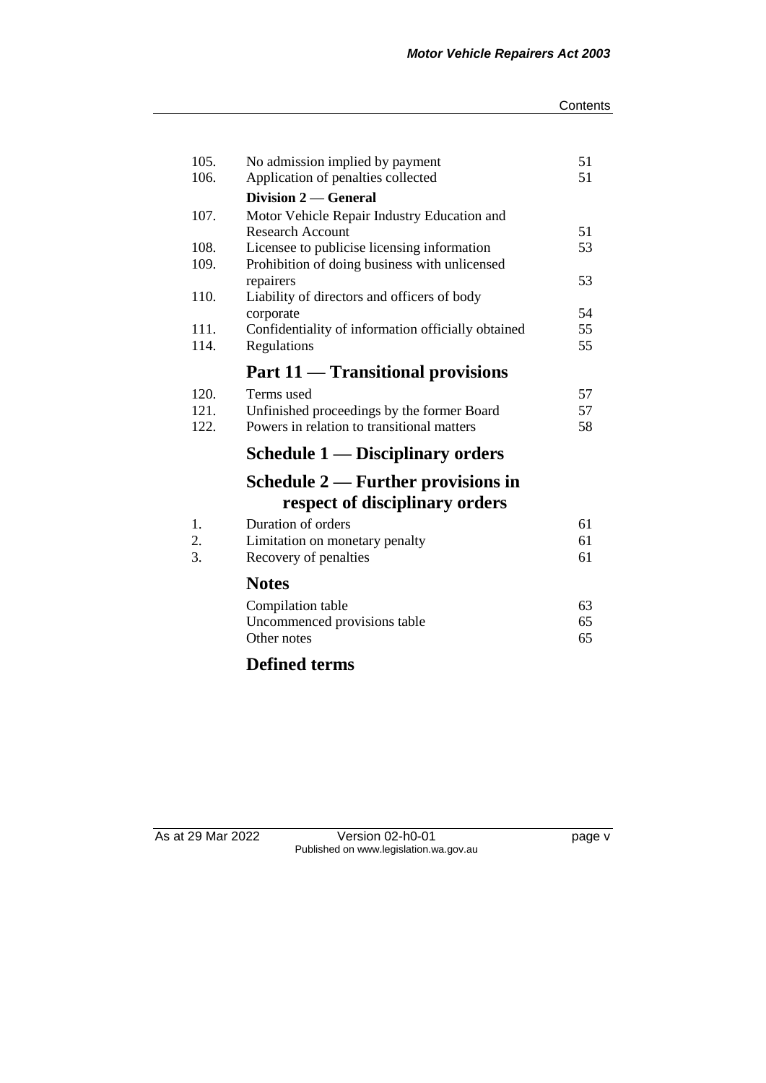#### **Contents**

| 105. | No admission implied by payment                                 | 51       |
|------|-----------------------------------------------------------------|----------|
| 106. | Application of penalties collected                              | 51       |
|      | Division 2 — General                                            |          |
| 107. | Motor Vehicle Repair Industry Education and                     |          |
|      | <b>Research Account</b>                                         | 51       |
| 108. | Licensee to publicise licensing information                     | 53       |
| 109. | Prohibition of doing business with unlicensed                   |          |
|      | repairers                                                       | 53       |
| 110. | Liability of directors and officers of body                     |          |
| 111. | corporate<br>Confidentiality of information officially obtained | 54<br>55 |
| 114. | Regulations                                                     | 55       |
|      |                                                                 |          |
|      | Part 11 — Transitional provisions                               |          |
| 120. | Terms used                                                      | 57       |
| 121. | Unfinished proceedings by the former Board                      | 57       |
| 122. | Powers in relation to transitional matters                      | 58       |
|      | Schedule 1 — Disciplinary orders                                |          |
|      | Schedule $2$ — Further provisions in                            |          |
|      | respect of disciplinary orders                                  |          |
| 1.   | Duration of orders                                              | 61       |
| 2.   | Limitation on monetary penalty                                  | 61       |
| 3.   | Recovery of penalties                                           | 61       |
|      | <b>Notes</b>                                                    |          |
|      | Compilation table                                               | 63       |
|      | Uncommenced provisions table                                    | 65       |
|      | Other notes                                                     | 65       |
|      |                                                                 |          |

# **Defined terms**

As at 29 Mar 2022 Version 02-h0-01 page v Published on www.legislation.wa.gov.au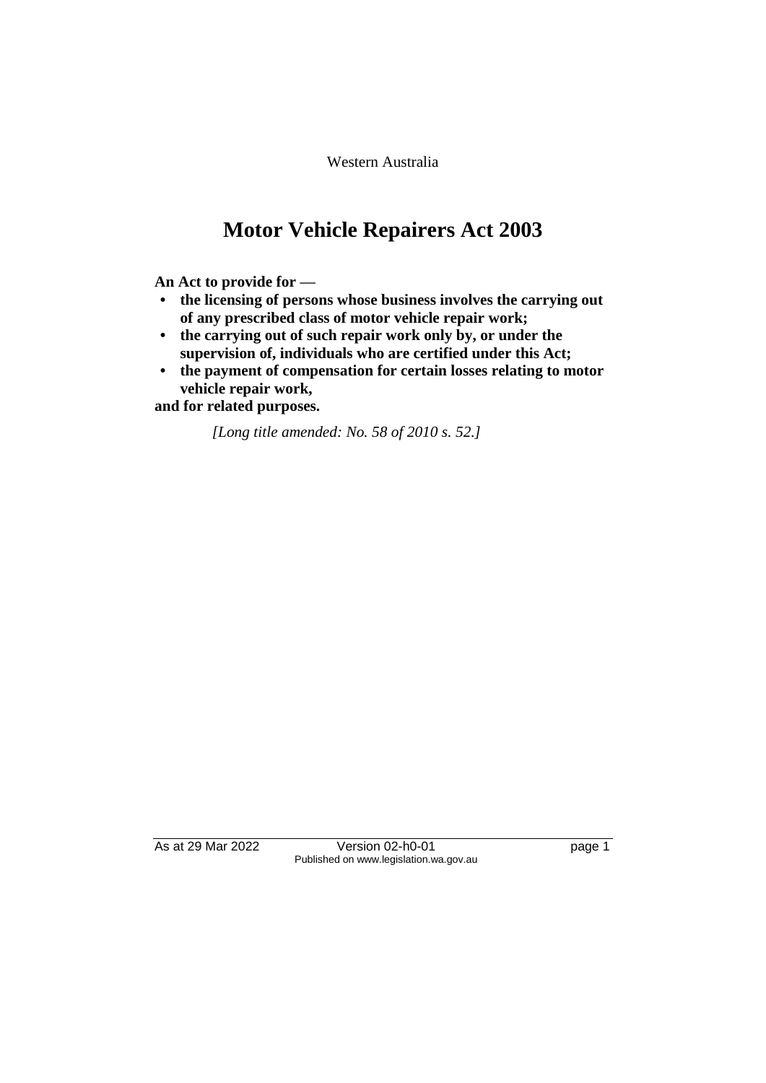Western Australia

# **Motor Vehicle Repairers Act 2003**

**An Act to provide for —**

- **• the licensing of persons whose business involves the carrying out of any prescribed class of motor vehicle repair work;**
- **• the carrying out of such repair work only by, or under the supervision of, individuals who are certified under this Act;**
- **• the payment of compensation for certain losses relating to motor vehicle repair work,**

**and for related purposes.**

*[Long title amended: No. 58 of 2010 s. 52.]*

As at 29 Mar 2022 Version 02-h0-01 page 1 Published on www.legislation.wa.gov.au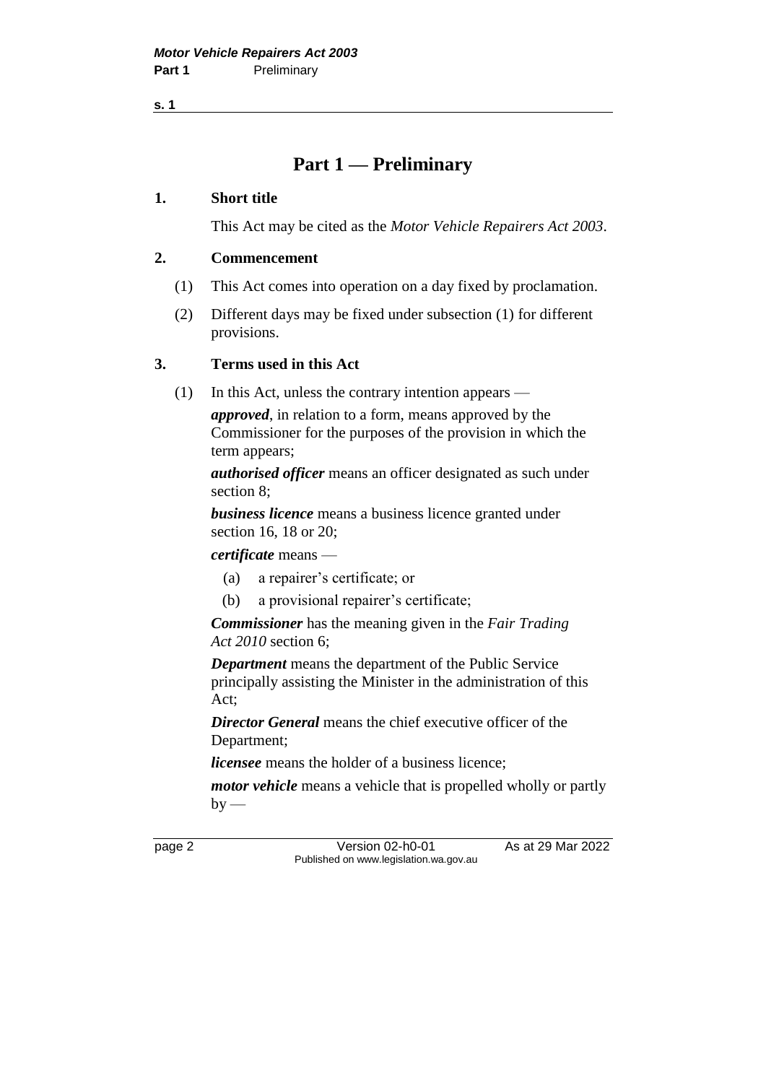**s. 1**

## **Part 1 — Preliminary**

#### **1. Short title**

This Act may be cited as the *Motor Vehicle Repairers Act 2003*.

#### **2. Commencement**

- (1) This Act comes into operation on a day fixed by proclamation.
- (2) Different days may be fixed under subsection (1) for different provisions.

### **3. Terms used in this Act**

(1) In this Act, unless the contrary intention appears —

*approved*, in relation to a form, means approved by the Commissioner for the purposes of the provision in which the term appears;

*authorised officer* means an officer designated as such under section 8;

*business licence* means a business licence granted under section 16, 18 or 20;

*certificate* means —

- (a) a repairer's certificate; or
- (b) a provisional repairer's certificate;

*Commissioner* has the meaning given in the *Fair Trading Act 2010* section 6;

*Department* means the department of the Public Service principally assisting the Minister in the administration of this Act;

*Director General* means the chief executive officer of the Department;

*licensee* means the holder of a business licence;

*motor vehicle* means a vehicle that is propelled wholly or partly  $by -$ 

page 2 Version 02-h0-01 As at 29 Mar 2022 Published on www.legislation.wa.gov.au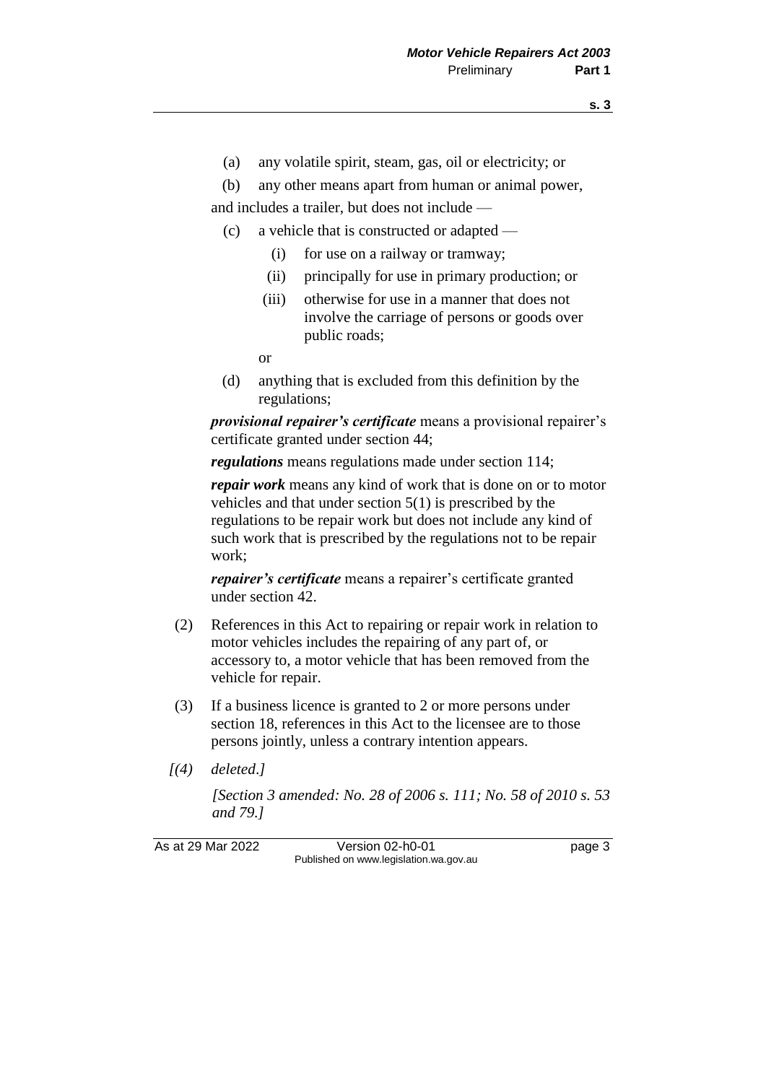(a) any volatile spirit, steam, gas, oil or electricity; or

(b) any other means apart from human or animal power, and includes a trailer, but does not include —

- (c) a vehicle that is constructed or adapted
	- (i) for use on a railway or tramway;
	- (ii) principally for use in primary production; or
	- (iii) otherwise for use in a manner that does not involve the carriage of persons or goods over public roads;

or

(d) anything that is excluded from this definition by the regulations;

*provisional repairer's certificate* means a provisional repairer's certificate granted under section 44;

*regulations* means regulations made under section 114;

*repair work* means any kind of work that is done on or to motor vehicles and that under section 5(1) is prescribed by the regulations to be repair work but does not include any kind of such work that is prescribed by the regulations not to be repair work;

*repairer's certificate* means a repairer's certificate granted under section 42.

- (2) References in this Act to repairing or repair work in relation to motor vehicles includes the repairing of any part of, or accessory to, a motor vehicle that has been removed from the vehicle for repair.
- (3) If a business licence is granted to 2 or more persons under section 18, references in this Act to the licensee are to those persons jointly, unless a contrary intention appears.
- *[(4) deleted*.*]*

*[Section 3 amended: No. 28 of 2006 s. 111; No. 58 of 2010 s. 53 and 79.]*

As at 29 Mar 2022 Version 02-h0-01 page 3 Published on www.legislation.wa.gov.au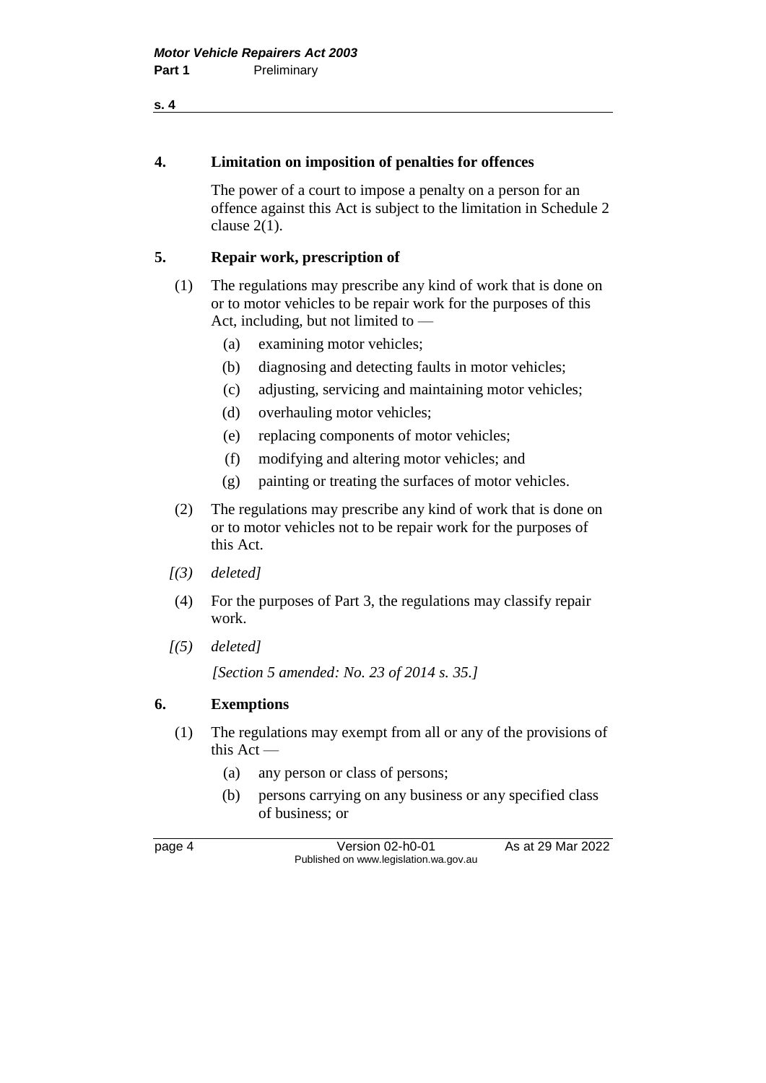#### **4. Limitation on imposition of penalties for offences**

The power of a court to impose a penalty on a person for an offence against this Act is subject to the limitation in Schedule 2 clause 2(1).

#### **5. Repair work, prescription of**

- (1) The regulations may prescribe any kind of work that is done on or to motor vehicles to be repair work for the purposes of this Act, including, but not limited to —
	- (a) examining motor vehicles;
	- (b) diagnosing and detecting faults in motor vehicles;
	- (c) adjusting, servicing and maintaining motor vehicles;
	- (d) overhauling motor vehicles;
	- (e) replacing components of motor vehicles;
	- (f) modifying and altering motor vehicles; and
	- (g) painting or treating the surfaces of motor vehicles.
- (2) The regulations may prescribe any kind of work that is done on or to motor vehicles not to be repair work for the purposes of this Act.
- *[(3) deleted]*
- (4) For the purposes of Part 3, the regulations may classify repair work.
- *[(5) deleted]*

*[Section 5 amended: No. 23 of 2014 s. 35.]*

#### **6. Exemptions**

- (1) The regulations may exempt from all or any of the provisions of this Act —
	- (a) any person or class of persons;
	- (b) persons carrying on any business or any specified class of business; or

page 4 Version 02-h0-01 As at 29 Mar 2022 Published on www.legislation.wa.gov.au

**s. 4**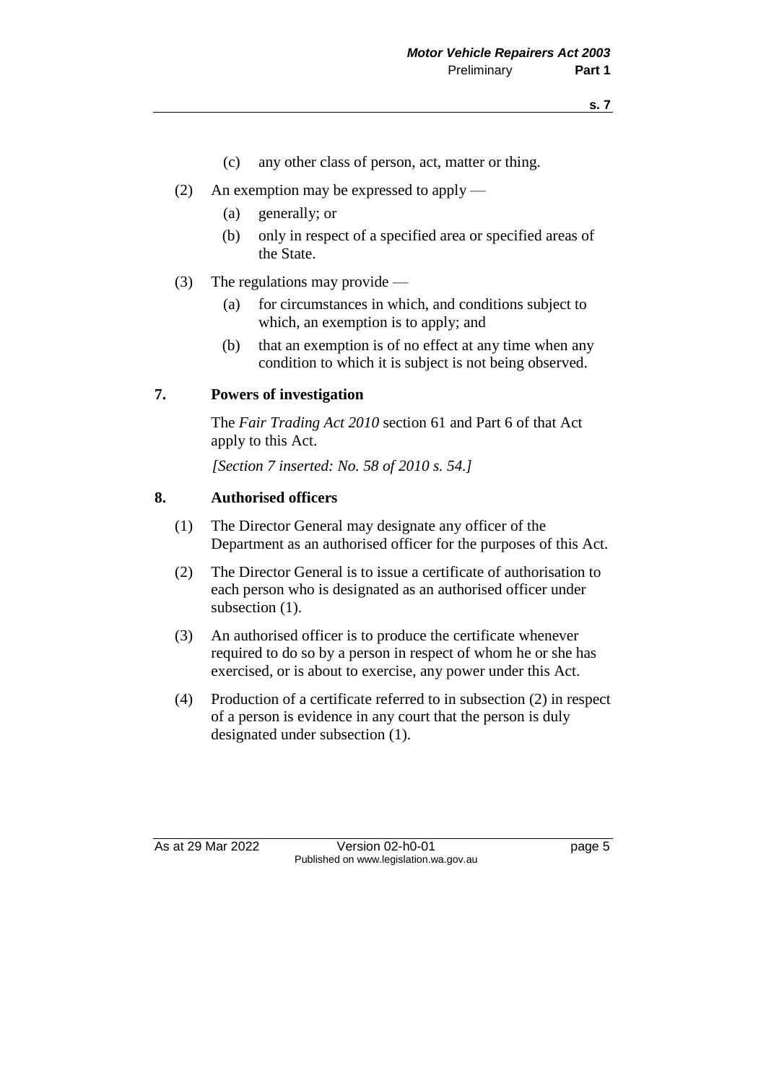- (c) any other class of person, act, matter or thing.
- (2) An exemption may be expressed to apply
	- (a) generally; or
	- (b) only in respect of a specified area or specified areas of the State.
- (3) The regulations may provide
	- (a) for circumstances in which, and conditions subject to which, an exemption is to apply; and
	- (b) that an exemption is of no effect at any time when any condition to which it is subject is not being observed.

#### **7. Powers of investigation**

The *Fair Trading Act 2010* section 61 and Part 6 of that Act apply to this Act.

*[Section 7 inserted: No. 58 of 2010 s. 54.]*

#### **8. Authorised officers**

- (1) The Director General may designate any officer of the Department as an authorised officer for the purposes of this Act.
- (2) The Director General is to issue a certificate of authorisation to each person who is designated as an authorised officer under subsection  $(1)$ .
- (3) An authorised officer is to produce the certificate whenever required to do so by a person in respect of whom he or she has exercised, or is about to exercise, any power under this Act.
- (4) Production of a certificate referred to in subsection (2) in respect of a person is evidence in any court that the person is duly designated under subsection (1).

As at 29 Mar 2022 Version 02-h0-01 page 5 Published on www.legislation.wa.gov.au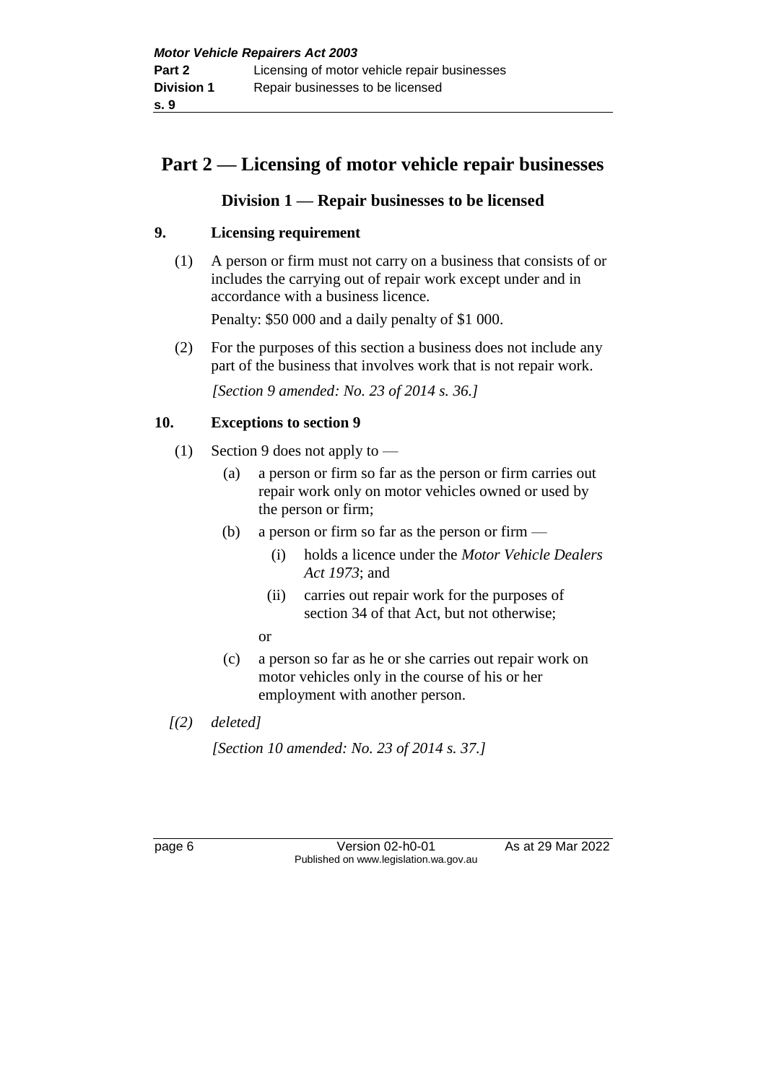## **Part 2 — Licensing of motor vehicle repair businesses**

## **Division 1 — Repair businesses to be licensed**

## **9. Licensing requirement**

(1) A person or firm must not carry on a business that consists of or includes the carrying out of repair work except under and in accordance with a business licence.

Penalty: \$50 000 and a daily penalty of \$1 000.

(2) For the purposes of this section a business does not include any part of the business that involves work that is not repair work.

*[Section 9 amended: No. 23 of 2014 s. 36.]*

## **10. Exceptions to section 9**

- (1) Section 9 does not apply to
	- (a) a person or firm so far as the person or firm carries out repair work only on motor vehicles owned or used by the person or firm;
	- (b) a person or firm so far as the person or firm  $-$ 
		- (i) holds a licence under the *Motor Vehicle Dealers Act 1973*; and
		- (ii) carries out repair work for the purposes of section 34 of that Act, but not otherwise;
		- or
	- (c) a person so far as he or she carries out repair work on motor vehicles only in the course of his or her employment with another person.
- *[(2) deleted]*

*[Section 10 amended: No. 23 of 2014 s. 37.]*

page 6 Version 02-h0-01 As at 29 Mar 2022 Published on www.legislation.wa.gov.au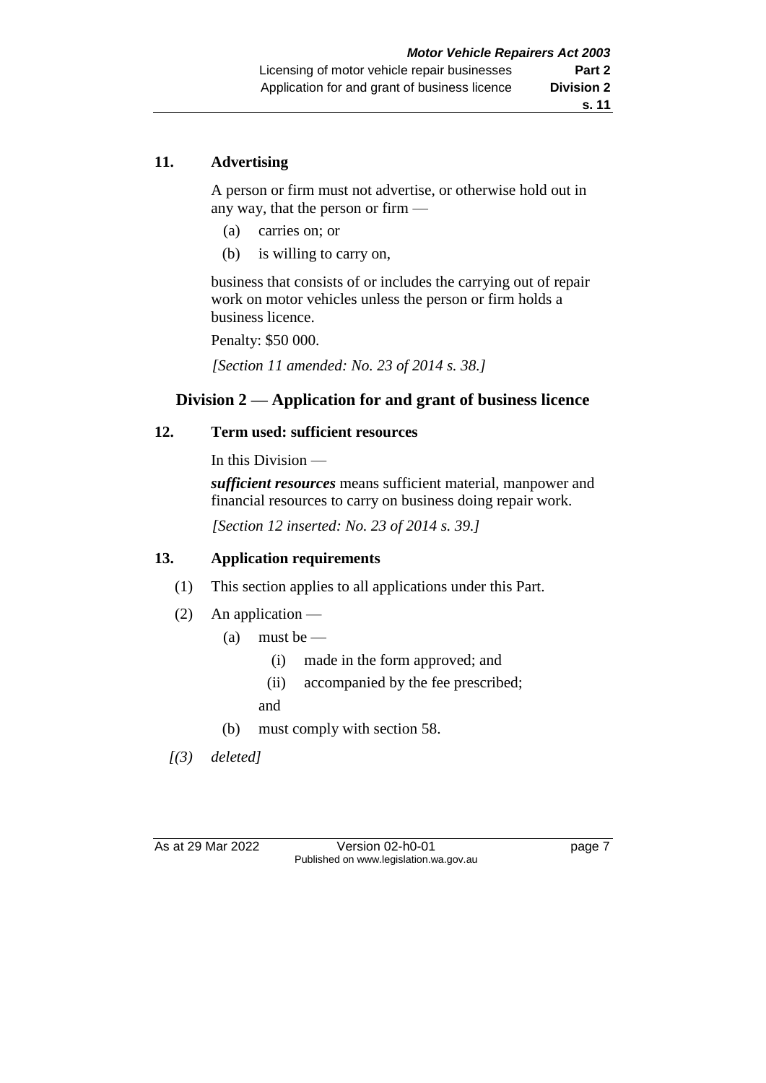## **11. Advertising**

A person or firm must not advertise, or otherwise hold out in any way, that the person or firm —

- (a) carries on; or
- (b) is willing to carry on,

business that consists of or includes the carrying out of repair work on motor vehicles unless the person or firm holds a business licence.

Penalty: \$50 000.

*[Section 11 amended: No. 23 of 2014 s. 38.]*

## **Division 2 — Application for and grant of business licence**

## **12. Term used: sufficient resources**

In this Division —

*sufficient resources* means sufficient material, manpower and financial resources to carry on business doing repair work.

*[Section 12 inserted: No. 23 of 2014 s. 39.]*

#### **13. Application requirements**

- (1) This section applies to all applications under this Part.
- (2) An application
	- (a) must be  $-$ 
		- (i) made in the form approved; and
		- (ii) accompanied by the fee prescribed;

and

(b) must comply with section 58.

*[(3) deleted]*

As at 29 Mar 2022 Version 02-h0-01 page 7 Published on www.legislation.wa.gov.au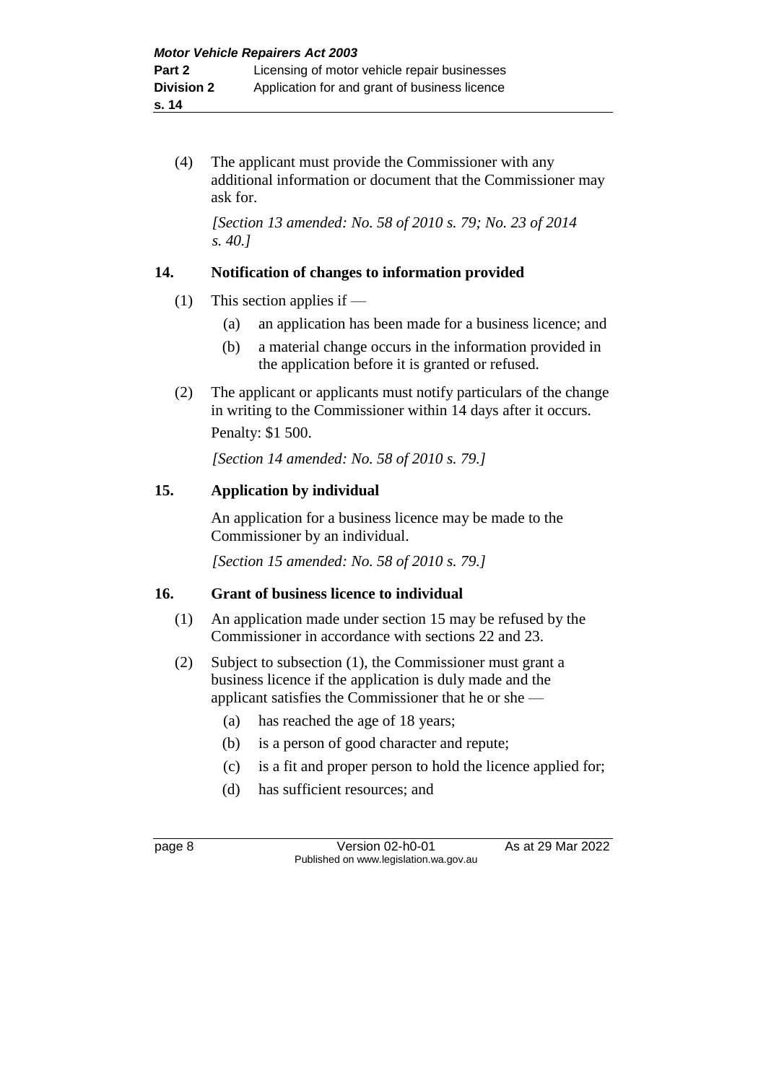(4) The applicant must provide the Commissioner with any additional information or document that the Commissioner may ask for.

*[Section 13 amended: No. 58 of 2010 s. 79; No. 23 of 2014 s. 40.]*

#### **14. Notification of changes to information provided**

- (1) This section applies if
	- (a) an application has been made for a business licence; and
	- (b) a material change occurs in the information provided in the application before it is granted or refused.
- (2) The applicant or applicants must notify particulars of the change in writing to the Commissioner within 14 days after it occurs. Penalty: \$1 500.

*[Section 14 amended: No. 58 of 2010 s. 79.]*

#### **15. Application by individual**

An application for a business licence may be made to the Commissioner by an individual.

*[Section 15 amended: No. 58 of 2010 s. 79.]*

## **16. Grant of business licence to individual**

- (1) An application made under section 15 may be refused by the Commissioner in accordance with sections 22 and 23.
- (2) Subject to subsection (1), the Commissioner must grant a business licence if the application is duly made and the applicant satisfies the Commissioner that he or she —
	- (a) has reached the age of 18 years;
	- (b) is a person of good character and repute;
	- (c) is a fit and proper person to hold the licence applied for;
	- (d) has sufficient resources; and

page 8 Version 02-h0-01 As at 29 Mar 2022 Published on www.legislation.wa.gov.au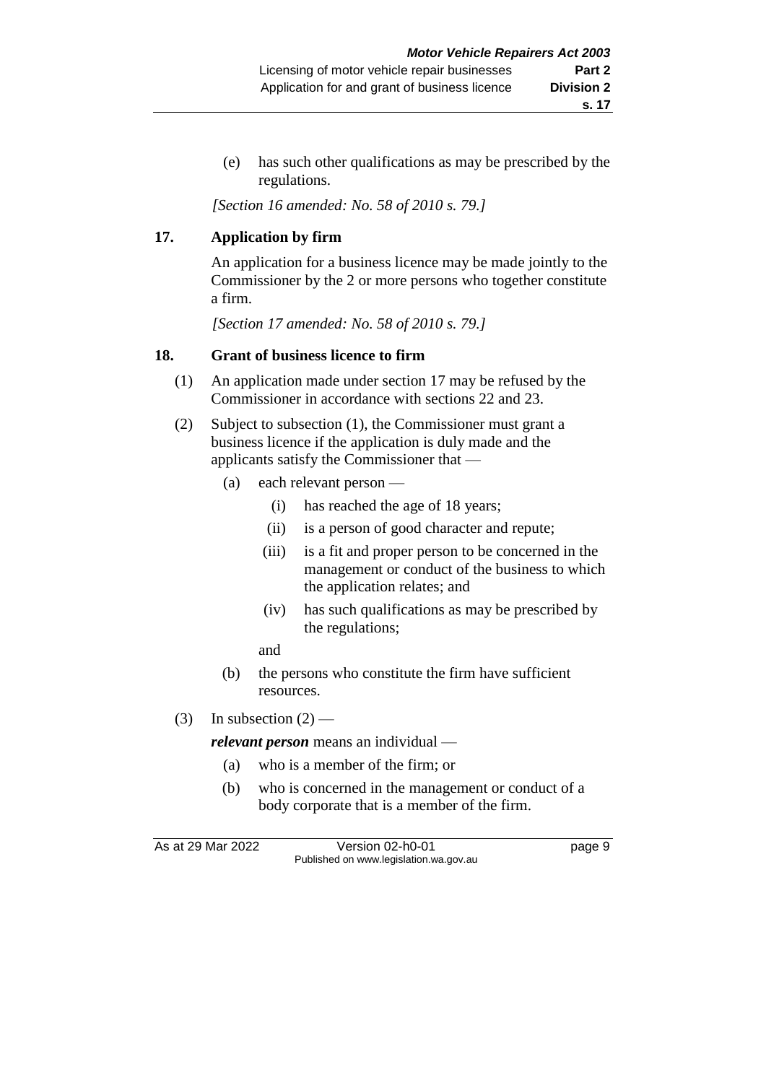(e) has such other qualifications as may be prescribed by the regulations.

*[Section 16 amended: No. 58 of 2010 s. 79.]*

## **17. Application by firm**

An application for a business licence may be made jointly to the Commissioner by the 2 or more persons who together constitute a firm.

*[Section 17 amended: No. 58 of 2010 s. 79.]*

#### **18. Grant of business licence to firm**

- (1) An application made under section 17 may be refused by the Commissioner in accordance with sections 22 and 23.
- (2) Subject to subsection (1), the Commissioner must grant a business licence if the application is duly made and the applicants satisfy the Commissioner that —
	- (a) each relevant person
		- (i) has reached the age of 18 years;
		- (ii) is a person of good character and repute;
		- (iii) is a fit and proper person to be concerned in the management or conduct of the business to which the application relates; and
		- (iv) has such qualifications as may be prescribed by the regulations;
		- and
	- (b) the persons who constitute the firm have sufficient resources.
- (3) In subsection  $(2)$  —

*relevant person* means an individual —

- (a) who is a member of the firm; or
- (b) who is concerned in the management or conduct of a body corporate that is a member of the firm.

As at 29 Mar 2022 Version 02-h0-01 page 9 Published on www.legislation.wa.gov.au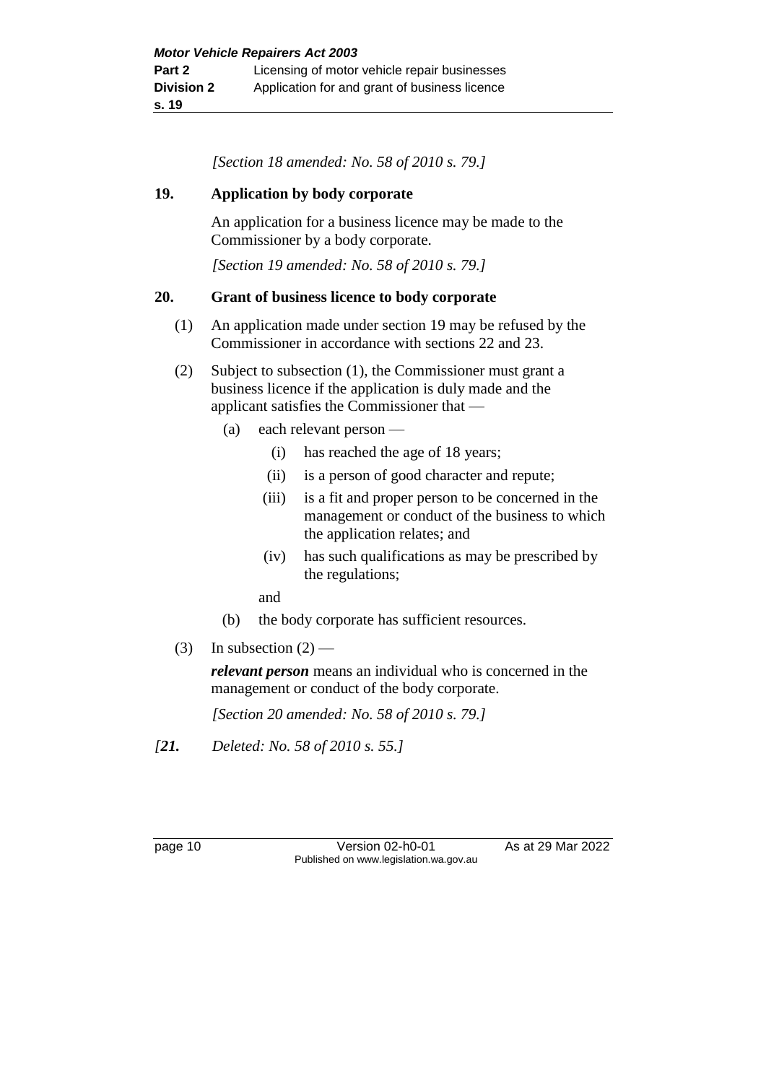*[Section 18 amended: No. 58 of 2010 s. 79.]*

#### **19. Application by body corporate**

An application for a business licence may be made to the Commissioner by a body corporate.

*[Section 19 amended: No. 58 of 2010 s. 79.]*

#### **20. Grant of business licence to body corporate**

- (1) An application made under section 19 may be refused by the Commissioner in accordance with sections 22 and 23.
- (2) Subject to subsection (1), the Commissioner must grant a business licence if the application is duly made and the applicant satisfies the Commissioner that —
	- (a) each relevant person
		- (i) has reached the age of 18 years;
		- (ii) is a person of good character and repute;
		- (iii) is a fit and proper person to be concerned in the management or conduct of the business to which the application relates; and
		- (iv) has such qualifications as may be prescribed by the regulations;

and

- (b) the body corporate has sufficient resources.
- (3) In subsection  $(2)$  —

*relevant person* means an individual who is concerned in the management or conduct of the body corporate.

*[Section 20 amended: No. 58 of 2010 s. 79.]*

*[21. Deleted: No. 58 of 2010 s. 55.]*

page 10 Version 02-h0-01 As at 29 Mar 2022 Published on www.legislation.wa.gov.au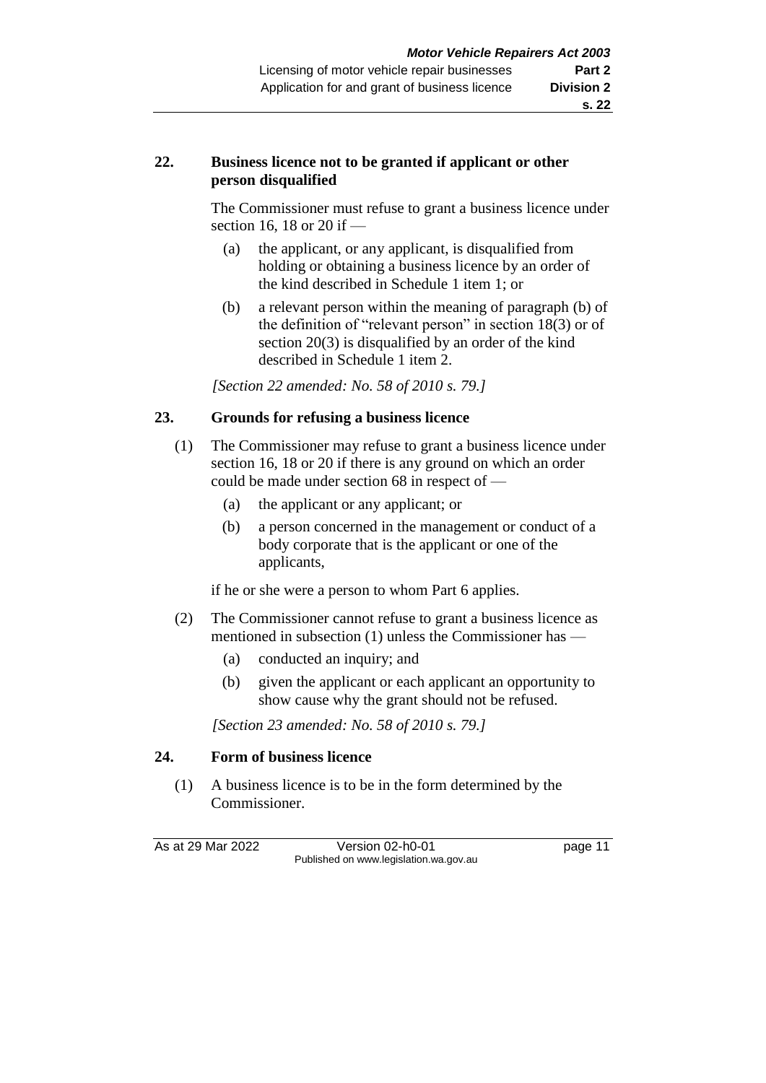## **22. Business licence not to be granted if applicant or other person disqualified**

The Commissioner must refuse to grant a business licence under section 16, 18 or 20 if —

- (a) the applicant, or any applicant, is disqualified from holding or obtaining a business licence by an order of the kind described in Schedule 1 item 1; or
- (b) a relevant person within the meaning of paragraph (b) of the definition of "relevant person" in section 18(3) or of section 20(3) is disqualified by an order of the kind described in Schedule 1 item 2.

*[Section 22 amended: No. 58 of 2010 s. 79.]*

## **23. Grounds for refusing a business licence**

- (1) The Commissioner may refuse to grant a business licence under section 16, 18 or 20 if there is any ground on which an order could be made under section 68 in respect of —
	- (a) the applicant or any applicant; or
	- (b) a person concerned in the management or conduct of a body corporate that is the applicant or one of the applicants,

if he or she were a person to whom Part 6 applies.

- (2) The Commissioner cannot refuse to grant a business licence as mentioned in subsection (1) unless the Commissioner has —
	- (a) conducted an inquiry; and
	- (b) given the applicant or each applicant an opportunity to show cause why the grant should not be refused.

*[Section 23 amended: No. 58 of 2010 s. 79.]*

#### **24. Form of business licence**

(1) A business licence is to be in the form determined by the Commissioner.

As at 29 Mar 2022 Version 02-h0-01 page 11 Published on www.legislation.wa.gov.au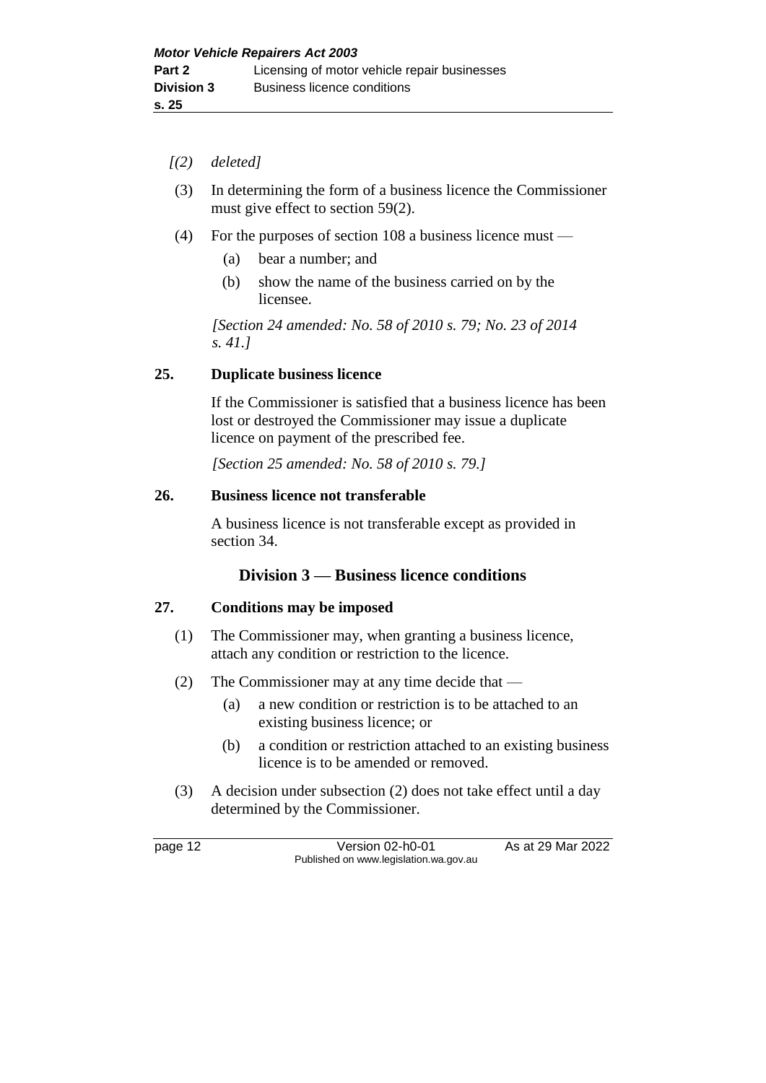- *[(2) deleted]*
- (3) In determining the form of a business licence the Commissioner must give effect to section 59(2).
- (4) For the purposes of section 108 a business licence must
	- (a) bear a number; and
	- (b) show the name of the business carried on by the licensee.

*[Section 24 amended: No. 58 of 2010 s. 79; No. 23 of 2014 s. 41.]*

#### **25. Duplicate business licence**

If the Commissioner is satisfied that a business licence has been lost or destroyed the Commissioner may issue a duplicate licence on payment of the prescribed fee.

*[Section 25 amended: No. 58 of 2010 s. 79.]*

#### **26. Business licence not transferable**

A business licence is not transferable except as provided in section 34.

## **Division 3 — Business licence conditions**

#### **27. Conditions may be imposed**

- (1) The Commissioner may, when granting a business licence, attach any condition or restriction to the licence.
- (2) The Commissioner may at any time decide that
	- (a) a new condition or restriction is to be attached to an existing business licence; or
	- (b) a condition or restriction attached to an existing business licence is to be amended or removed.
- (3) A decision under subsection (2) does not take effect until a day determined by the Commissioner.

page 12 Version 02-h0-01 As at 29 Mar 2022 Published on www.legislation.wa.gov.au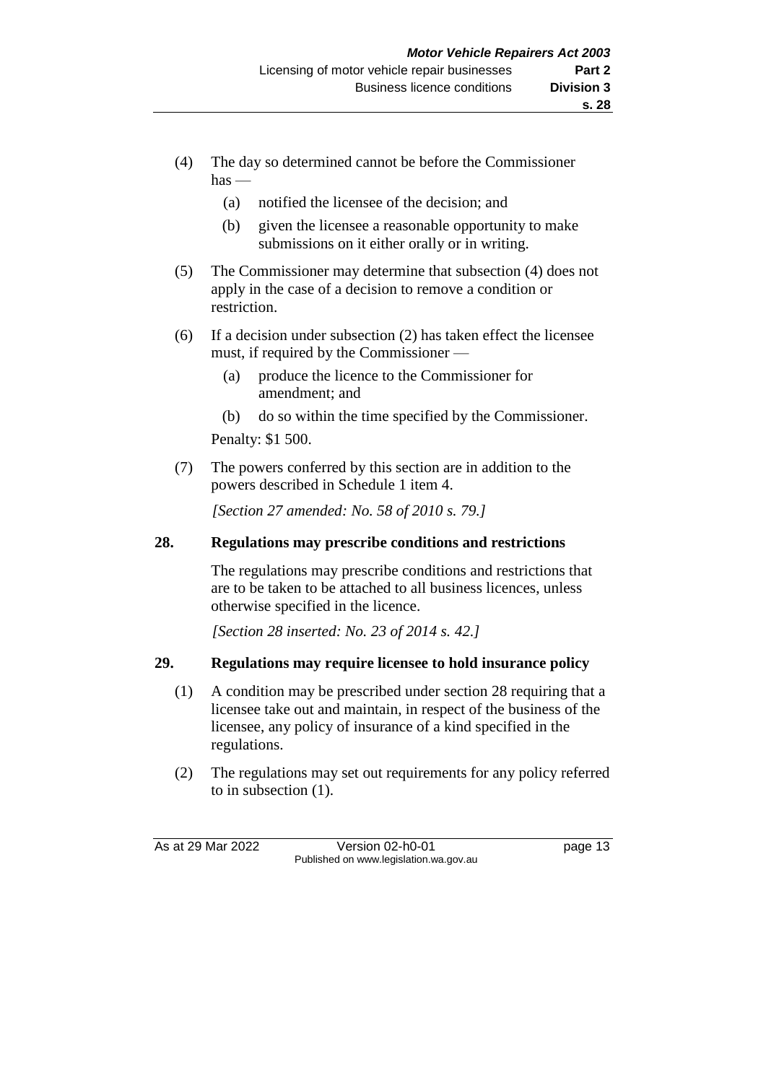- (4) The day so determined cannot be before the Commissioner  $has -$ 
	- (a) notified the licensee of the decision; and
	- (b) given the licensee a reasonable opportunity to make submissions on it either orally or in writing.
- (5) The Commissioner may determine that subsection (4) does not apply in the case of a decision to remove a condition or restriction.
- (6) If a decision under subsection (2) has taken effect the licensee must, if required by the Commissioner —
	- (a) produce the licence to the Commissioner for amendment; and
	- (b) do so within the time specified by the Commissioner.

Penalty: \$1 500.

(7) The powers conferred by this section are in addition to the powers described in Schedule 1 item 4.

*[Section 27 amended: No. 58 of 2010 s. 79.]*

#### **28. Regulations may prescribe conditions and restrictions**

The regulations may prescribe conditions and restrictions that are to be taken to be attached to all business licences, unless otherwise specified in the licence.

*[Section 28 inserted: No. 23 of 2014 s. 42.]*

#### **29. Regulations may require licensee to hold insurance policy**

- (1) A condition may be prescribed under section 28 requiring that a licensee take out and maintain, in respect of the business of the licensee, any policy of insurance of a kind specified in the regulations.
- (2) The regulations may set out requirements for any policy referred to in subsection (1).

As at 29 Mar 2022 Version 02-h0-01 page 13 Published on www.legislation.wa.gov.au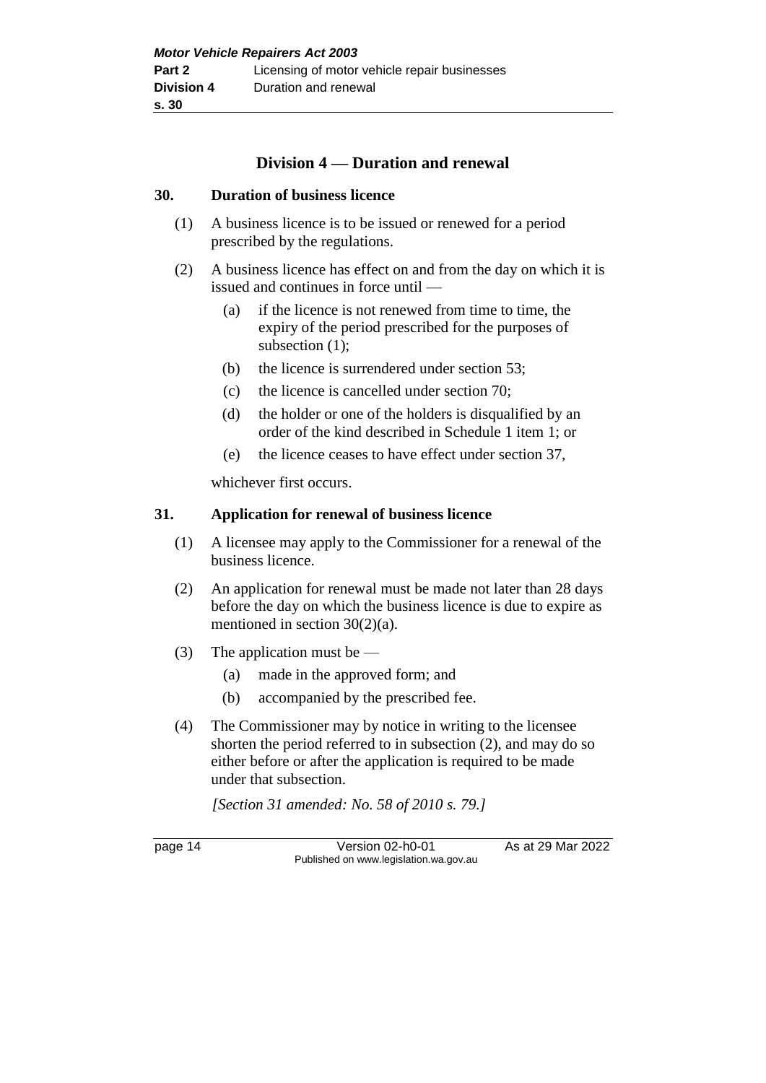## **Division 4 — Duration and renewal**

#### **30. Duration of business licence**

- (1) A business licence is to be issued or renewed for a period prescribed by the regulations.
- (2) A business licence has effect on and from the day on which it is issued and continues in force until —
	- (a) if the licence is not renewed from time to time, the expiry of the period prescribed for the purposes of subsection (1);
	- (b) the licence is surrendered under section 53;
	- (c) the licence is cancelled under section 70;
	- (d) the holder or one of the holders is disqualified by an order of the kind described in Schedule 1 item 1; or
	- (e) the licence ceases to have effect under section 37,

whichever first occurs.

#### **31. Application for renewal of business licence**

- (1) A licensee may apply to the Commissioner for a renewal of the business licence.
- (2) An application for renewal must be made not later than 28 days before the day on which the business licence is due to expire as mentioned in section 30(2)(a).
- (3) The application must be
	- (a) made in the approved form; and
	- (b) accompanied by the prescribed fee.
- (4) The Commissioner may by notice in writing to the licensee shorten the period referred to in subsection (2), and may do so either before or after the application is required to be made under that subsection.

*[Section 31 amended: No. 58 of 2010 s. 79.]*

page 14 Version 02-h0-01 As at 29 Mar 2022 Published on www.legislation.wa.gov.au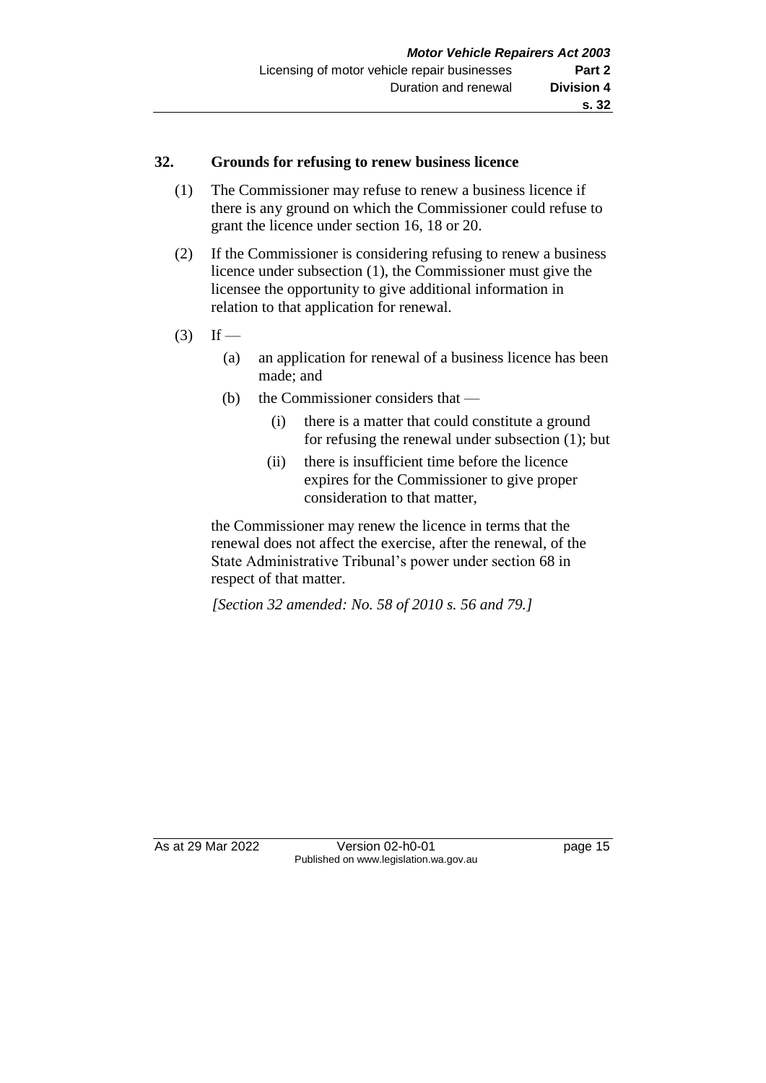#### **32. Grounds for refusing to renew business licence**

- (1) The Commissioner may refuse to renew a business licence if there is any ground on which the Commissioner could refuse to grant the licence under section 16, 18 or 20.
- (2) If the Commissioner is considering refusing to renew a business licence under subsection (1), the Commissioner must give the licensee the opportunity to give additional information in relation to that application for renewal.
- $(3)$  If
	- (a) an application for renewal of a business licence has been made; and
	- (b) the Commissioner considers that
		- (i) there is a matter that could constitute a ground for refusing the renewal under subsection (1); but
		- (ii) there is insufficient time before the licence expires for the Commissioner to give proper consideration to that matter,

the Commissioner may renew the licence in terms that the renewal does not affect the exercise, after the renewal, of the State Administrative Tribunal's power under section 68 in respect of that matter.

*[Section 32 amended: No. 58 of 2010 s. 56 and 79.]*

As at 29 Mar 2022 Version 02-h0-01 page 15 Published on www.legislation.wa.gov.au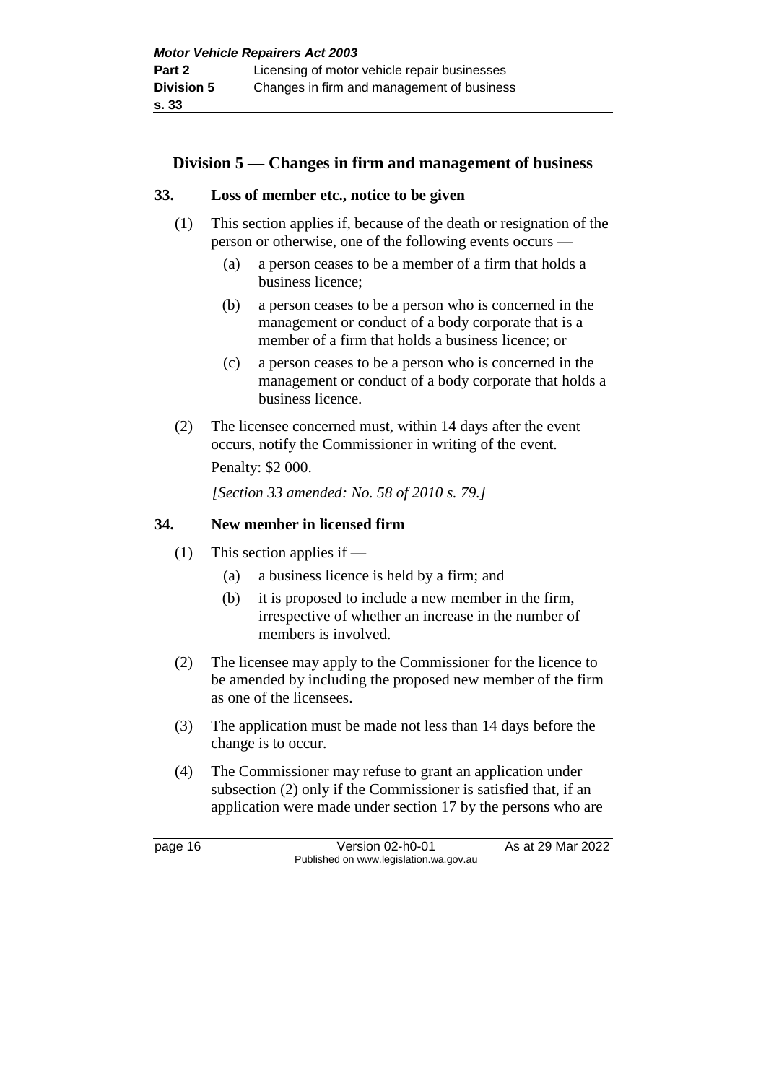## **Division 5 — Changes in firm and management of business**

#### **33. Loss of member etc., notice to be given**

- (1) This section applies if, because of the death or resignation of the person or otherwise, one of the following events occurs —
	- (a) a person ceases to be a member of a firm that holds a business licence;
	- (b) a person ceases to be a person who is concerned in the management or conduct of a body corporate that is a member of a firm that holds a business licence; or
	- (c) a person ceases to be a person who is concerned in the management or conduct of a body corporate that holds a business licence.
- (2) The licensee concerned must, within 14 days after the event occurs, notify the Commissioner in writing of the event.

Penalty: \$2 000.

*[Section 33 amended: No. 58 of 2010 s. 79.]*

#### **34. New member in licensed firm**

- (1) This section applies if
	- (a) a business licence is held by a firm; and
	- (b) it is proposed to include a new member in the firm, irrespective of whether an increase in the number of members is involved.
- (2) The licensee may apply to the Commissioner for the licence to be amended by including the proposed new member of the firm as one of the licensees.
- (3) The application must be made not less than 14 days before the change is to occur.
- (4) The Commissioner may refuse to grant an application under subsection (2) only if the Commissioner is satisfied that, if an application were made under section 17 by the persons who are

page 16 Version 02-h0-01 As at 29 Mar 2022 Published on www.legislation.wa.gov.au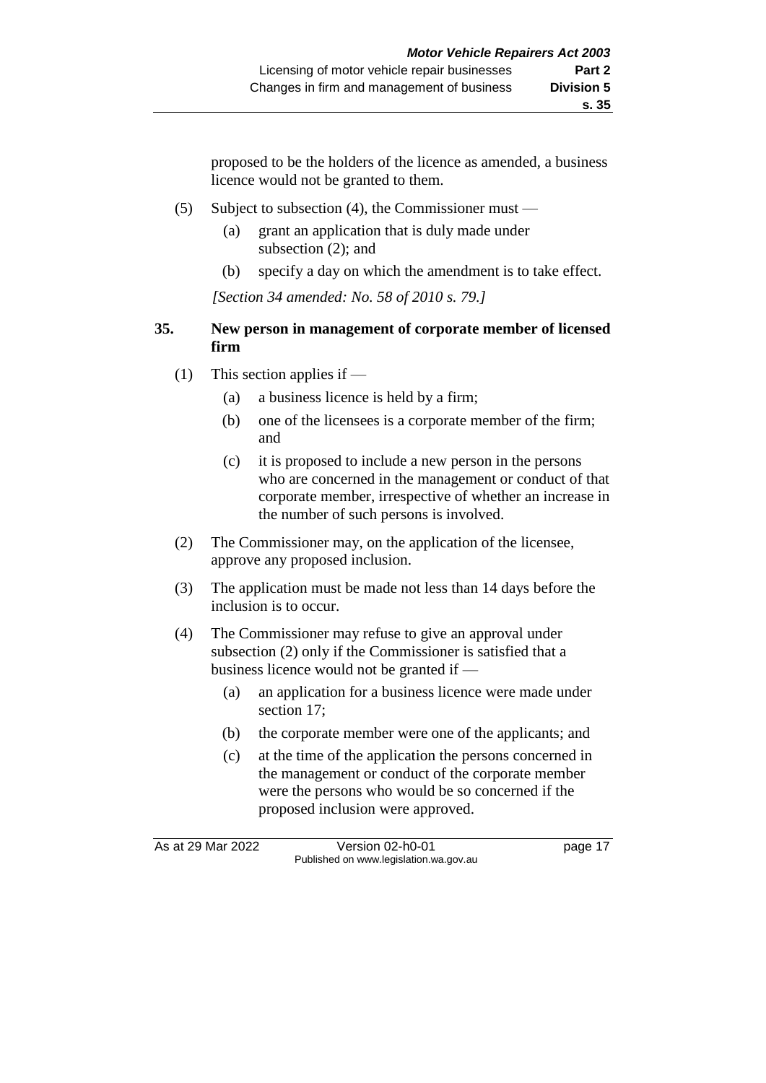proposed to be the holders of the licence as amended, a business licence would not be granted to them.

- (5) Subject to subsection (4), the Commissioner must
	- (a) grant an application that is duly made under subsection (2); and
	- (b) specify a day on which the amendment is to take effect.

*[Section 34 amended: No. 58 of 2010 s. 79.]*

## **35. New person in management of corporate member of licensed firm**

- (1) This section applies if
	- (a) a business licence is held by a firm;
	- (b) one of the licensees is a corporate member of the firm; and
	- (c) it is proposed to include a new person in the persons who are concerned in the management or conduct of that corporate member, irrespective of whether an increase in the number of such persons is involved.
- (2) The Commissioner may, on the application of the licensee, approve any proposed inclusion.
- (3) The application must be made not less than 14 days before the inclusion is to occur.
- (4) The Commissioner may refuse to give an approval under subsection (2) only if the Commissioner is satisfied that a business licence would not be granted if —
	- (a) an application for a business licence were made under section 17;
	- (b) the corporate member were one of the applicants; and
	- (c) at the time of the application the persons concerned in the management or conduct of the corporate member were the persons who would be so concerned if the proposed inclusion were approved.

As at 29 Mar 2022 Version 02-h0-01 page 17 Published on www.legislation.wa.gov.au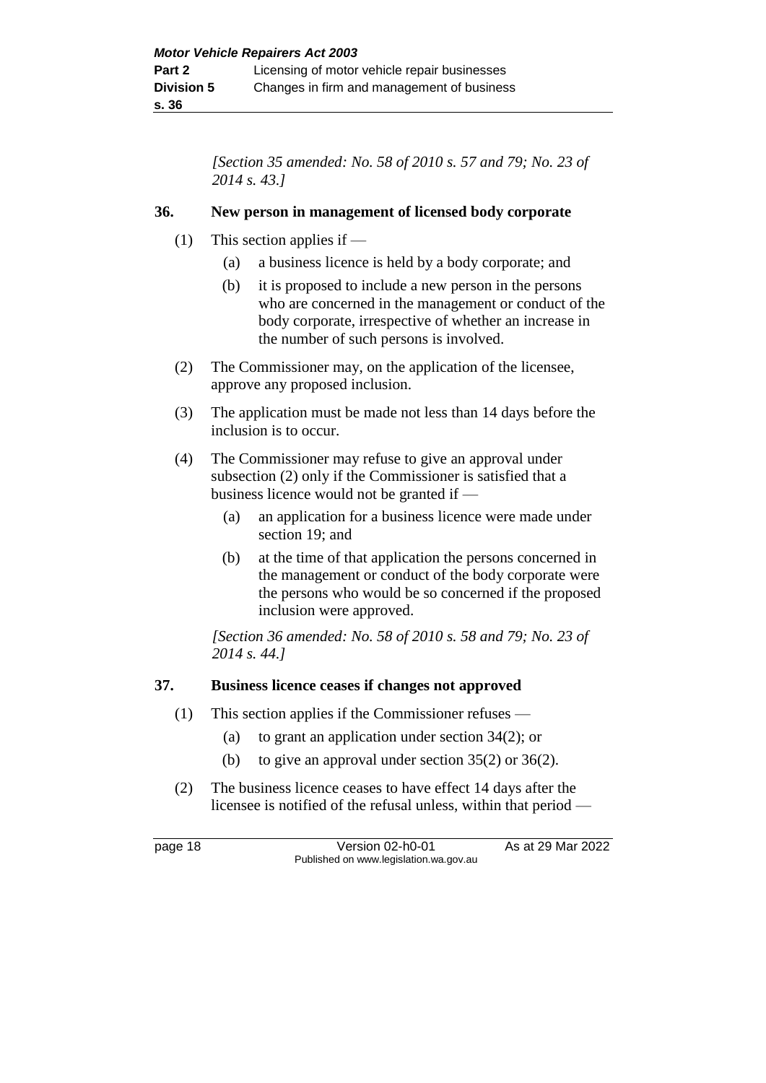*[Section 35 amended: No. 58 of 2010 s. 57 and 79; No. 23 of 2014 s. 43.]*

#### **36. New person in management of licensed body corporate**

- (1) This section applies if
	- (a) a business licence is held by a body corporate; and
	- (b) it is proposed to include a new person in the persons who are concerned in the management or conduct of the body corporate, irrespective of whether an increase in the number of such persons is involved.
- (2) The Commissioner may, on the application of the licensee, approve any proposed inclusion.
- (3) The application must be made not less than 14 days before the inclusion is to occur.
- (4) The Commissioner may refuse to give an approval under subsection (2) only if the Commissioner is satisfied that a business licence would not be granted if —
	- (a) an application for a business licence were made under section 19; and
	- (b) at the time of that application the persons concerned in the management or conduct of the body corporate were the persons who would be so concerned if the proposed inclusion were approved.

*[Section 36 amended: No. 58 of 2010 s. 58 and 79; No. 23 of 2014 s. 44.]*

#### **37. Business licence ceases if changes not approved**

- (1) This section applies if the Commissioner refuses
	- (a) to grant an application under section 34(2); or
	- (b) to give an approval under section 35(2) or 36(2).
- (2) The business licence ceases to have effect 14 days after the licensee is notified of the refusal unless, within that period —

page 18 **Version 02-h0-01** As at 29 Mar 2022 Published on www.legislation.wa.gov.au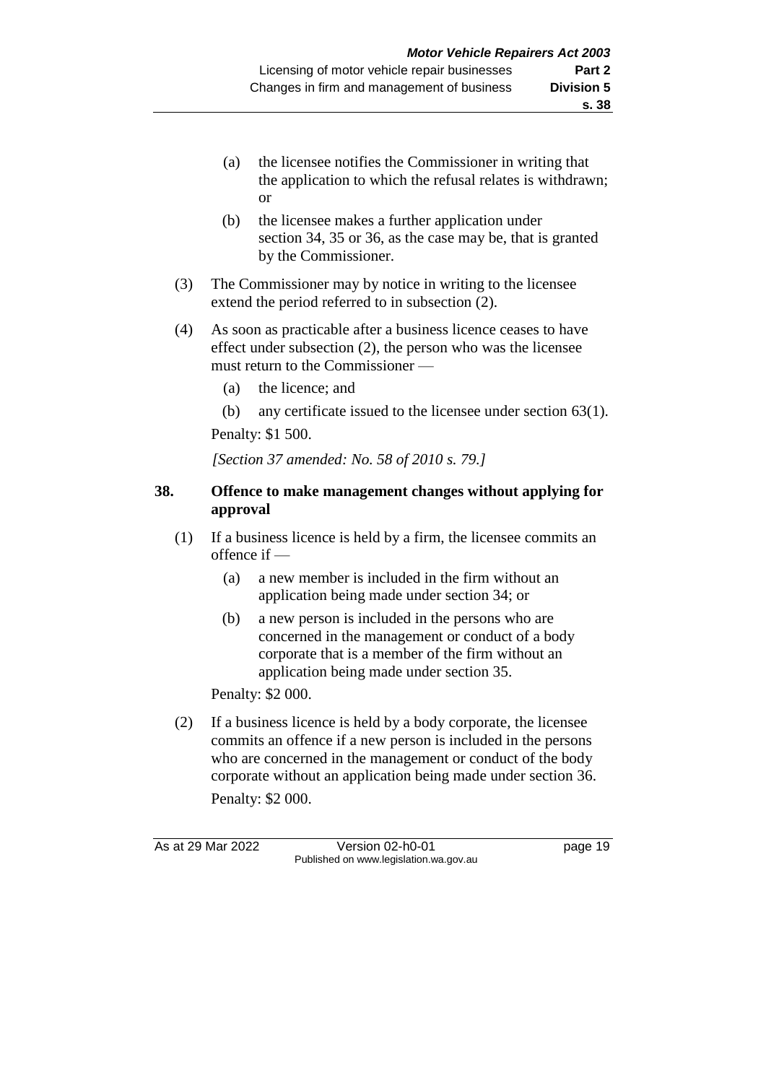- (a) the licensee notifies the Commissioner in writing that the application to which the refusal relates is withdrawn; or
- (b) the licensee makes a further application under section 34, 35 or 36, as the case may be, that is granted by the Commissioner.
- (3) The Commissioner may by notice in writing to the licensee extend the period referred to in subsection (2).
- (4) As soon as practicable after a business licence ceases to have effect under subsection (2), the person who was the licensee must return to the Commissioner —
	- (a) the licence; and
	- (b) any certificate issued to the licensee under section  $63(1)$ . Penalty: \$1 500.

*[Section 37 amended: No. 58 of 2010 s. 79.]*

#### **38. Offence to make management changes without applying for approval**

- (1) If a business licence is held by a firm, the licensee commits an offence if —
	- (a) a new member is included in the firm without an application being made under section 34; or
	- (b) a new person is included in the persons who are concerned in the management or conduct of a body corporate that is a member of the firm without an application being made under section 35.

Penalty: \$2 000.

(2) If a business licence is held by a body corporate, the licensee commits an offence if a new person is included in the persons who are concerned in the management or conduct of the body corporate without an application being made under section 36. Penalty: \$2 000.

As at 29 Mar 2022 Version 02-h0-01 page 19 Published on www.legislation.wa.gov.au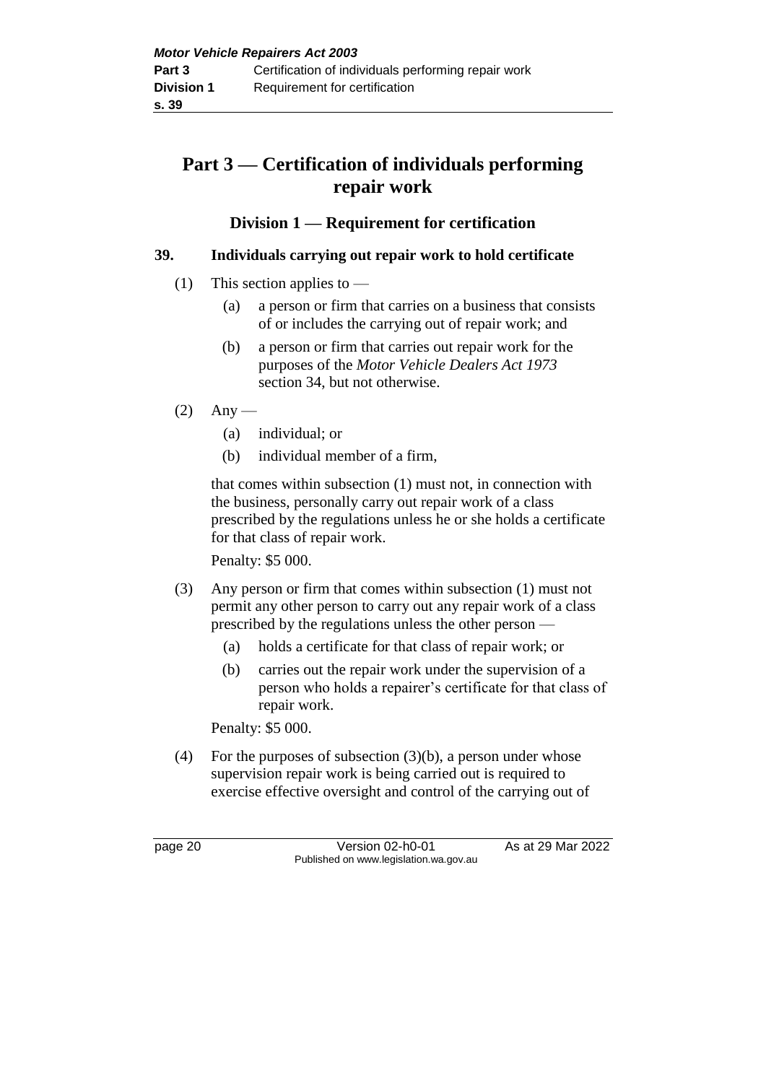# **Part 3 — Certification of individuals performing repair work**

## **Division 1 — Requirement for certification**

## **39. Individuals carrying out repair work to hold certificate**

- (1) This section applies to
	- (a) a person or firm that carries on a business that consists of or includes the carrying out of repair work; and
	- (b) a person or firm that carries out repair work for the purposes of the *Motor Vehicle Dealers Act 1973* section 34, but not otherwise.
- $(2)$  Any
	- (a) individual; or
	- (b) individual member of a firm,

that comes within subsection (1) must not, in connection with the business, personally carry out repair work of a class prescribed by the regulations unless he or she holds a certificate for that class of repair work.

Penalty: \$5 000.

- (3) Any person or firm that comes within subsection (1) must not permit any other person to carry out any repair work of a class prescribed by the regulations unless the other person —
	- (a) holds a certificate for that class of repair work; or
	- (b) carries out the repair work under the supervision of a person who holds a repairer's certificate for that class of repair work.

Penalty: \$5 000.

(4) For the purposes of subsection  $(3)(b)$ , a person under whose supervision repair work is being carried out is required to exercise effective oversight and control of the carrying out of

page 20 Version 02-h0-01 As at 29 Mar 2022 Published on www.legislation.wa.gov.au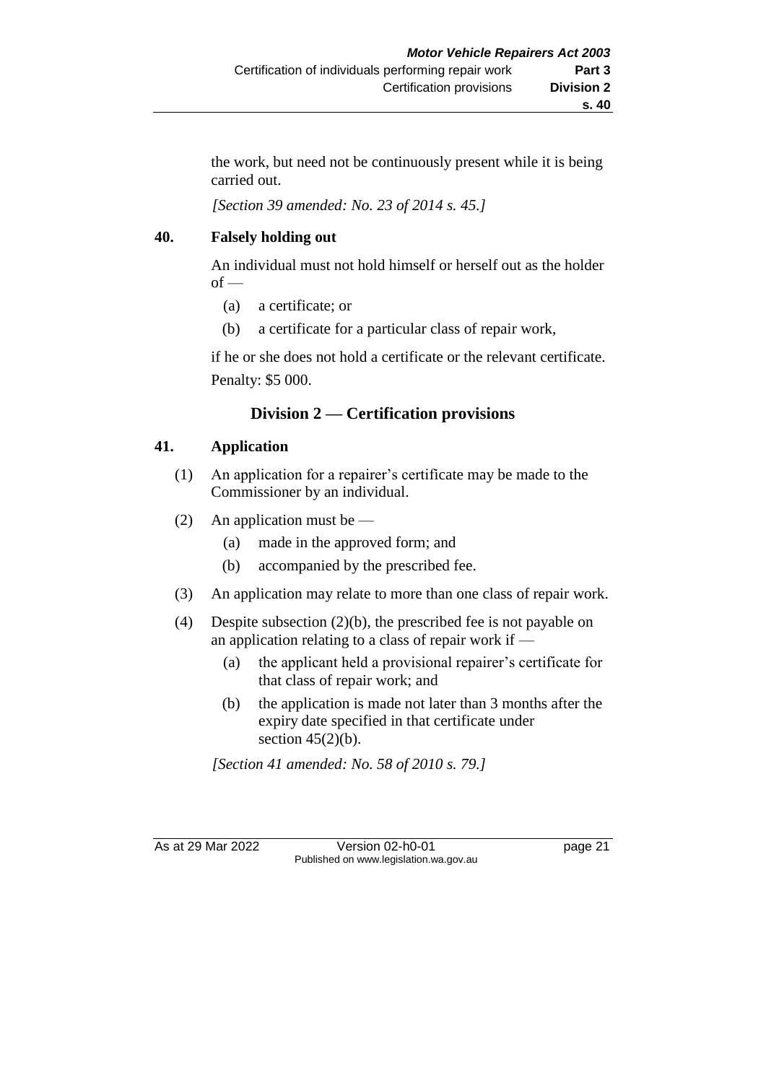the work, but need not be continuously present while it is being carried out.

*[Section 39 amended: No. 23 of 2014 s. 45.]*

## **40. Falsely holding out**

An individual must not hold himself or herself out as the holder  $of -$ 

- (a) a certificate; or
- (b) a certificate for a particular class of repair work,

if he or she does not hold a certificate or the relevant certificate. Penalty: \$5 000.

## **Division 2 — Certification provisions**

## **41. Application**

- (1) An application for a repairer's certificate may be made to the Commissioner by an individual.
- (2) An application must be
	- (a) made in the approved form; and
	- (b) accompanied by the prescribed fee.
- (3) An application may relate to more than one class of repair work.
- (4) Despite subsection (2)(b), the prescribed fee is not payable on an application relating to a class of repair work if —
	- (a) the applicant held a provisional repairer's certificate for that class of repair work; and
	- (b) the application is made not later than 3 months after the expiry date specified in that certificate under section  $45(2)(b)$ .

*[Section 41 amended: No. 58 of 2010 s. 79.]*

As at 29 Mar 2022 Version 02-h0-01 page 21 Published on www.legislation.wa.gov.au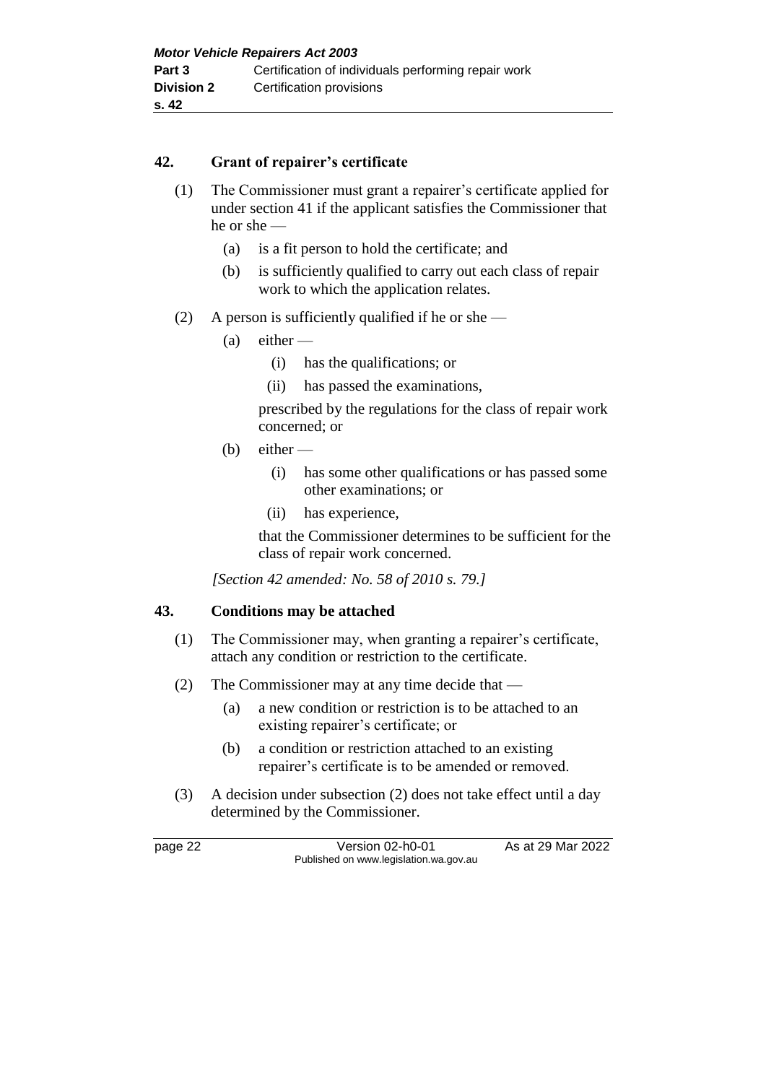#### **42. Grant of repairer's certificate**

- (1) The Commissioner must grant a repairer's certificate applied for under section 41 if the applicant satisfies the Commissioner that he or she —
	- (a) is a fit person to hold the certificate; and
	- (b) is sufficiently qualified to carry out each class of repair work to which the application relates.
- (2) A person is sufficiently qualified if he or she
	- $(a)$  either
		- (i) has the qualifications; or
		- (ii) has passed the examinations,

prescribed by the regulations for the class of repair work concerned; or

- $(b)$  either
	- (i) has some other qualifications or has passed some other examinations; or
	- (ii) has experience,

that the Commissioner determines to be sufficient for the class of repair work concerned.

*[Section 42 amended: No. 58 of 2010 s. 79.]*

#### **43. Conditions may be attached**

- (1) The Commissioner may, when granting a repairer's certificate, attach any condition or restriction to the certificate.
- (2) The Commissioner may at any time decide that
	- (a) a new condition or restriction is to be attached to an existing repairer's certificate; or
	- (b) a condition or restriction attached to an existing repairer's certificate is to be amended or removed.
- (3) A decision under subsection (2) does not take effect until a day determined by the Commissioner.

page 22 Version 02-h0-01 As at 29 Mar 2022 Published on www.legislation.wa.gov.au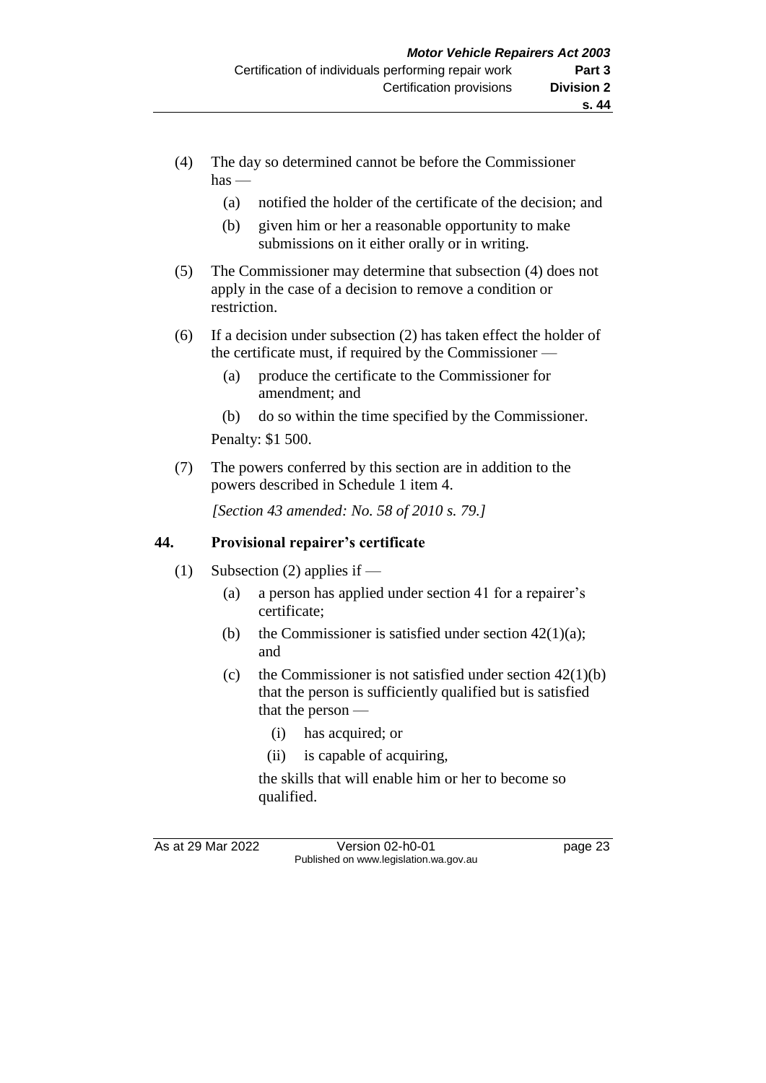- (4) The day so determined cannot be before the Commissioner  $has -$ 
	- (a) notified the holder of the certificate of the decision; and
	- (b) given him or her a reasonable opportunity to make submissions on it either orally or in writing.
- (5) The Commissioner may determine that subsection (4) does not apply in the case of a decision to remove a condition or restriction.
- (6) If a decision under subsection (2) has taken effect the holder of the certificate must, if required by the Commissioner —
	- (a) produce the certificate to the Commissioner for amendment; and
	- (b) do so within the time specified by the Commissioner.

Penalty: \$1 500.

(7) The powers conferred by this section are in addition to the powers described in Schedule 1 item 4.

*[Section 43 amended: No. 58 of 2010 s. 79.]*

#### **44. Provisional repairer's certificate**

- (1) Subsection (2) applies if
	- (a) a person has applied under section 41 for a repairer's certificate;
	- (b) the Commissioner is satisfied under section  $42(1)(a)$ ; and
	- (c) the Commissioner is not satisfied under section  $42(1)(b)$ that the person is sufficiently qualified but is satisfied that the person —
		- (i) has acquired; or
		- (ii) is capable of acquiring,

the skills that will enable him or her to become so qualified.

As at 29 Mar 2022 Version 02-h0-01 page 23 Published on www.legislation.wa.gov.au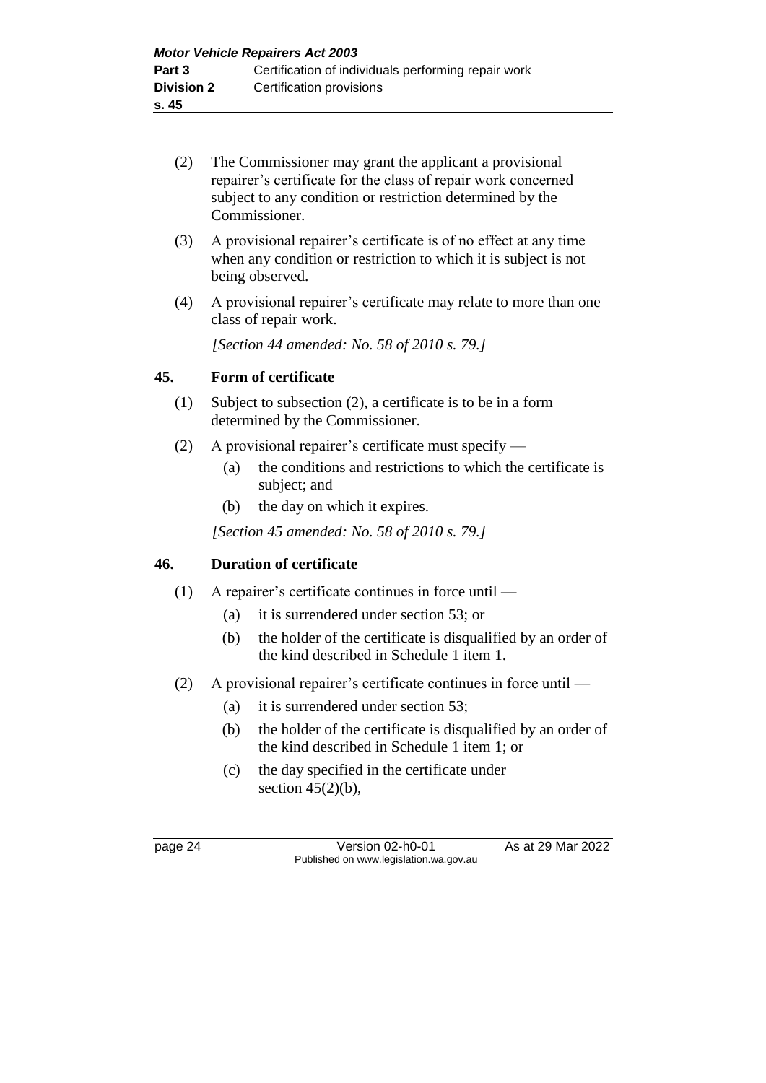- (2) The Commissioner may grant the applicant a provisional repairer's certificate for the class of repair work concerned subject to any condition or restriction determined by the Commissioner.
- (3) A provisional repairer's certificate is of no effect at any time when any condition or restriction to which it is subject is not being observed.
- (4) A provisional repairer's certificate may relate to more than one class of repair work.

*[Section 44 amended: No. 58 of 2010 s. 79.]*

#### **45. Form of certificate**

- (1) Subject to subsection (2), a certificate is to be in a form determined by the Commissioner.
- (2) A provisional repairer's certificate must specify
	- (a) the conditions and restrictions to which the certificate is subject; and
	- (b) the day on which it expires.

*[Section 45 amended: No. 58 of 2010 s. 79.]*

#### **46. Duration of certificate**

- (1) A repairer's certificate continues in force until
	- (a) it is surrendered under section 53; or
	- (b) the holder of the certificate is disqualified by an order of the kind described in Schedule 1 item 1.
- (2) A provisional repairer's certificate continues in force until
	- (a) it is surrendered under section 53;
	- (b) the holder of the certificate is disqualified by an order of the kind described in Schedule 1 item 1; or
	- (c) the day specified in the certificate under section  $45(2)(b)$ ,

page 24 Version 02-h0-01 As at 29 Mar 2022 Published on www.legislation.wa.gov.au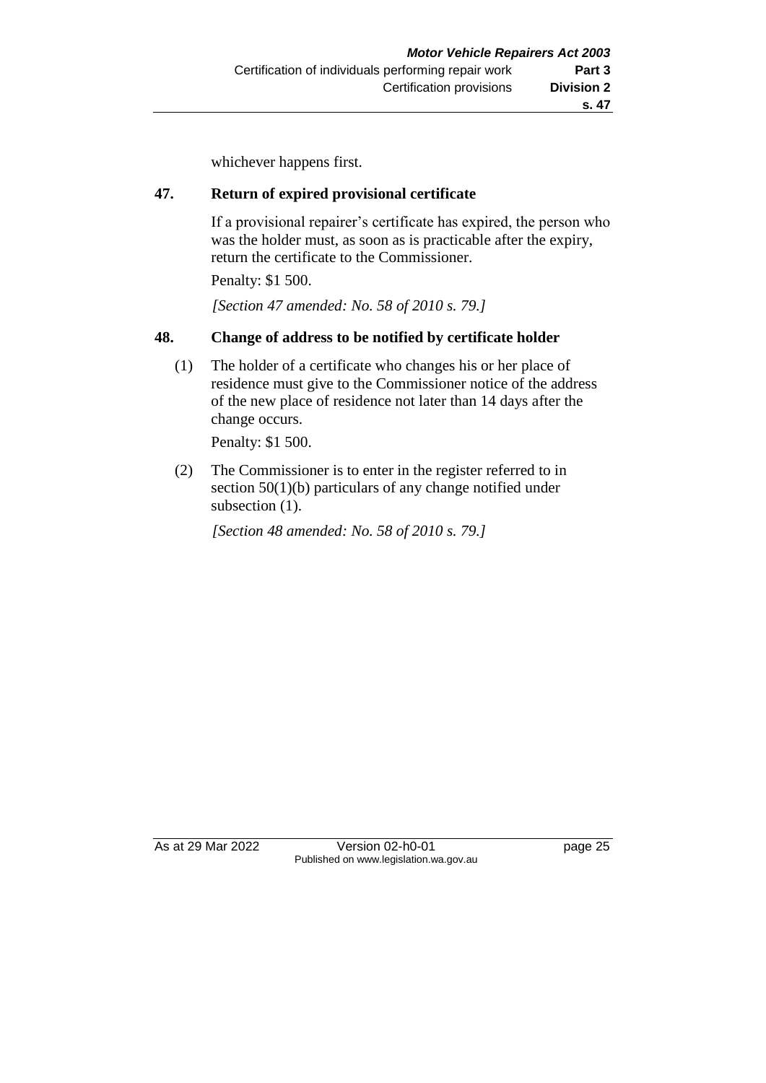whichever happens first.

#### **47. Return of expired provisional certificate**

If a provisional repairer's certificate has expired, the person who was the holder must, as soon as is practicable after the expiry, return the certificate to the Commissioner.

Penalty: \$1 500.

*[Section 47 amended: No. 58 of 2010 s. 79.]*

#### **48. Change of address to be notified by certificate holder**

(1) The holder of a certificate who changes his or her place of residence must give to the Commissioner notice of the address of the new place of residence not later than 14 days after the change occurs.

Penalty: \$1 500.

(2) The Commissioner is to enter in the register referred to in section 50(1)(b) particulars of any change notified under subsection  $(1)$ .

*[Section 48 amended: No. 58 of 2010 s. 79.]*

As at 29 Mar 2022 Version 02-h0-01 page 25 Published on www.legislation.wa.gov.au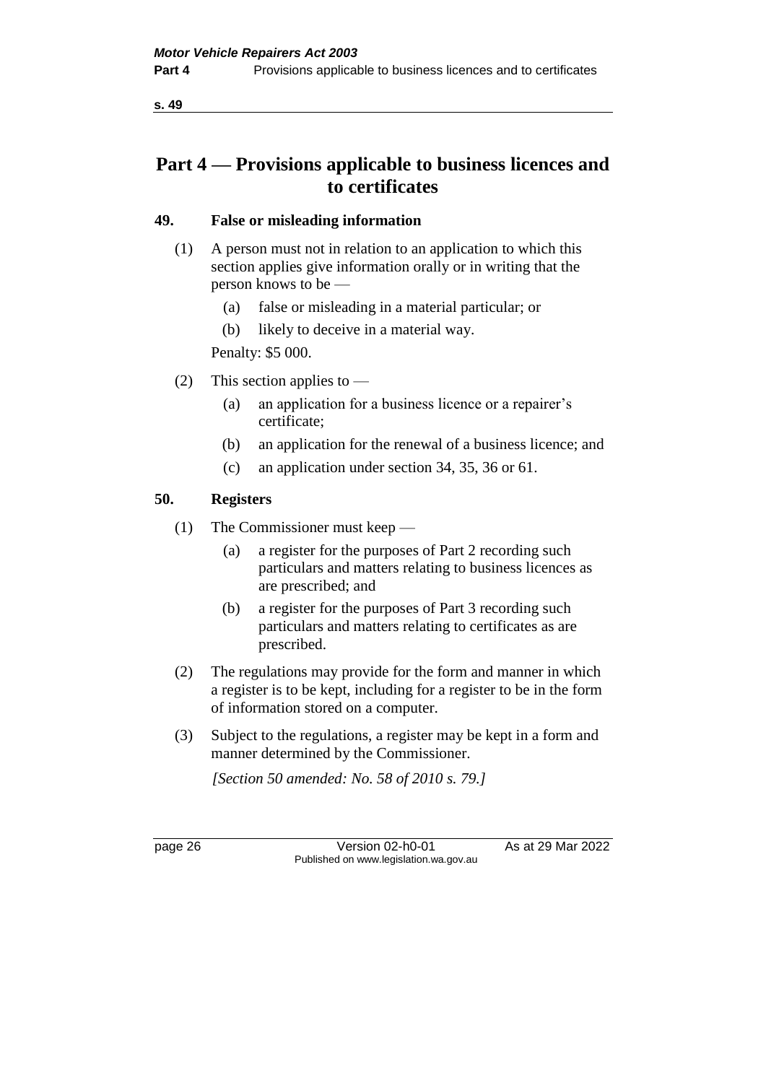**s. 49**

# **Part 4 — Provisions applicable to business licences and to certificates**

## **49. False or misleading information**

- (1) A person must not in relation to an application to which this section applies give information orally or in writing that the person knows to be —
	- (a) false or misleading in a material particular; or
	- (b) likely to deceive in a material way.

Penalty: \$5 000.

- (2) This section applies to
	- (a) an application for a business licence or a repairer's certificate;
	- (b) an application for the renewal of a business licence; and
	- (c) an application under section 34, 35, 36 or 61.

## **50. Registers**

- (1) The Commissioner must keep
	- (a) a register for the purposes of Part 2 recording such particulars and matters relating to business licences as are prescribed; and
	- (b) a register for the purposes of Part 3 recording such particulars and matters relating to certificates as are prescribed.
- (2) The regulations may provide for the form and manner in which a register is to be kept, including for a register to be in the form of information stored on a computer.
- (3) Subject to the regulations, a register may be kept in a form and manner determined by the Commissioner.

*[Section 50 amended: No. 58 of 2010 s. 79.]*

page 26 Version 02-h0-01 As at 29 Mar 2022 Published on www.legislation.wa.gov.au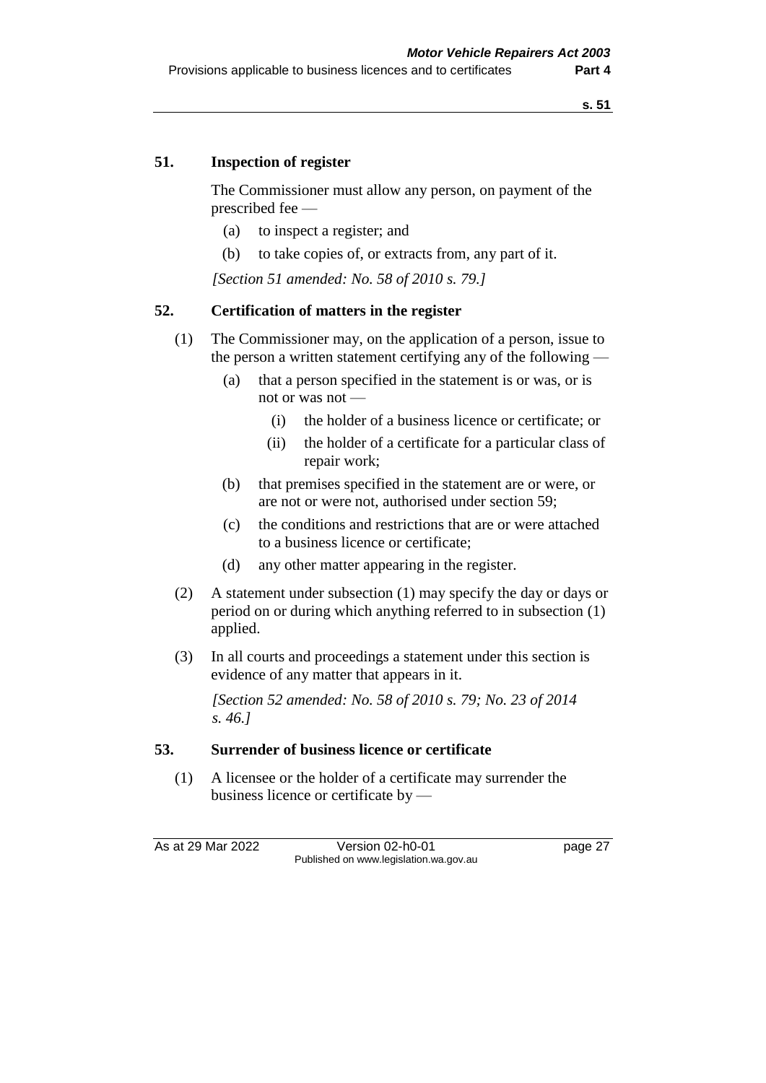#### **51. Inspection of register**

The Commissioner must allow any person, on payment of the prescribed fee —

- (a) to inspect a register; and
- (b) to take copies of, or extracts from, any part of it.

*[Section 51 amended: No. 58 of 2010 s. 79.]*

#### **52. Certification of matters in the register**

- (1) The Commissioner may, on the application of a person, issue to the person a written statement certifying any of the following —
	- (a) that a person specified in the statement is or was, or is not or was not —
		- (i) the holder of a business licence or certificate; or
		- (ii) the holder of a certificate for a particular class of repair work;
	- (b) that premises specified in the statement are or were, or are not or were not, authorised under section 59;
	- (c) the conditions and restrictions that are or were attached to a business licence or certificate;
	- (d) any other matter appearing in the register.
- (2) A statement under subsection (1) may specify the day or days or period on or during which anything referred to in subsection (1) applied.
- (3) In all courts and proceedings a statement under this section is evidence of any matter that appears in it.

*[Section 52 amended: No. 58 of 2010 s. 79; No. 23 of 2014 s. 46.]*

#### **53. Surrender of business licence or certificate**

(1) A licensee or the holder of a certificate may surrender the business licence or certificate by —

As at 29 Mar 2022 Version 02-h0-01 page 27 Published on www.legislation.wa.gov.au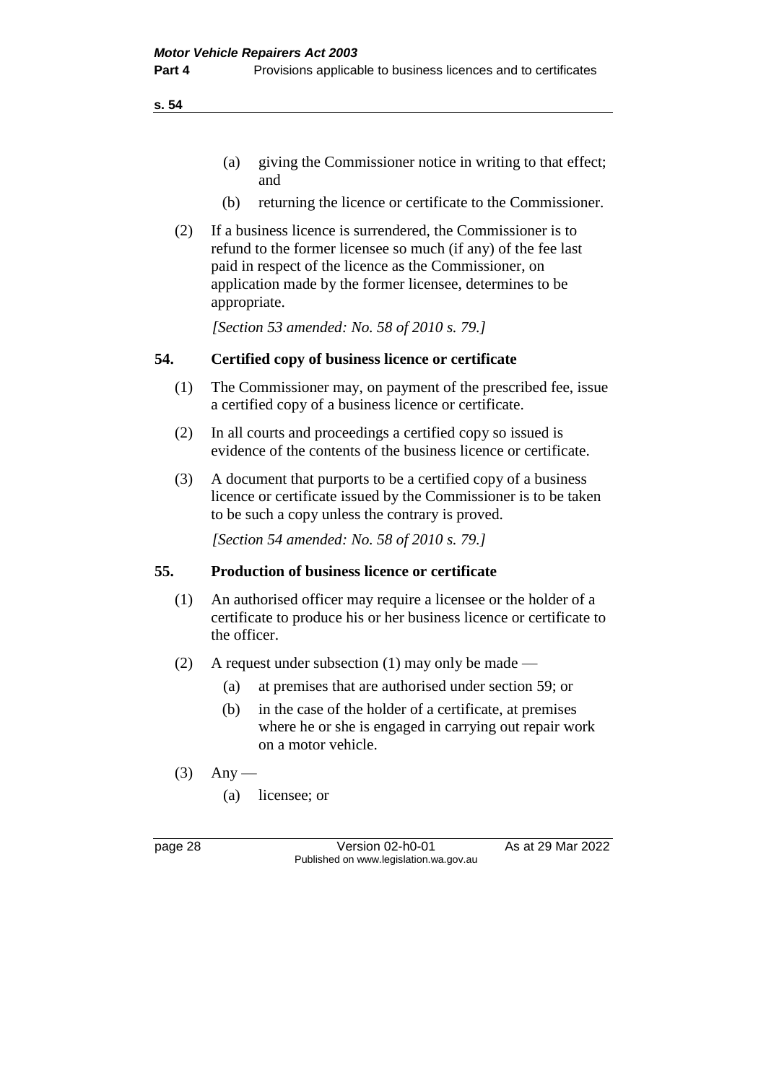**s. 54**

- (a) giving the Commissioner notice in writing to that effect; and
- (b) returning the licence or certificate to the Commissioner.
- (2) If a business licence is surrendered, the Commissioner is to refund to the former licensee so much (if any) of the fee last paid in respect of the licence as the Commissioner, on application made by the former licensee, determines to be appropriate.

*[Section 53 amended: No. 58 of 2010 s. 79.]*

#### **54. Certified copy of business licence or certificate**

- (1) The Commissioner may, on payment of the prescribed fee, issue a certified copy of a business licence or certificate.
- (2) In all courts and proceedings a certified copy so issued is evidence of the contents of the business licence or certificate.
- (3) A document that purports to be a certified copy of a business licence or certificate issued by the Commissioner is to be taken to be such a copy unless the contrary is proved.

*[Section 54 amended: No. 58 of 2010 s. 79.]*

#### **55. Production of business licence or certificate**

- (1) An authorised officer may require a licensee or the holder of a certificate to produce his or her business licence or certificate to the officer.
- (2) A request under subsection (1) may only be made
	- (a) at premises that are authorised under section 59; or
	- (b) in the case of the holder of a certificate, at premises where he or she is engaged in carrying out repair work on a motor vehicle.
- $(3)$  Any
	- (a) licensee; or

page 28 Version 02-h0-01 As at 29 Mar 2022 Published on www.legislation.wa.gov.au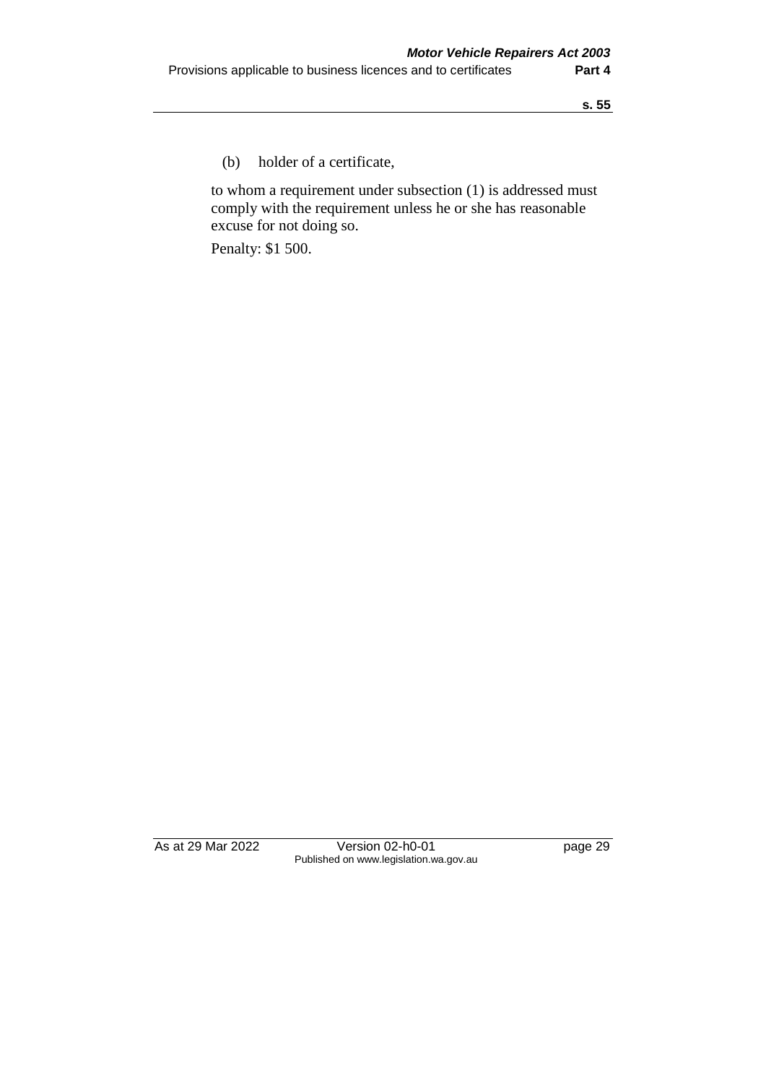(b) holder of a certificate,

to whom a requirement under subsection (1) is addressed must comply with the requirement unless he or she has reasonable excuse for not doing so.

Penalty: \$1 500.

As at 29 Mar 2022 Version 02-h0-01 page 29 Published on www.legislation.wa.gov.au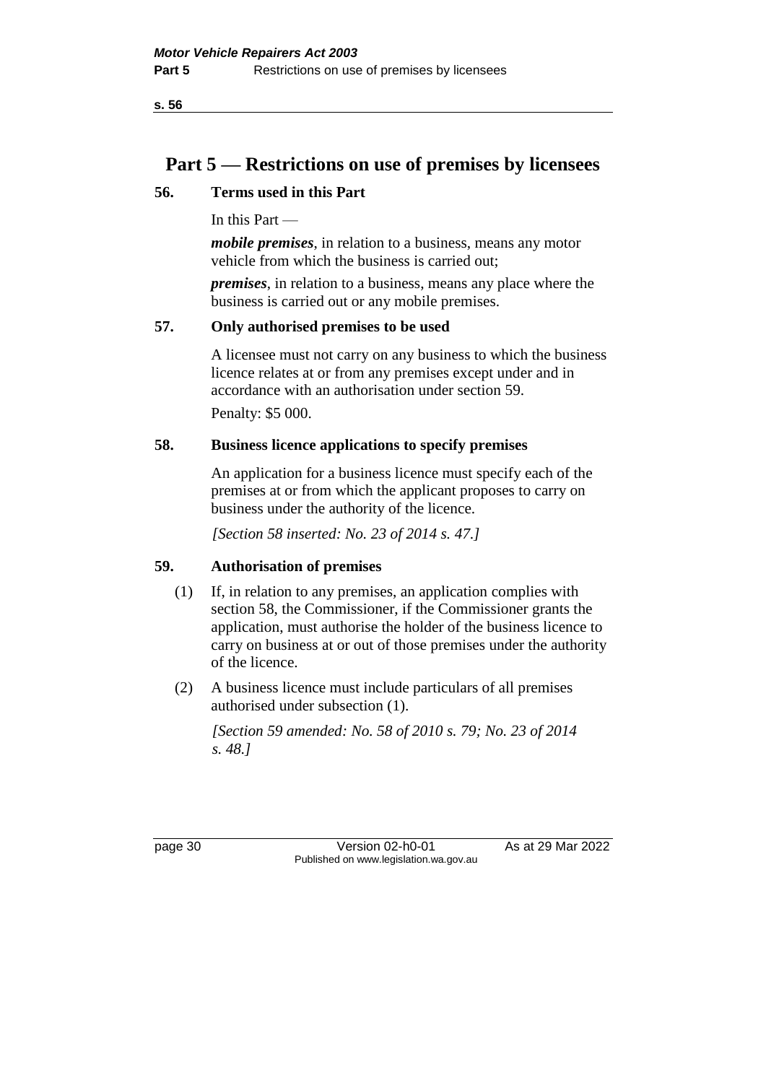# **Part 5 — Restrictions on use of premises by licensees**

## **56. Terms used in this Part**

In this Part —

*mobile premises*, in relation to a business, means any motor vehicle from which the business is carried out;

*premises*, in relation to a business, means any place where the business is carried out or any mobile premises.

## **57. Only authorised premises to be used**

A licensee must not carry on any business to which the business licence relates at or from any premises except under and in accordance with an authorisation under section 59.

Penalty: \$5 000.

## **58. Business licence applications to specify premises**

An application for a business licence must specify each of the premises at or from which the applicant proposes to carry on business under the authority of the licence.

*[Section 58 inserted: No. 23 of 2014 s. 47.]*

# **59. Authorisation of premises**

- (1) If, in relation to any premises, an application complies with section 58, the Commissioner, if the Commissioner grants the application, must authorise the holder of the business licence to carry on business at or out of those premises under the authority of the licence.
- (2) A business licence must include particulars of all premises authorised under subsection (1).

*[Section 59 amended: No. 58 of 2010 s. 79; No. 23 of 2014 s. 48.]*

page 30 Version 02-h0-01 As at 29 Mar 2022 Published on www.legislation.wa.gov.au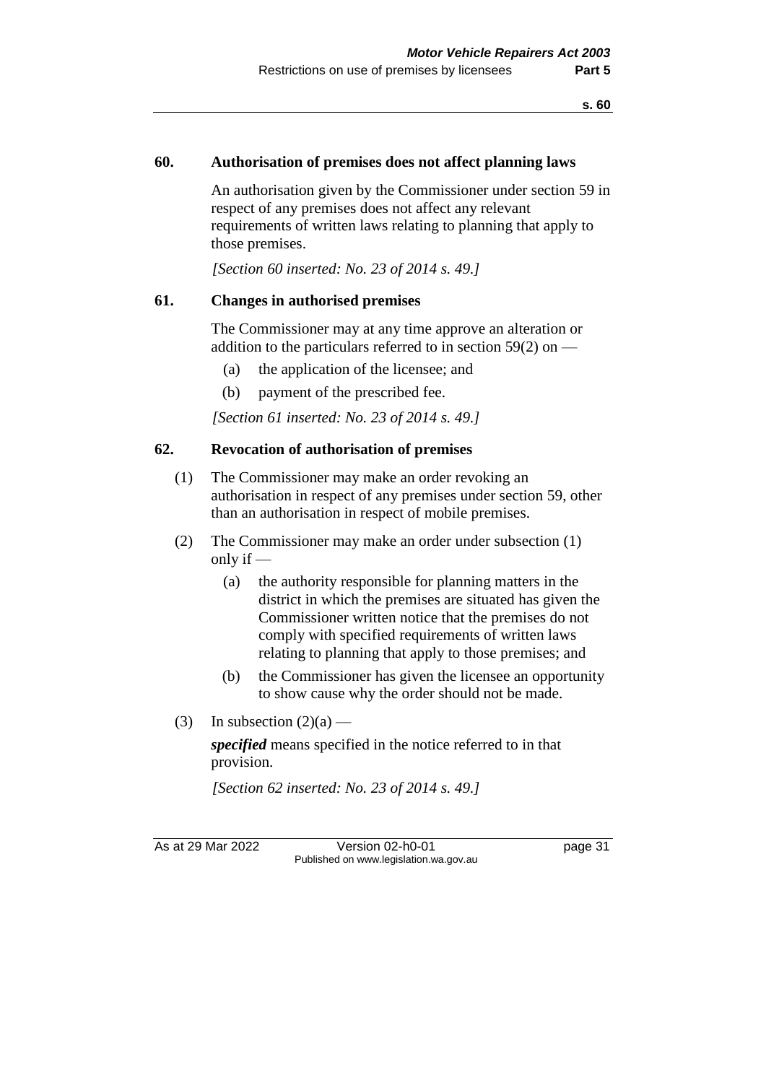#### **60. Authorisation of premises does not affect planning laws**

An authorisation given by the Commissioner under section 59 in respect of any premises does not affect any relevant requirements of written laws relating to planning that apply to those premises.

*[Section 60 inserted: No. 23 of 2014 s. 49.]*

#### **61. Changes in authorised premises**

The Commissioner may at any time approve an alteration or addition to the particulars referred to in section  $59(2)$  on —

- (a) the application of the licensee; and
- (b) payment of the prescribed fee.

*[Section 61 inserted: No. 23 of 2014 s. 49.]*

#### **62. Revocation of authorisation of premises**

- (1) The Commissioner may make an order revoking an authorisation in respect of any premises under section 59, other than an authorisation in respect of mobile premises.
- (2) The Commissioner may make an order under subsection (1) only if —
	- (a) the authority responsible for planning matters in the district in which the premises are situated has given the Commissioner written notice that the premises do not comply with specified requirements of written laws relating to planning that apply to those premises; and
	- (b) the Commissioner has given the licensee an opportunity to show cause why the order should not be made.
- (3) In subsection  $(2)(a)$  —

*specified* means specified in the notice referred to in that provision.

*[Section 62 inserted: No. 23 of 2014 s. 49.]*

As at 29 Mar 2022 Version 02-h0-01 page 31 Published on www.legislation.wa.gov.au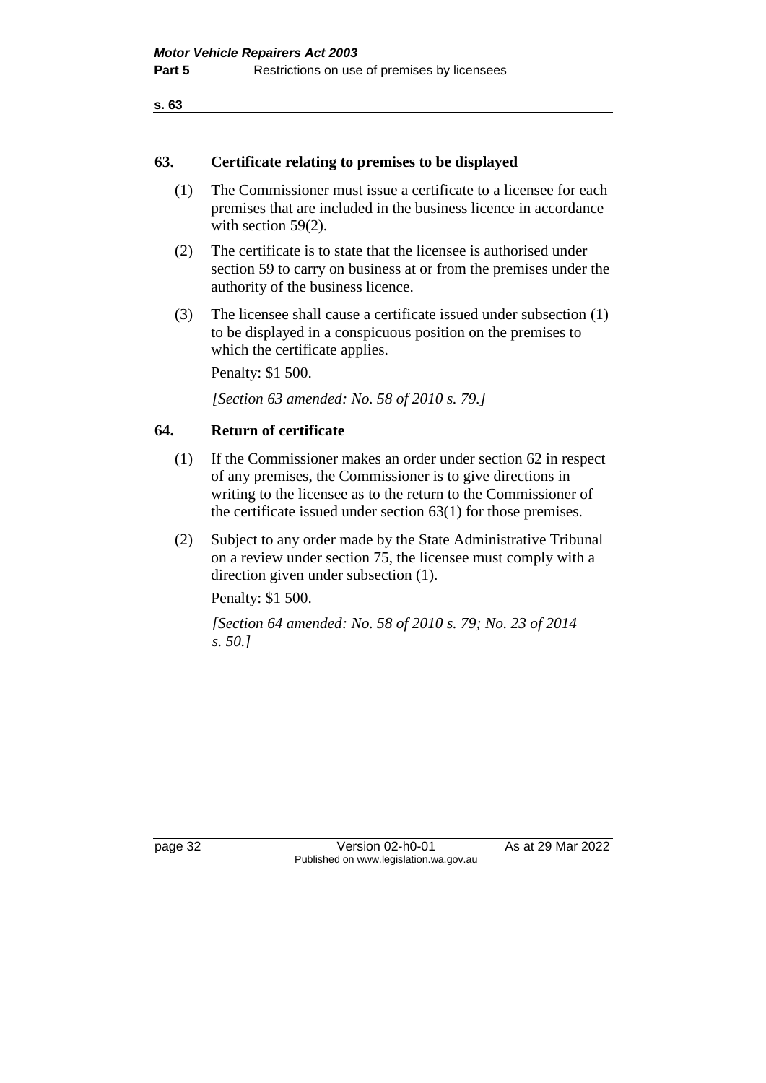```
s. 63
```
#### **63. Certificate relating to premises to be displayed**

- (1) The Commissioner must issue a certificate to a licensee for each premises that are included in the business licence in accordance with section 59(2).
- (2) The certificate is to state that the licensee is authorised under section 59 to carry on business at or from the premises under the authority of the business licence.
- (3) The licensee shall cause a certificate issued under subsection (1) to be displayed in a conspicuous position on the premises to which the certificate applies.

Penalty: \$1 500.

*[Section 63 amended: No. 58 of 2010 s. 79.]*

## **64. Return of certificate**

- (1) If the Commissioner makes an order under section 62 in respect of any premises, the Commissioner is to give directions in writing to the licensee as to the return to the Commissioner of the certificate issued under section 63(1) for those premises.
- (2) Subject to any order made by the State Administrative Tribunal on a review under section 75, the licensee must comply with a direction given under subsection (1).

Penalty: \$1 500.

*[Section 64 amended: No. 58 of 2010 s. 79; No. 23 of 2014 s. 50.]*

page 32 Version 02-h0-01 As at 29 Mar 2022 Published on www.legislation.wa.gov.au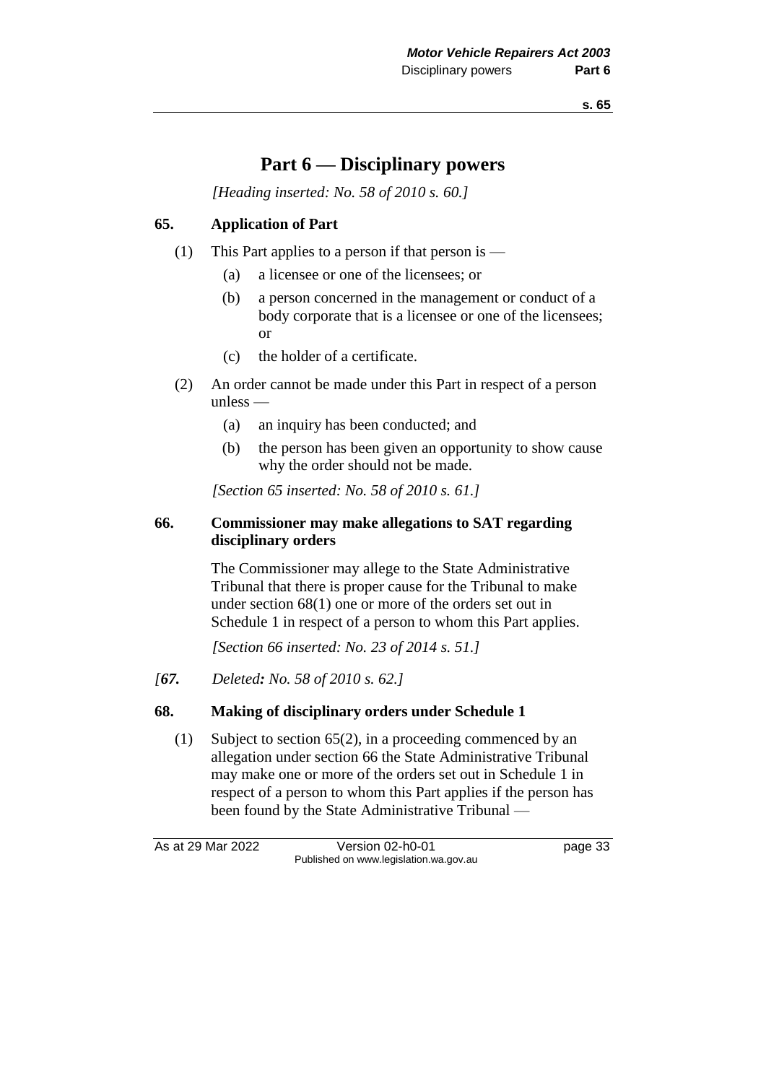# **Part 6 — Disciplinary powers**

*[Heading inserted: No. 58 of 2010 s. 60.]*

# **65. Application of Part**

- (1) This Part applies to a person if that person is
	- (a) a licensee or one of the licensees; or
	- (b) a person concerned in the management or conduct of a body corporate that is a licensee or one of the licensees; or
	- (c) the holder of a certificate.
- (2) An order cannot be made under this Part in respect of a person unless —
	- (a) an inquiry has been conducted; and
	- (b) the person has been given an opportunity to show cause why the order should not be made.

*[Section 65 inserted: No. 58 of 2010 s. 61.]*

# **66. Commissioner may make allegations to SAT regarding disciplinary orders**

The Commissioner may allege to the State Administrative Tribunal that there is proper cause for the Tribunal to make under section 68(1) one or more of the orders set out in Schedule 1 in respect of a person to whom this Part applies.

*[Section 66 inserted: No. 23 of 2014 s. 51.]*

*[67. Deleted: No. 58 of 2010 s. 62.]*

# **68. Making of disciplinary orders under Schedule 1**

(1) Subject to section 65(2), in a proceeding commenced by an allegation under section 66 the State Administrative Tribunal may make one or more of the orders set out in Schedule 1 in respect of a person to whom this Part applies if the person has been found by the State Administrative Tribunal —

As at 29 Mar 2022 Version 02-h0-01 page 33 Published on www.legislation.wa.gov.au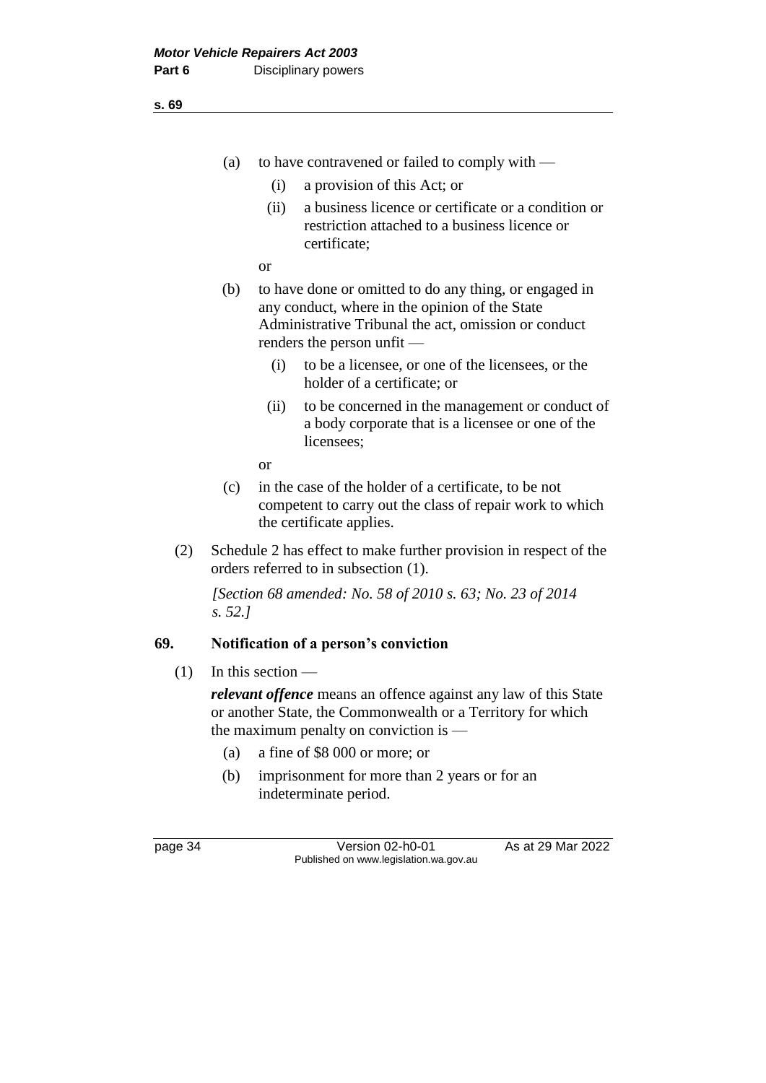- (a) to have contravened or failed to comply with
	- (i) a provision of this Act; or
	- (ii) a business licence or certificate or a condition or restriction attached to a business licence or certificate;
	- or
- (b) to have done or omitted to do any thing, or engaged in any conduct, where in the opinion of the State Administrative Tribunal the act, omission or conduct renders the person unfit —
	- (i) to be a licensee, or one of the licensees, or the holder of a certificate; or
	- (ii) to be concerned in the management or conduct of a body corporate that is a licensee or one of the licensees;

or

- (c) in the case of the holder of a certificate, to be not competent to carry out the class of repair work to which the certificate applies.
- (2) Schedule 2 has effect to make further provision in respect of the orders referred to in subsection (1).

*[Section 68 amended: No. 58 of 2010 s. 63; No. 23 of 2014 s. 52.]*

# **69. Notification of a person's conviction**

 $(1)$  In this section —

*relevant offence* means an offence against any law of this State or another State, the Commonwealth or a Territory for which the maximum penalty on conviction is —

- (a) a fine of \$8 000 or more; or
- (b) imprisonment for more than 2 years or for an indeterminate period.

page 34 Version 02-h0-01 As at 29 Mar 2022 Published on www.legislation.wa.gov.au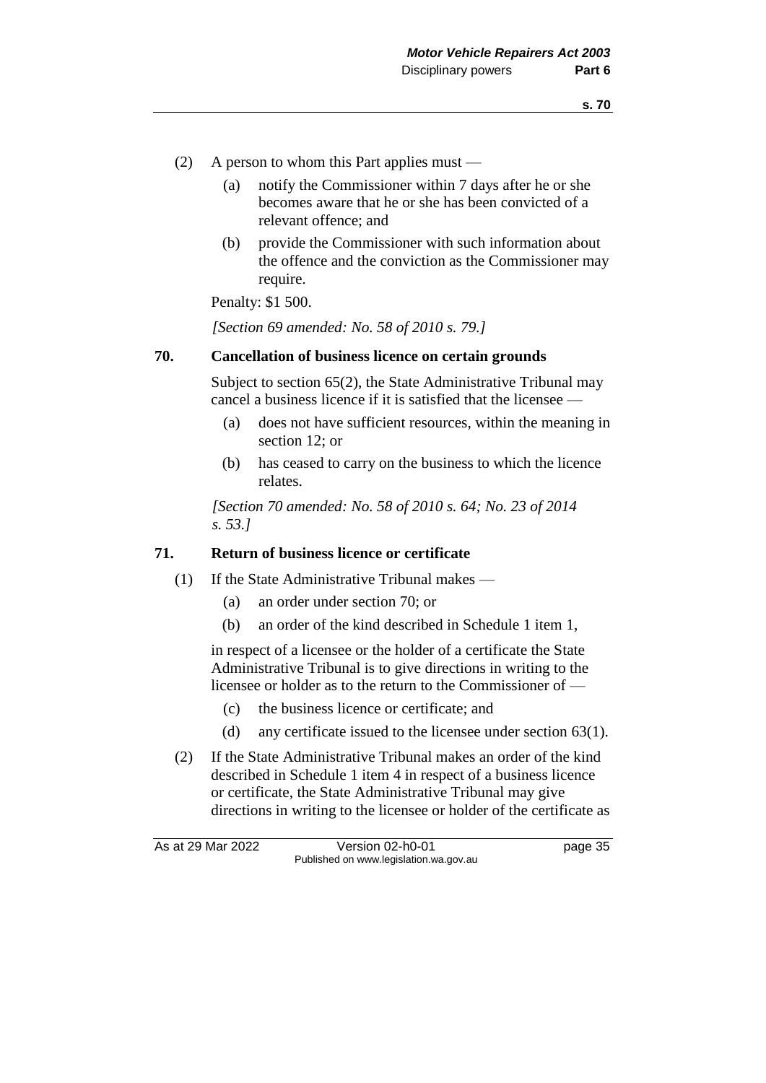- (2) A person to whom this Part applies must
	- (a) notify the Commissioner within 7 days after he or she becomes aware that he or she has been convicted of a relevant offence; and
	- (b) provide the Commissioner with such information about the offence and the conviction as the Commissioner may require.

Penalty: \$1 500.

*[Section 69 amended: No. 58 of 2010 s. 79.]*

#### **70. Cancellation of business licence on certain grounds**

Subject to section 65(2), the State Administrative Tribunal may cancel a business licence if it is satisfied that the licensee —

- (a) does not have sufficient resources, within the meaning in section 12; or
- (b) has ceased to carry on the business to which the licence relates.

*[Section 70 amended: No. 58 of 2010 s. 64; No. 23 of 2014 s. 53.]*

#### **71. Return of business licence or certificate**

- (1) If the State Administrative Tribunal makes
	- (a) an order under section 70; or
	- (b) an order of the kind described in Schedule 1 item 1,

in respect of a licensee or the holder of a certificate the State Administrative Tribunal is to give directions in writing to the licensee or holder as to the return to the Commissioner of —

- (c) the business licence or certificate; and
- (d) any certificate issued to the licensee under section 63(1).
- (2) If the State Administrative Tribunal makes an order of the kind described in Schedule 1 item 4 in respect of a business licence or certificate, the State Administrative Tribunal may give directions in writing to the licensee or holder of the certificate as

As at 29 Mar 2022 Version 02-h0-01 page 35 Published on www.legislation.wa.gov.au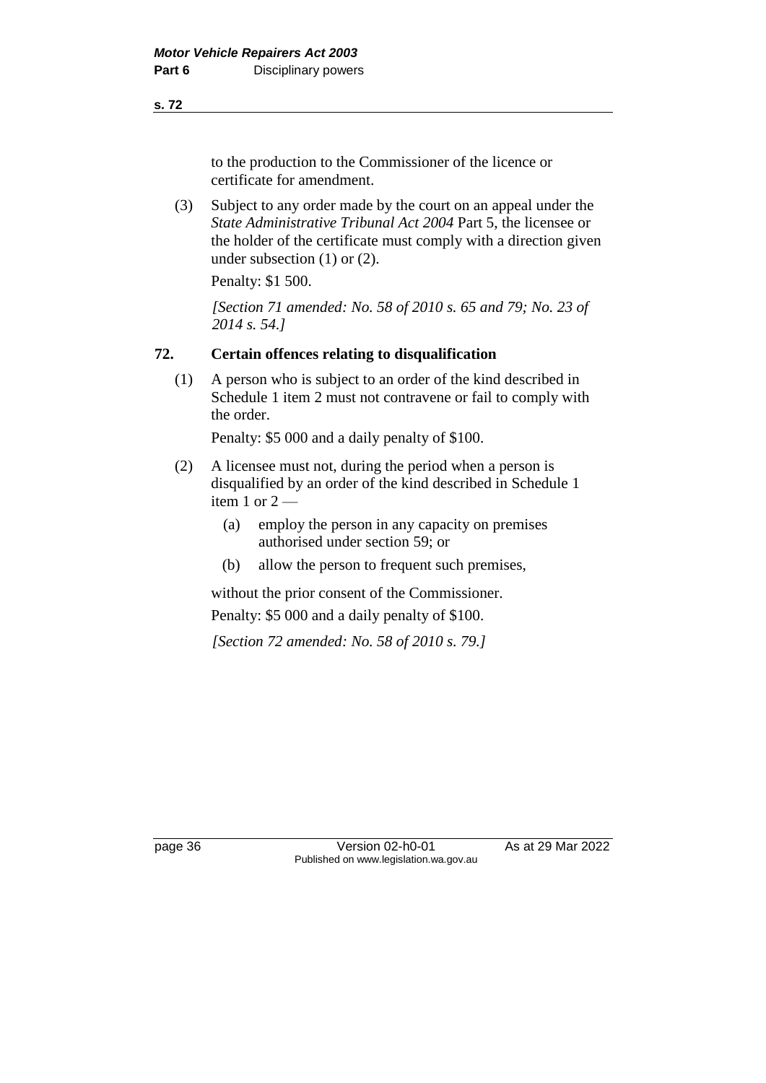to the production to the Commissioner of the licence or certificate for amendment.

(3) Subject to any order made by the court on an appeal under the *State Administrative Tribunal Act 2004* Part 5, the licensee or the holder of the certificate must comply with a direction given under subsection (1) or (2).

Penalty: \$1 500.

*[Section 71 amended: No. 58 of 2010 s. 65 and 79; No. 23 of 2014 s. 54.]*

# **72. Certain offences relating to disqualification**

(1) A person who is subject to an order of the kind described in Schedule 1 item 2 must not contravene or fail to comply with the order.

Penalty: \$5 000 and a daily penalty of \$100.

- (2) A licensee must not, during the period when a person is disqualified by an order of the kind described in Schedule 1 item 1 or  $2-$ 
	- (a) employ the person in any capacity on premises authorised under section 59; or
	- (b) allow the person to frequent such premises,

without the prior consent of the Commissioner.

Penalty: \$5 000 and a daily penalty of \$100.

*[Section 72 amended: No. 58 of 2010 s. 79.]*

page 36 Version 02-h0-01 As at 29 Mar 2022 Published on www.legislation.wa.gov.au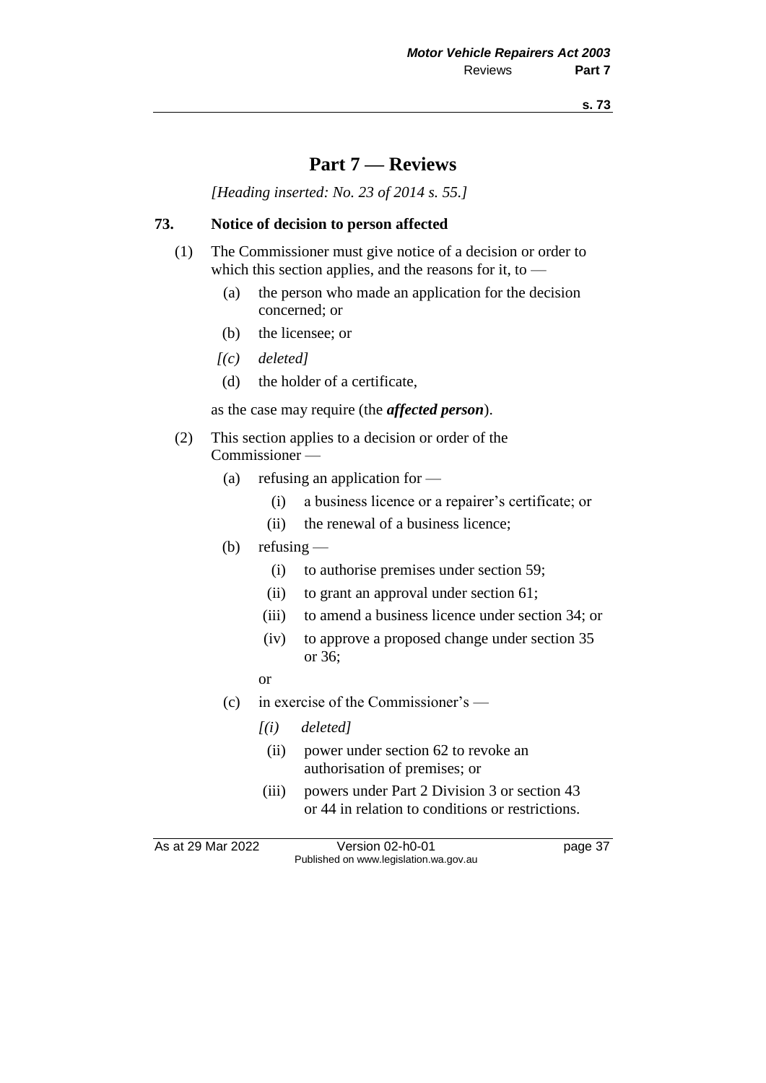# **Part 7 — Reviews**

*[Heading inserted: No. 23 of 2014 s. 55.]*

# **73. Notice of decision to person affected**

- (1) The Commissioner must give notice of a decision or order to which this section applies, and the reasons for it, to  $-$ 
	- (a) the person who made an application for the decision concerned; or
	- (b) the licensee; or
	- *[(c) deleted]*
	- (d) the holder of a certificate,

as the case may require (the *affected person*).

- (2) This section applies to a decision or order of the Commissioner —
	- (a) refusing an application for
		- (i) a business licence or a repairer's certificate; or
		- (ii) the renewal of a business licence;
	- (b) refusing  $-$ 
		- (i) to authorise premises under section 59;
		- (ii) to grant an approval under section 61;
		- (iii) to amend a business licence under section 34; or
		- (iv) to approve a proposed change under section 35 or 36;
		- or
	- (c) in exercise of the Commissioner's
		- *[(i) deleted]*
			- (ii) power under section 62 to revoke an authorisation of premises; or
		- (iii) powers under Part 2 Division 3 or section 43 or 44 in relation to conditions or restrictions.

As at 29 Mar 2022 Version 02-h0-01 page 37 Published on www.legislation.wa.gov.au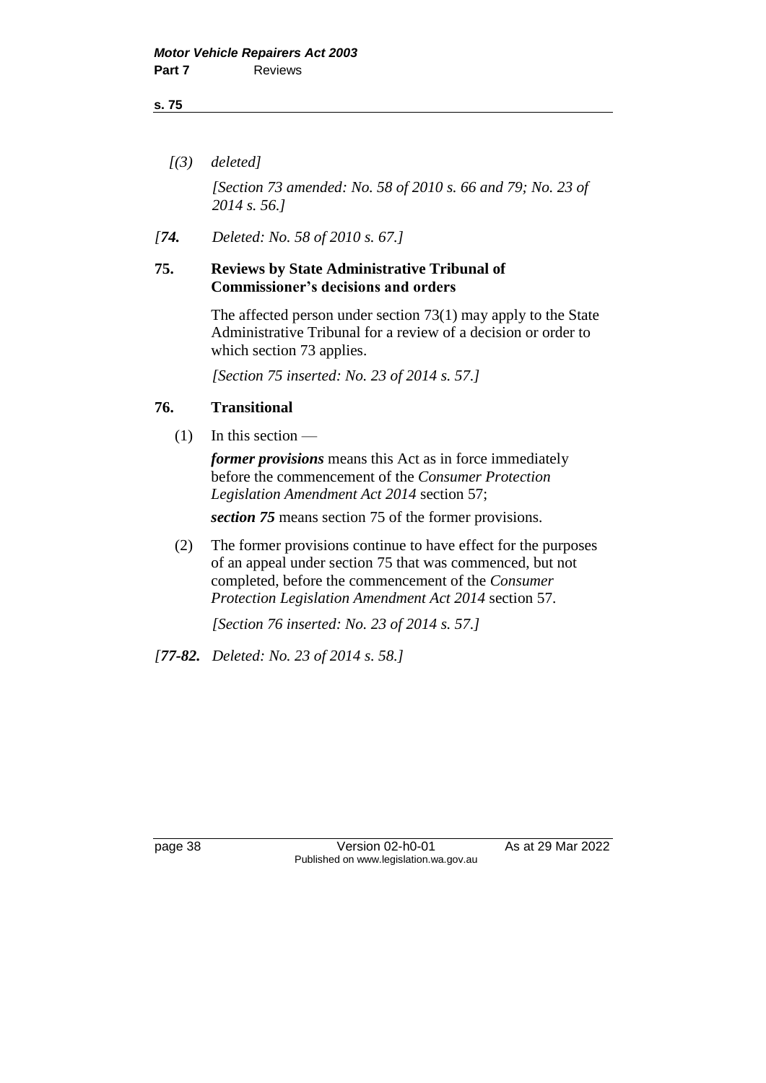*[(3) deleted]*

*[Section 73 amended: No. 58 of 2010 s. 66 and 79; No. 23 of 2014 s. 56.]*

*[74. Deleted: No. 58 of 2010 s. 67.]*

#### **75. Reviews by State Administrative Tribunal of Commissioner's decisions and orders**

The affected person under section 73(1) may apply to the State Administrative Tribunal for a review of a decision or order to which section 73 applies.

*[Section 75 inserted: No. 23 of 2014 s. 57.]*

## **76. Transitional**

 $(1)$  In this section —

*former provisions* means this Act as in force immediately before the commencement of the *Consumer Protection Legislation Amendment Act 2014* section 57;

*section 75* means section 75 of the former provisions.

(2) The former provisions continue to have effect for the purposes of an appeal under section 75 that was commenced, but not completed, before the commencement of the *Consumer Protection Legislation Amendment Act 2014* section 57.

*[Section 76 inserted: No. 23 of 2014 s. 57.]*

*[77-82. Deleted: No. 23 of 2014 s. 58.]*

page 38 Version 02-h0-01 As at 29 Mar 2022 Published on www.legislation.wa.gov.au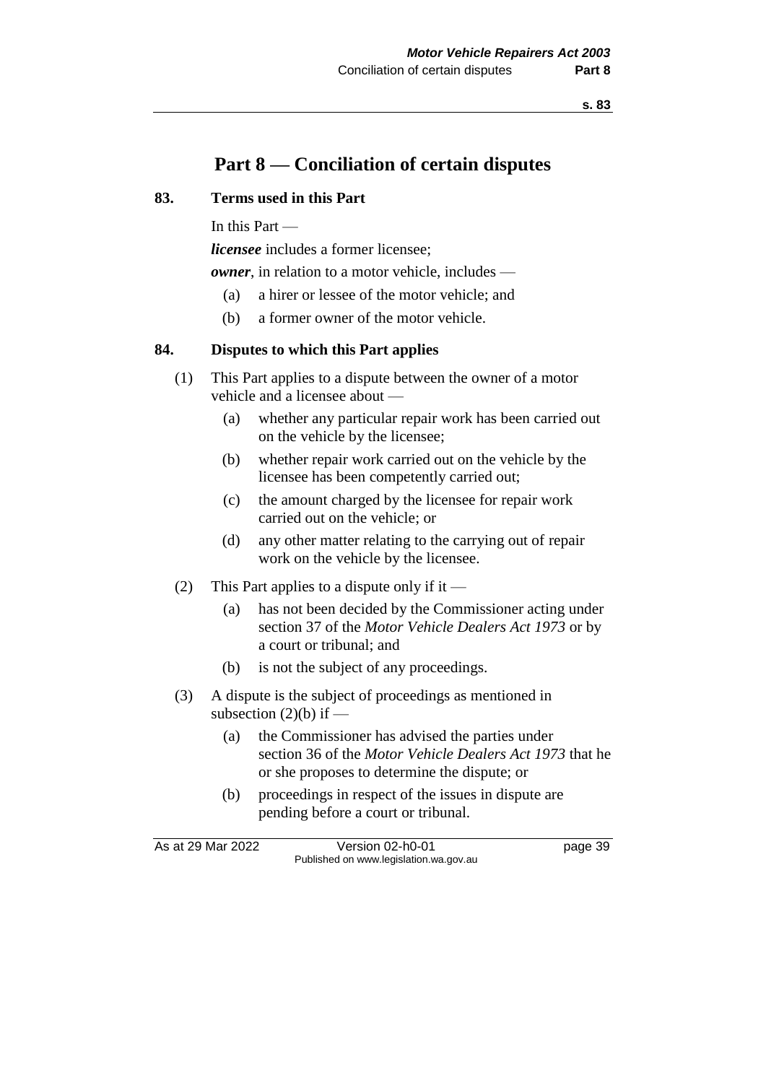# **Part 8 — Conciliation of certain disputes**

## **83. Terms used in this Part**

In this Part —

*licensee* includes a former licensee;

*owner*, in relation to a motor vehicle, includes —

- (a) a hirer or lessee of the motor vehicle; and
- (b) a former owner of the motor vehicle.

## **84. Disputes to which this Part applies**

- (1) This Part applies to a dispute between the owner of a motor vehicle and a licensee about —
	- (a) whether any particular repair work has been carried out on the vehicle by the licensee;
	- (b) whether repair work carried out on the vehicle by the licensee has been competently carried out;
	- (c) the amount charged by the licensee for repair work carried out on the vehicle; or
	- (d) any other matter relating to the carrying out of repair work on the vehicle by the licensee.
- (2) This Part applies to a dispute only if it
	- (a) has not been decided by the Commissioner acting under section 37 of the *Motor Vehicle Dealers Act 1973* or by a court or tribunal; and
	- (b) is not the subject of any proceedings.
- (3) A dispute is the subject of proceedings as mentioned in subsection  $(2)(b)$  if —
	- (a) the Commissioner has advised the parties under section 36 of the *Motor Vehicle Dealers Act 1973* that he or she proposes to determine the dispute; or
	- (b) proceedings in respect of the issues in dispute are pending before a court or tribunal.

As at 29 Mar 2022 Version 02-h0-01 page 39 Published on www.legislation.wa.gov.au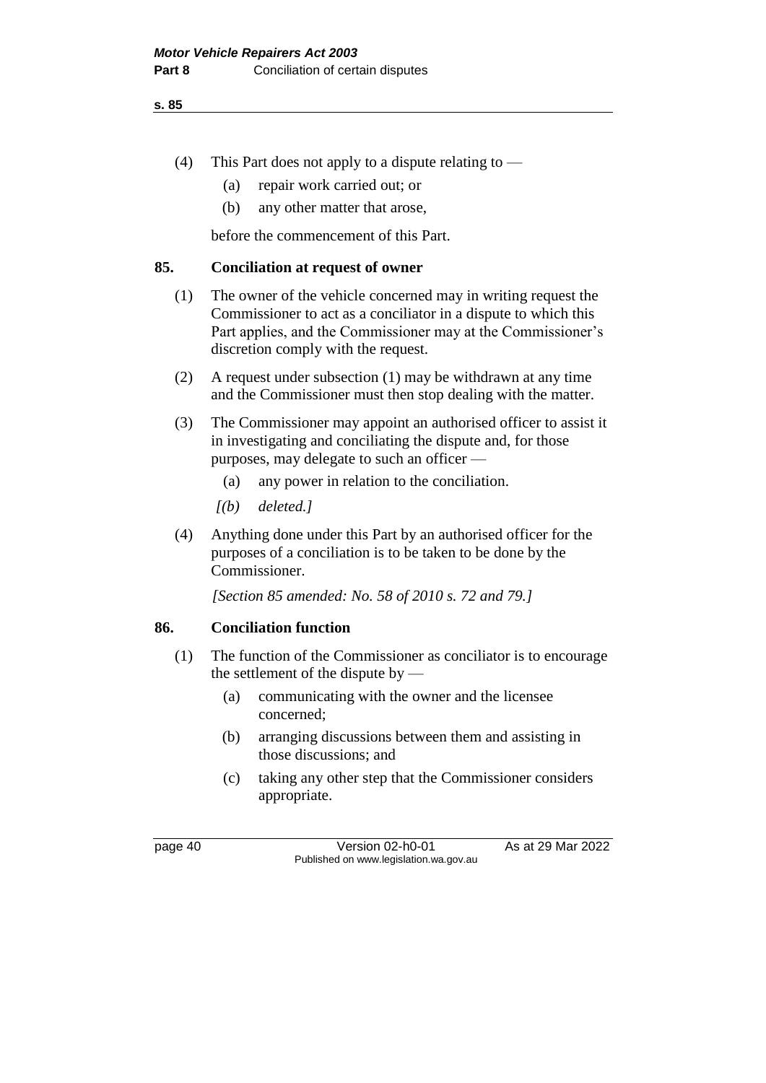- (4) This Part does not apply to a dispute relating to
	- (a) repair work carried out; or
	- (b) any other matter that arose,

before the commencement of this Part.

## **85. Conciliation at request of owner**

- (1) The owner of the vehicle concerned may in writing request the Commissioner to act as a conciliator in a dispute to which this Part applies, and the Commissioner may at the Commissioner's discretion comply with the request.
- (2) A request under subsection (1) may be withdrawn at any time and the Commissioner must then stop dealing with the matter.
- (3) The Commissioner may appoint an authorised officer to assist it in investigating and conciliating the dispute and, for those purposes, may delegate to such an officer —
	- (a) any power in relation to the conciliation.
	- *[(b) deleted.]*
- (4) Anything done under this Part by an authorised officer for the purposes of a conciliation is to be taken to be done by the Commissioner.

*[Section 85 amended: No. 58 of 2010 s. 72 and 79.]*

# **86. Conciliation function**

- (1) The function of the Commissioner as conciliator is to encourage the settlement of the dispute by —
	- (a) communicating with the owner and the licensee concerned;
	- (b) arranging discussions between them and assisting in those discussions; and
	- (c) taking any other step that the Commissioner considers appropriate.

page 40 Version 02-h0-01 As at 29 Mar 2022 Published on www.legislation.wa.gov.au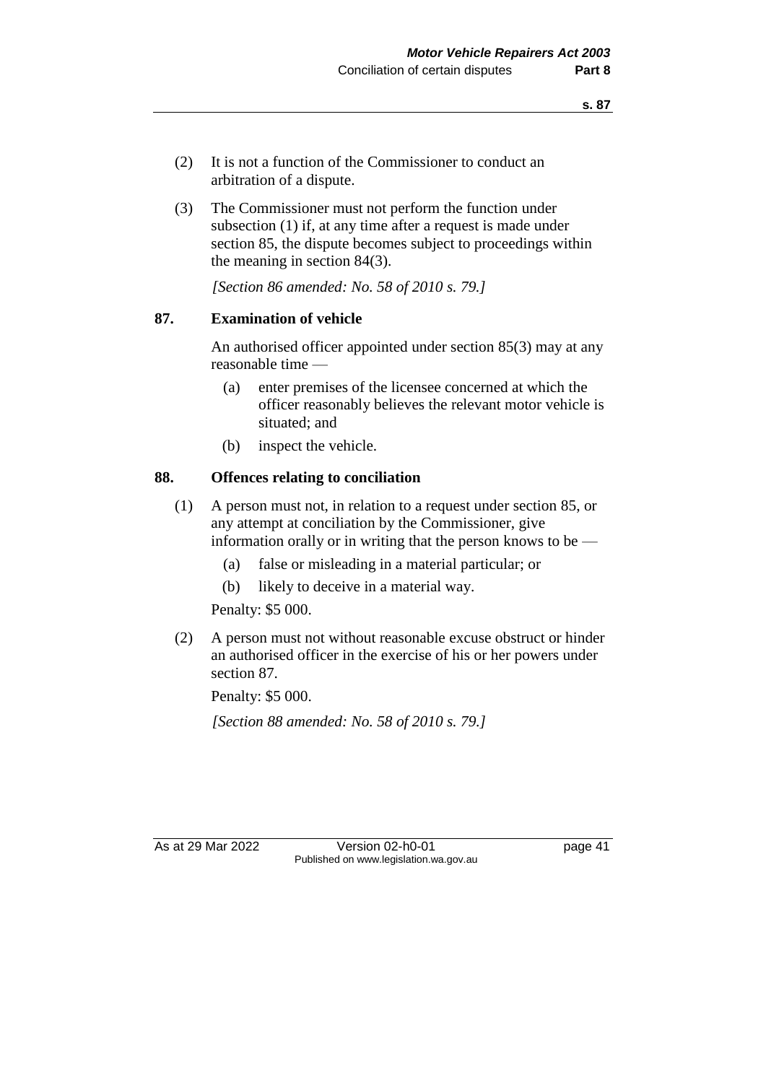- (2) It is not a function of the Commissioner to conduct an arbitration of a dispute.
- (3) The Commissioner must not perform the function under subsection (1) if, at any time after a request is made under section 85, the dispute becomes subject to proceedings within the meaning in section 84(3).

*[Section 86 amended: No. 58 of 2010 s. 79.]*

## **87. Examination of vehicle**

An authorised officer appointed under section 85(3) may at any reasonable time —

- (a) enter premises of the licensee concerned at which the officer reasonably believes the relevant motor vehicle is situated; and
- (b) inspect the vehicle.

## **88. Offences relating to conciliation**

- (1) A person must not, in relation to a request under section 85, or any attempt at conciliation by the Commissioner, give information orally or in writing that the person knows to be —
	- (a) false or misleading in a material particular; or
	- (b) likely to deceive in a material way.

Penalty: \$5 000.

(2) A person must not without reasonable excuse obstruct or hinder an authorised officer in the exercise of his or her powers under section 87.

Penalty: \$5 000.

*[Section 88 amended: No. 58 of 2010 s. 79.]*

As at 29 Mar 2022 Version 02-h0-01 page 41 Published on www.legislation.wa.gov.au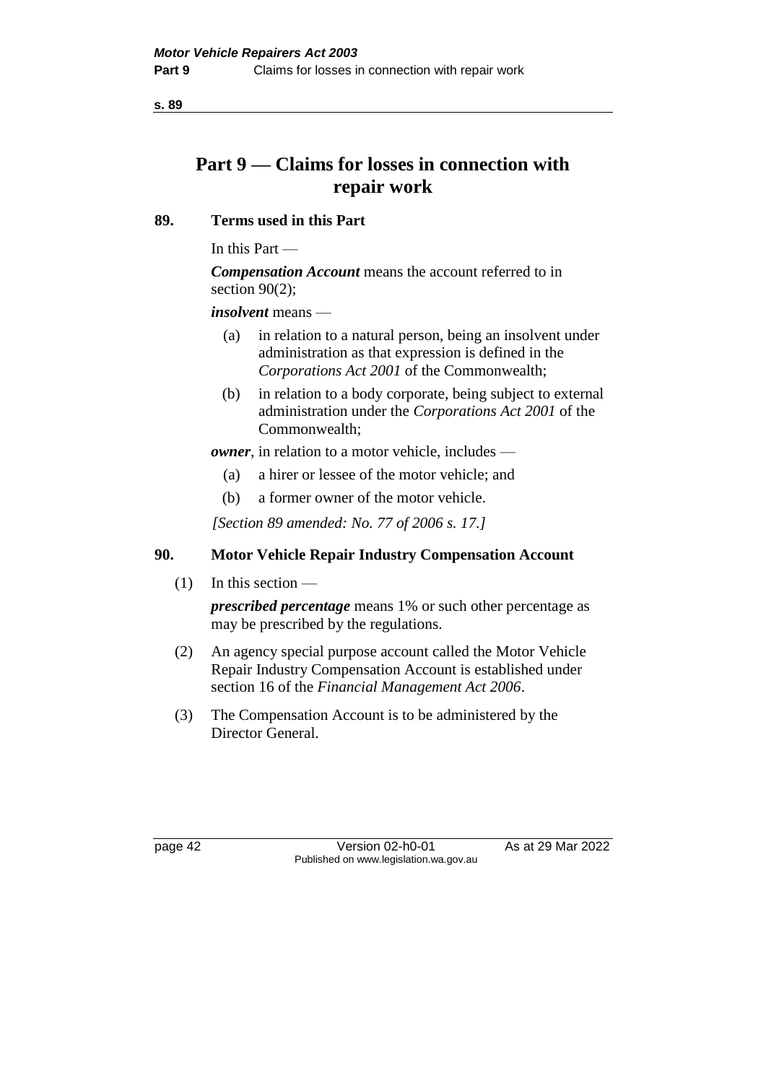# **Part 9 — Claims for losses in connection with repair work**

## **89. Terms used in this Part**

In this Part —

*Compensation Account* means the account referred to in section  $90(2)$ ;

*insolvent* means —

- (a) in relation to a natural person, being an insolvent under administration as that expression is defined in the *Corporations Act 2001* of the Commonwealth;
- (b) in relation to a body corporate, being subject to external administration under the *Corporations Act 2001* of the Commonwealth;

*owner*, in relation to a motor vehicle, includes —

- (a) a hirer or lessee of the motor vehicle; and
- (b) a former owner of the motor vehicle.

*[Section 89 amended: No. 77 of 2006 s. 17.]*

# **90. Motor Vehicle Repair Industry Compensation Account**

(1) In this section —

*prescribed percentage* means 1% or such other percentage as may be prescribed by the regulations.

- (2) An agency special purpose account called the Motor Vehicle Repair Industry Compensation Account is established under section 16 of the *Financial Management Act 2006*.
- (3) The Compensation Account is to be administered by the Director General.

page 42 Version 02-h0-01 As at 29 Mar 2022 Published on www.legislation.wa.gov.au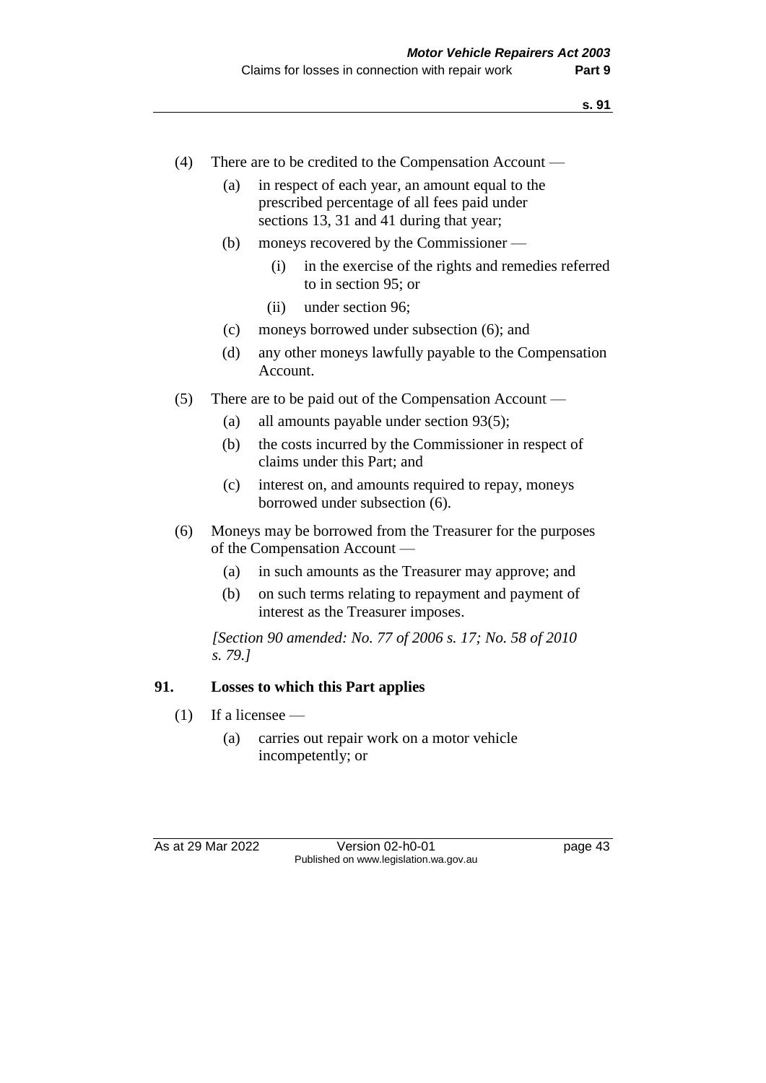- (4) There are to be credited to the Compensation Account
	- (a) in respect of each year, an amount equal to the prescribed percentage of all fees paid under sections 13, 31 and 41 during that year;
	- (b) moneys recovered by the Commissioner
		- (i) in the exercise of the rights and remedies referred to in section 95; or
		- (ii) under section 96;
	- (c) moneys borrowed under subsection (6); and
	- (d) any other moneys lawfully payable to the Compensation Account.
- (5) There are to be paid out of the Compensation Account
	- (a) all amounts payable under section 93(5);
	- (b) the costs incurred by the Commissioner in respect of claims under this Part; and
	- (c) interest on, and amounts required to repay, moneys borrowed under subsection (6).
- (6) Moneys may be borrowed from the Treasurer for the purposes of the Compensation Account —
	- (a) in such amounts as the Treasurer may approve; and
	- (b) on such terms relating to repayment and payment of interest as the Treasurer imposes.

*[Section 90 amended: No. 77 of 2006 s. 17; No. 58 of 2010 s. 79.]*

#### **91. Losses to which this Part applies**

- $(1)$  If a licensee
	- (a) carries out repair work on a motor vehicle incompetently; or

As at 29 Mar 2022 Version 02-h0-01 page 43 Published on www.legislation.wa.gov.au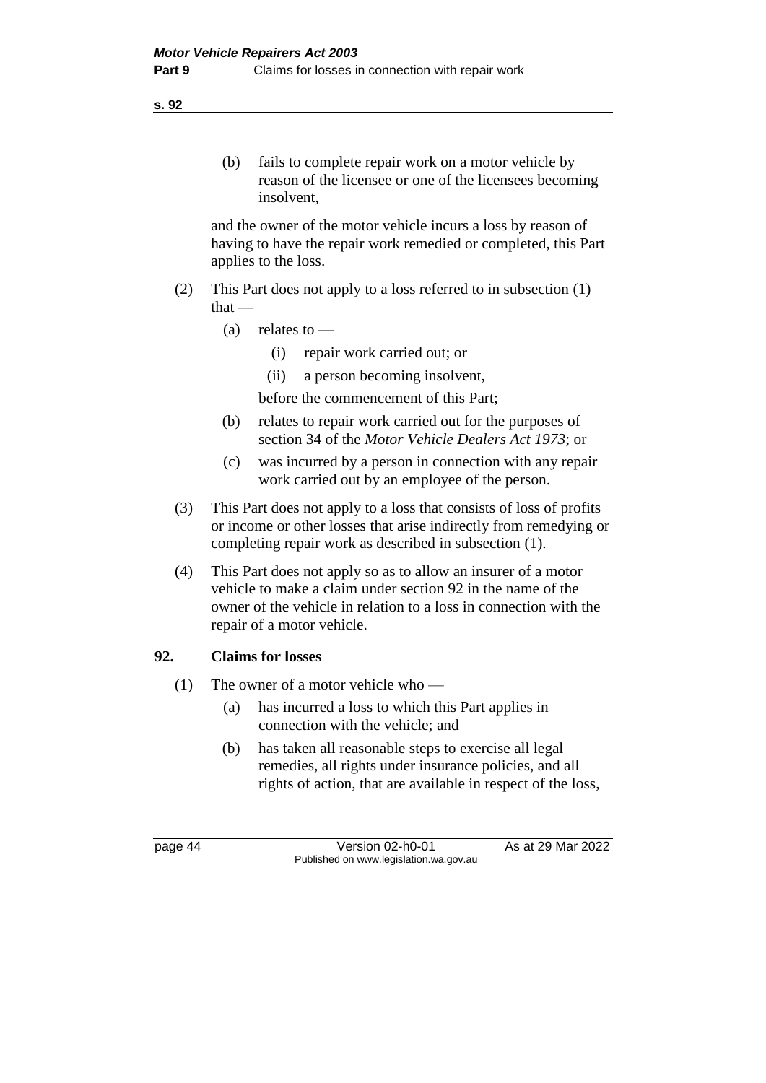and the owner of the motor vehicle incurs a loss by reason of having to have the repair work remedied or completed, this Part applies to the loss.

- (2) This Part does not apply to a loss referred to in subsection (1) that —
	- $(a)$  relates to
		- (i) repair work carried out; or
		- (ii) a person becoming insolvent,

before the commencement of this Part;

- (b) relates to repair work carried out for the purposes of section 34 of the *Motor Vehicle Dealers Act 1973*; or
- (c) was incurred by a person in connection with any repair work carried out by an employee of the person.
- (3) This Part does not apply to a loss that consists of loss of profits or income or other losses that arise indirectly from remedying or completing repair work as described in subsection (1).
- (4) This Part does not apply so as to allow an insurer of a motor vehicle to make a claim under section 92 in the name of the owner of the vehicle in relation to a loss in connection with the repair of a motor vehicle.

# **92. Claims for losses**

- (1) The owner of a motor vehicle who
	- (a) has incurred a loss to which this Part applies in connection with the vehicle; and
	- (b) has taken all reasonable steps to exercise all legal remedies, all rights under insurance policies, and all rights of action, that are available in respect of the loss,

page 44 Version 02-h0-01 As at 29 Mar 2022 Published on www.legislation.wa.gov.au

**s. 92**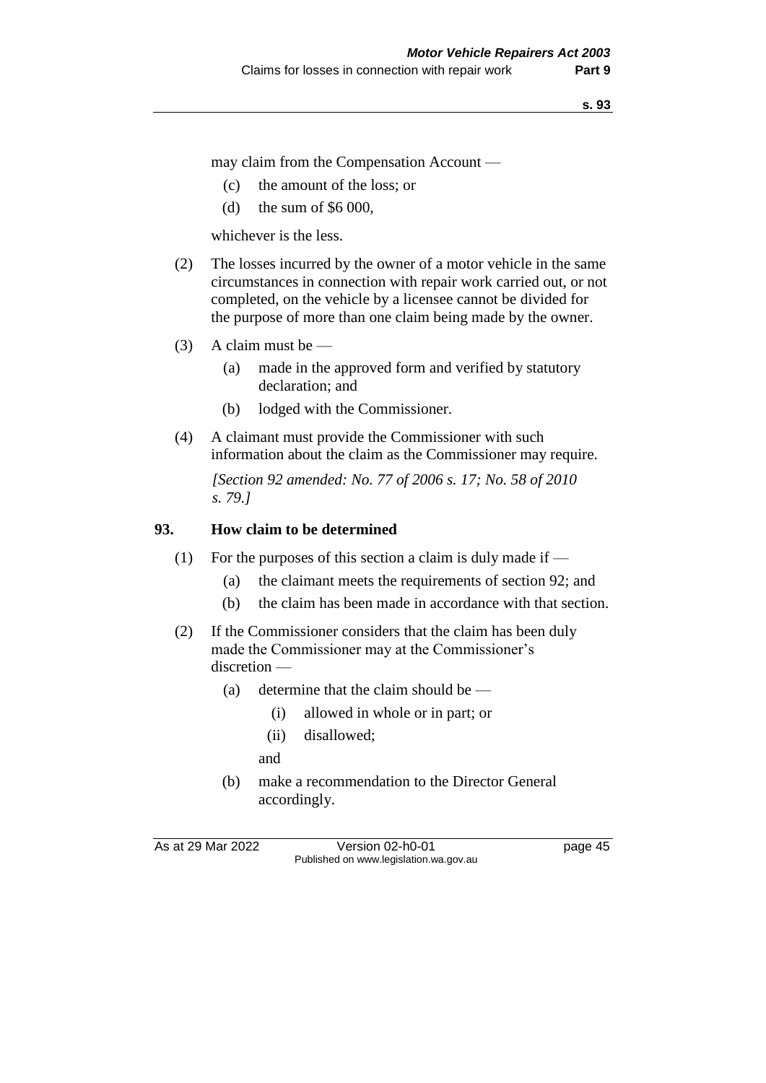may claim from the Compensation Account —

- (c) the amount of the loss; or
- (d) the sum of \$6 000,

whichever is the less.

- (2) The losses incurred by the owner of a motor vehicle in the same circumstances in connection with repair work carried out, or not completed, on the vehicle by a licensee cannot be divided for the purpose of more than one claim being made by the owner.
- (3) A claim must be
	- (a) made in the approved form and verified by statutory declaration; and
	- (b) lodged with the Commissioner.
- (4) A claimant must provide the Commissioner with such information about the claim as the Commissioner may require.

*[Section 92 amended: No. 77 of 2006 s. 17; No. 58 of 2010 s. 79.]*

## **93. How claim to be determined**

- (1) For the purposes of this section a claim is duly made if  $-$ 
	- (a) the claimant meets the requirements of section 92; and
	- (b) the claim has been made in accordance with that section.
- (2) If the Commissioner considers that the claim has been duly made the Commissioner may at the Commissioner's discretion —
	- (a) determine that the claim should be
		- (i) allowed in whole or in part; or
		- (ii) disallowed;
		- and
	- (b) make a recommendation to the Director General accordingly.

As at 29 Mar 2022 Version 02-h0-01 page 45 Published on www.legislation.wa.gov.au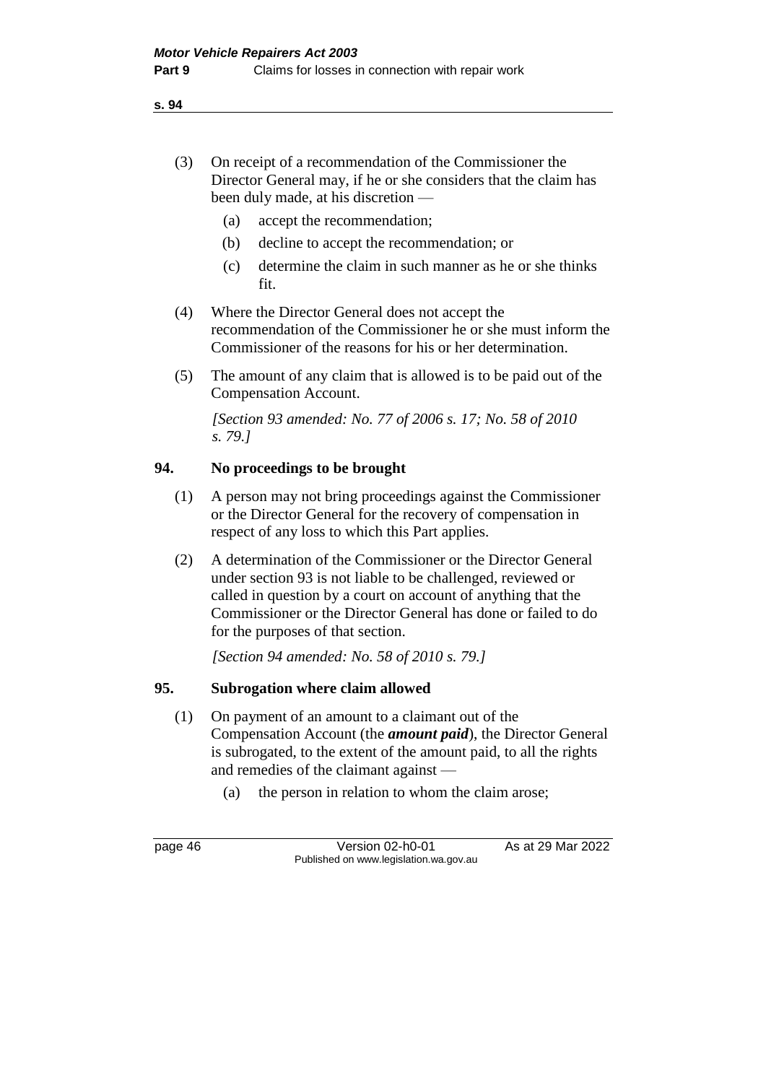- (3) On receipt of a recommendation of the Commissioner the Director General may, if he or she considers that the claim has been duly made, at his discretion —
	- (a) accept the recommendation;
	- (b) decline to accept the recommendation; or
	- (c) determine the claim in such manner as he or she thinks fit.
- (4) Where the Director General does not accept the recommendation of the Commissioner he or she must inform the Commissioner of the reasons for his or her determination.
- (5) The amount of any claim that is allowed is to be paid out of the Compensation Account.

*[Section 93 amended: No. 77 of 2006 s. 17; No. 58 of 2010 s. 79.]*

# **94. No proceedings to be brought**

- (1) A person may not bring proceedings against the Commissioner or the Director General for the recovery of compensation in respect of any loss to which this Part applies.
- (2) A determination of the Commissioner or the Director General under section 93 is not liable to be challenged, reviewed or called in question by a court on account of anything that the Commissioner or the Director General has done or failed to do for the purposes of that section.

*[Section 94 amended: No. 58 of 2010 s. 79.]*

# **95. Subrogation where claim allowed**

- (1) On payment of an amount to a claimant out of the Compensation Account (the *amount paid*), the Director General is subrogated, to the extent of the amount paid, to all the rights and remedies of the claimant against —
	- (a) the person in relation to whom the claim arose;

page 46 Version 02-h0-01 As at 29 Mar 2022 Published on www.legislation.wa.gov.au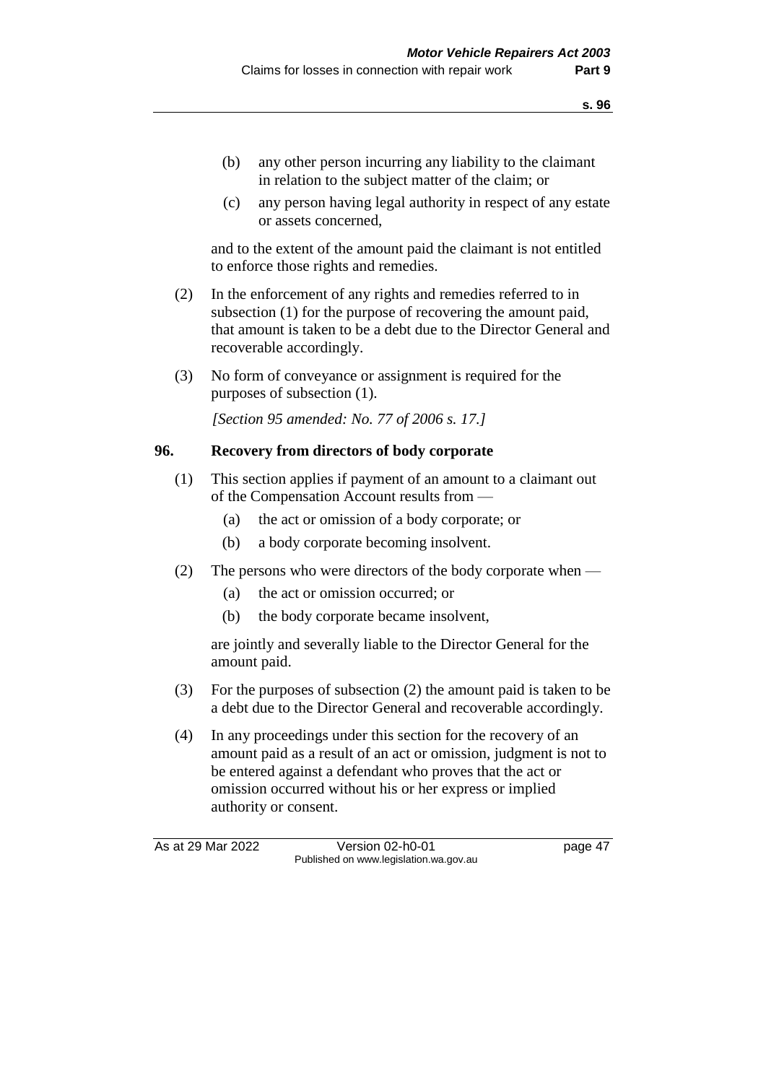- (b) any other person incurring any liability to the claimant in relation to the subject matter of the claim; or
- (c) any person having legal authority in respect of any estate or assets concerned,

and to the extent of the amount paid the claimant is not entitled to enforce those rights and remedies.

- (2) In the enforcement of any rights and remedies referred to in subsection (1) for the purpose of recovering the amount paid, that amount is taken to be a debt due to the Director General and recoverable accordingly.
- (3) No form of conveyance or assignment is required for the purposes of subsection (1).

*[Section 95 amended: No. 77 of 2006 s. 17.]*

#### **96. Recovery from directors of body corporate**

- (1) This section applies if payment of an amount to a claimant out of the Compensation Account results from —
	- (a) the act or omission of a body corporate; or
	- (b) a body corporate becoming insolvent.
- (2) The persons who were directors of the body corporate when
	- (a) the act or omission occurred; or
	- (b) the body corporate became insolvent,

are jointly and severally liable to the Director General for the amount paid.

- (3) For the purposes of subsection (2) the amount paid is taken to be a debt due to the Director General and recoverable accordingly.
- (4) In any proceedings under this section for the recovery of an amount paid as a result of an act or omission, judgment is not to be entered against a defendant who proves that the act or omission occurred without his or her express or implied authority or consent.

As at 29 Mar 2022 Version 02-h0-01 page 47 Published on www.legislation.wa.gov.au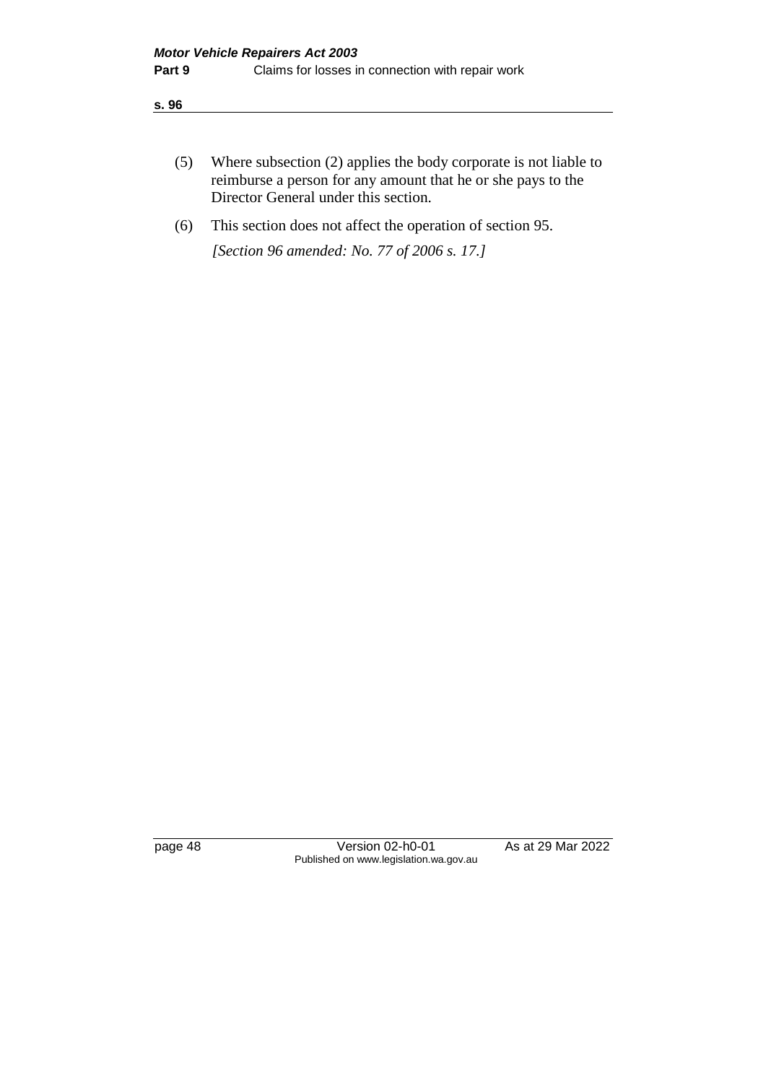| (5) | Where subsection (2) applies the body corporate is not liable to |
|-----|------------------------------------------------------------------|
|     | reimburse a person for any amount that he or she pays to the     |
|     | Director General under this section.                             |

(6) This section does not affect the operation of section 95.

*[Section 96 amended: No. 77 of 2006 s. 17.]*

page 48 Version 02-h0-01 As at 29 Mar 2022 Published on www.legislation.wa.gov.au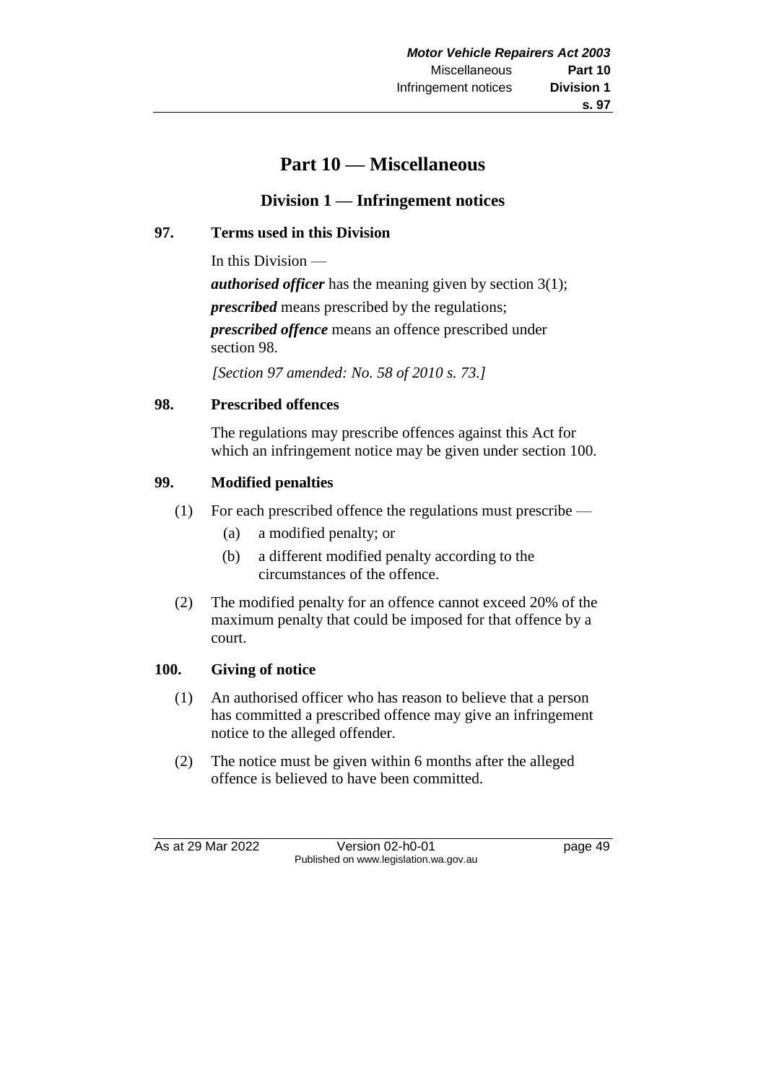# **Part 10 — Miscellaneous**

# **Division 1 — Infringement notices**

# **97. Terms used in this Division**

In this Division —

*authorised officer* has the meaning given by section 3(1); *prescribed* means prescribed by the regulations; *prescribed offence* means an offence prescribed under section 98.

*[Section 97 amended: No. 58 of 2010 s. 73.]*

# **98. Prescribed offences**

The regulations may prescribe offences against this Act for which an infringement notice may be given under section 100.

# **99. Modified penalties**

- (1) For each prescribed offence the regulations must prescribe
	- (a) a modified penalty; or
	- (b) a different modified penalty according to the circumstances of the offence.
- (2) The modified penalty for an offence cannot exceed 20% of the maximum penalty that could be imposed for that offence by a court.

# **100. Giving of notice**

- (1) An authorised officer who has reason to believe that a person has committed a prescribed offence may give an infringement notice to the alleged offender.
- (2) The notice must be given within 6 months after the alleged offence is believed to have been committed.

As at 29 Mar 2022 Version 02-h0-01 page 49 Published on www.legislation.wa.gov.au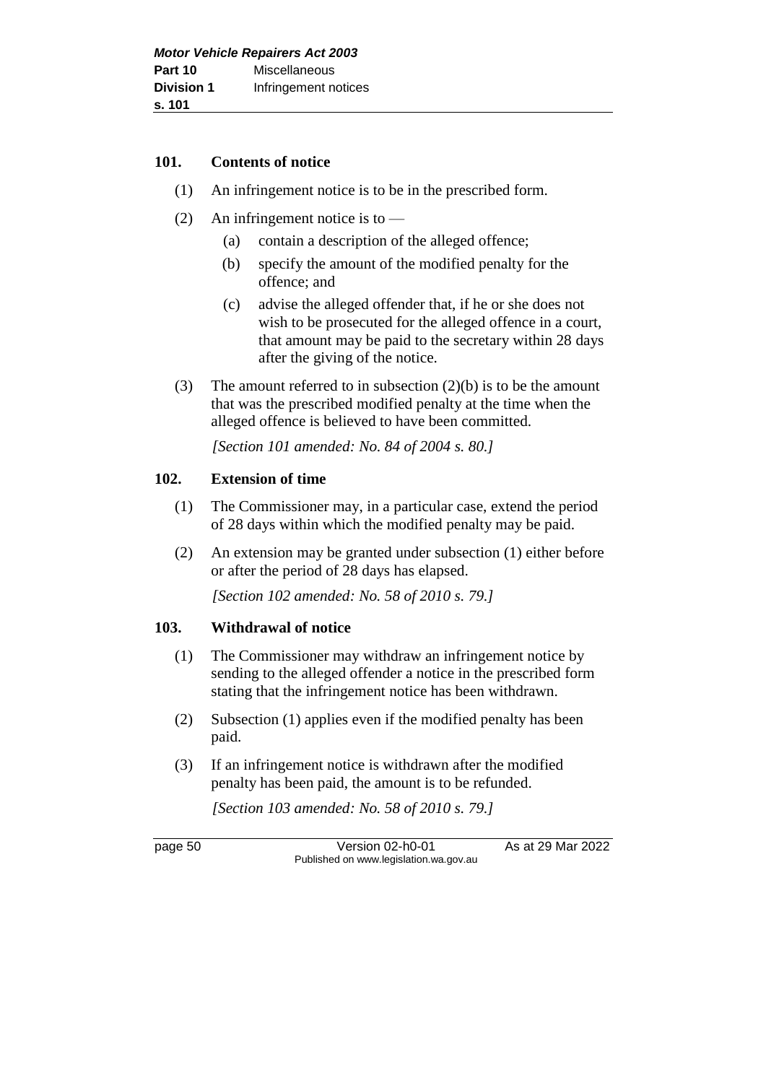#### **101. Contents of notice**

- (1) An infringement notice is to be in the prescribed form.
- (2) An infringement notice is to  $-$ 
	- (a) contain a description of the alleged offence;
	- (b) specify the amount of the modified penalty for the offence; and
	- (c) advise the alleged offender that, if he or she does not wish to be prosecuted for the alleged offence in a court, that amount may be paid to the secretary within 28 days after the giving of the notice.
- (3) The amount referred to in subsection (2)(b) is to be the amount that was the prescribed modified penalty at the time when the alleged offence is believed to have been committed.

*[Section 101 amended: No. 84 of 2004 s. 80.]* 

## **102. Extension of time**

- (1) The Commissioner may, in a particular case, extend the period of 28 days within which the modified penalty may be paid.
- (2) An extension may be granted under subsection (1) either before or after the period of 28 days has elapsed.

*[Section 102 amended: No. 58 of 2010 s. 79.]*

# **103. Withdrawal of notice**

- (1) The Commissioner may withdraw an infringement notice by sending to the alleged offender a notice in the prescribed form stating that the infringement notice has been withdrawn.
- (2) Subsection (1) applies even if the modified penalty has been paid.
- (3) If an infringement notice is withdrawn after the modified penalty has been paid, the amount is to be refunded.

*[Section 103 amended: No. 58 of 2010 s. 79.]*

page 50 Version 02-h0-01 As at 29 Mar 2022 Published on www.legislation.wa.gov.au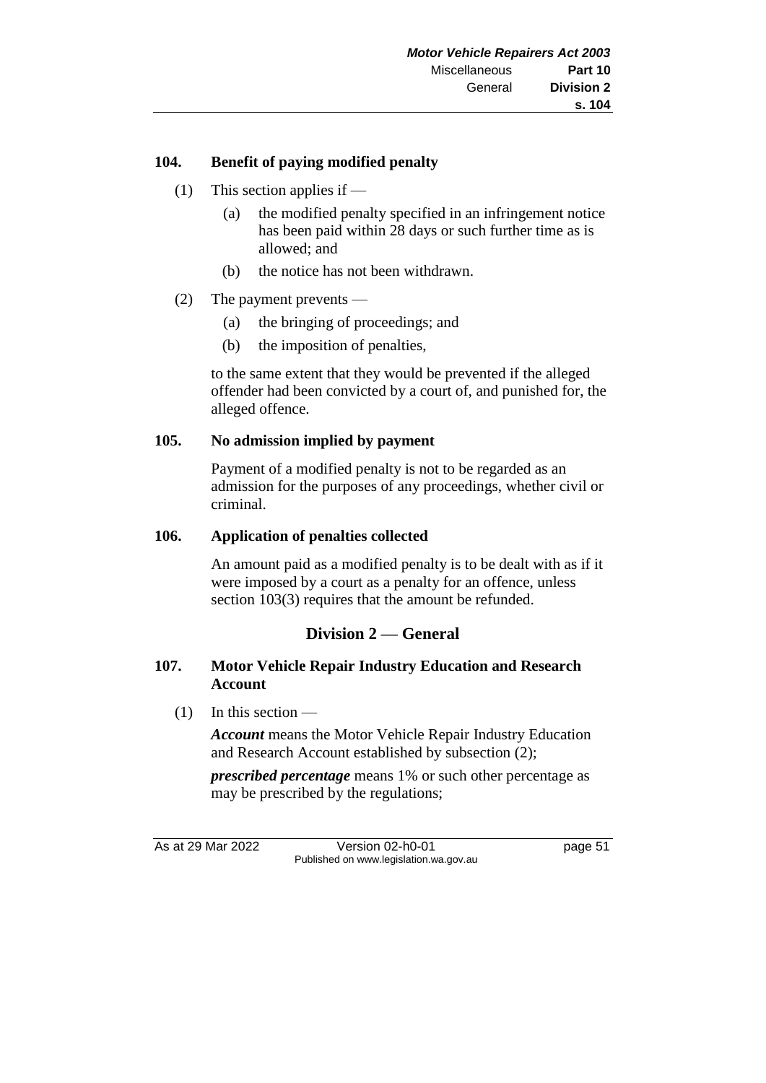# **104. Benefit of paying modified penalty**

- (1) This section applies if
	- (a) the modified penalty specified in an infringement notice has been paid within 28 days or such further time as is allowed; and
	- (b) the notice has not been withdrawn.
- (2) The payment prevents
	- (a) the bringing of proceedings; and
	- (b) the imposition of penalties,

to the same extent that they would be prevented if the alleged offender had been convicted by a court of, and punished for, the alleged offence.

#### **105. No admission implied by payment**

Payment of a modified penalty is not to be regarded as an admission for the purposes of any proceedings, whether civil or criminal.

#### **106. Application of penalties collected**

An amount paid as a modified penalty is to be dealt with as if it were imposed by a court as a penalty for an offence, unless section 103(3) requires that the amount be refunded.

# **Division 2 — General**

## **107. Motor Vehicle Repair Industry Education and Research Account**

(1) In this section —

*Account* means the Motor Vehicle Repair Industry Education and Research Account established by subsection (2);

*prescribed percentage* means 1% or such other percentage as may be prescribed by the regulations;

As at 29 Mar 2022 Version 02-h0-01 page 51 Published on www.legislation.wa.gov.au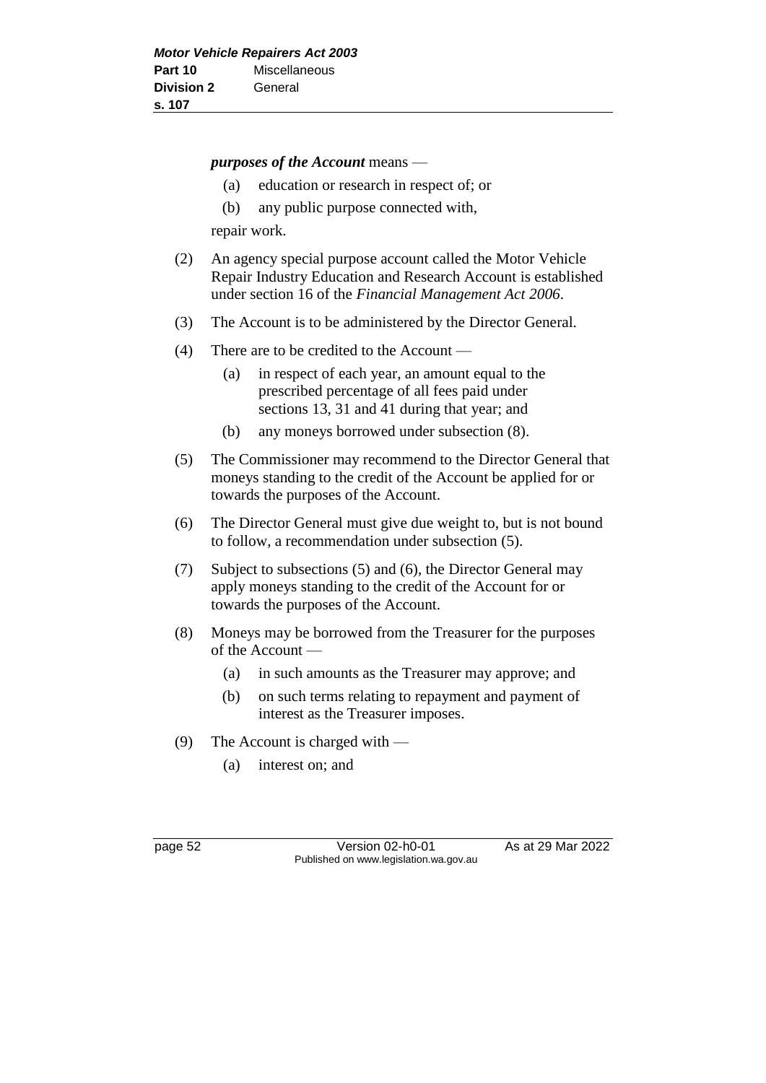*purposes of the Account* means —

- (a) education or research in respect of; or
- (b) any public purpose connected with,

repair work.

- (2) An agency special purpose account called the Motor Vehicle Repair Industry Education and Research Account is established under section 16 of the *Financial Management Act 2006*.
- (3) The Account is to be administered by the Director General.
- (4) There are to be credited to the Account
	- (a) in respect of each year, an amount equal to the prescribed percentage of all fees paid under sections 13, 31 and 41 during that year; and
	- (b) any moneys borrowed under subsection (8).
- (5) The Commissioner may recommend to the Director General that moneys standing to the credit of the Account be applied for or towards the purposes of the Account.
- (6) The Director General must give due weight to, but is not bound to follow, a recommendation under subsection (5).
- (7) Subject to subsections (5) and (6), the Director General may apply moneys standing to the credit of the Account for or towards the purposes of the Account.
- (8) Moneys may be borrowed from the Treasurer for the purposes of the Account —
	- (a) in such amounts as the Treasurer may approve; and
	- (b) on such terms relating to repayment and payment of interest as the Treasurer imposes.
- (9) The Account is charged with
	- (a) interest on; and

page 52 Version 02-h0-01 As at 29 Mar 2022 Published on www.legislation.wa.gov.au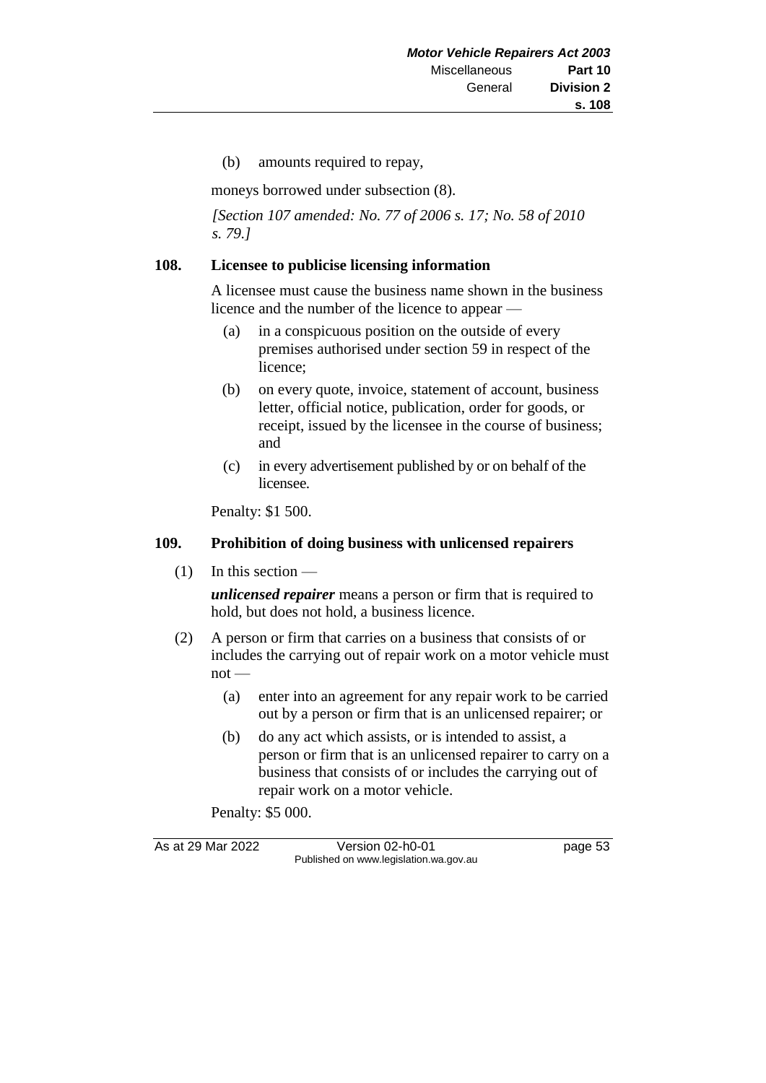(b) amounts required to repay,

moneys borrowed under subsection (8).

*[Section 107 amended: No. 77 of 2006 s. 17; No. 58 of 2010 s. 79.]*

#### **108. Licensee to publicise licensing information**

A licensee must cause the business name shown in the business licence and the number of the licence to appear —

- (a) in a conspicuous position on the outside of every premises authorised under section 59 in respect of the licence;
- (b) on every quote, invoice, statement of account, business letter, official notice, publication, order for goods, or receipt, issued by the licensee in the course of business; and
- (c) in every advertisement published by or on behalf of the licensee.

Penalty: \$1 500.

#### **109. Prohibition of doing business with unlicensed repairers**

 $(1)$  In this section —

*unlicensed repairer* means a person or firm that is required to hold, but does not hold, a business licence.

- (2) A person or firm that carries on a business that consists of or includes the carrying out of repair work on a motor vehicle must  $not$  —
	- (a) enter into an agreement for any repair work to be carried out by a person or firm that is an unlicensed repairer; or
	- (b) do any act which assists, or is intended to assist, a person or firm that is an unlicensed repairer to carry on a business that consists of or includes the carrying out of repair work on a motor vehicle.

Penalty: \$5 000.

As at 29 Mar 2022 Version 02-h0-01 page 53 Published on www.legislation.wa.gov.au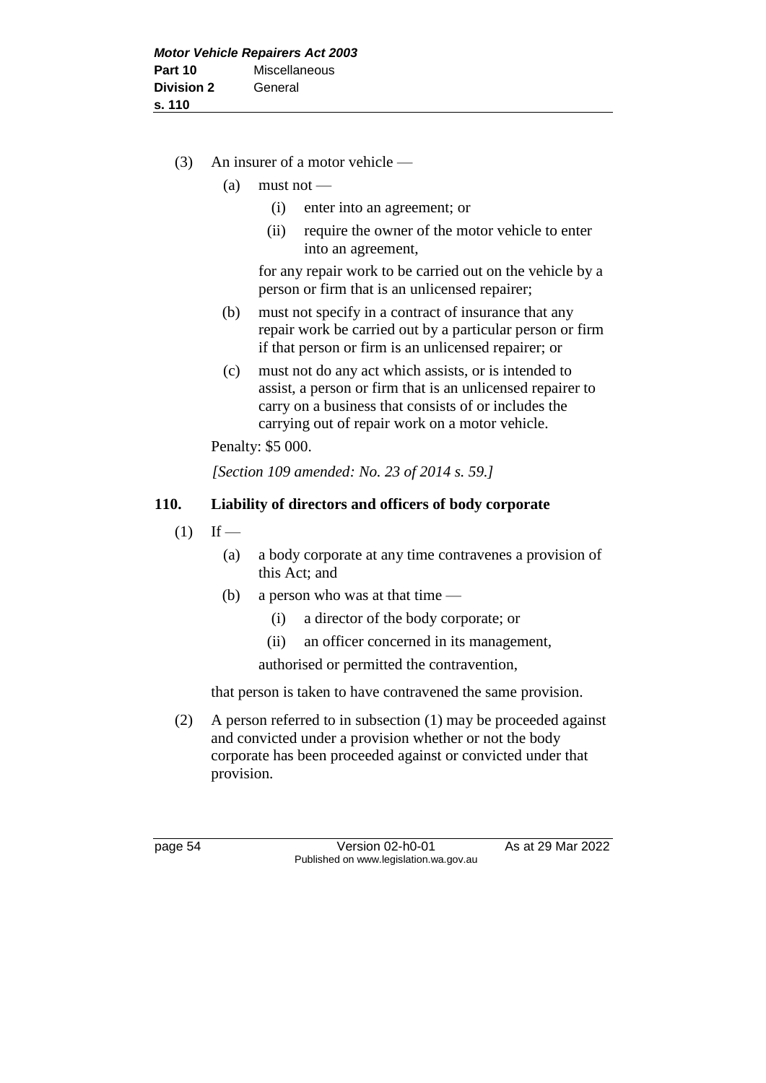- (3) An insurer of a motor vehicle
	- $(a)$  must not
		- (i) enter into an agreement; or
		- (ii) require the owner of the motor vehicle to enter into an agreement,

for any repair work to be carried out on the vehicle by a person or firm that is an unlicensed repairer;

- (b) must not specify in a contract of insurance that any repair work be carried out by a particular person or firm if that person or firm is an unlicensed repairer; or
- (c) must not do any act which assists, or is intended to assist, a person or firm that is an unlicensed repairer to carry on a business that consists of or includes the carrying out of repair work on a motor vehicle.

Penalty: \$5 000.

*[Section 109 amended: No. 23 of 2014 s. 59.]*

## **110. Liability of directors and officers of body corporate**

- $(1)$  If
	- (a) a body corporate at any time contravenes a provision of this Act; and
	- (b) a person who was at that time
		- (i) a director of the body corporate; or
		- (ii) an officer concerned in its management,

authorised or permitted the contravention,

that person is taken to have contravened the same provision.

(2) A person referred to in subsection (1) may be proceeded against and convicted under a provision whether or not the body corporate has been proceeded against or convicted under that provision.

page 54 Version 02-h0-01 As at 29 Mar 2022 Published on www.legislation.wa.gov.au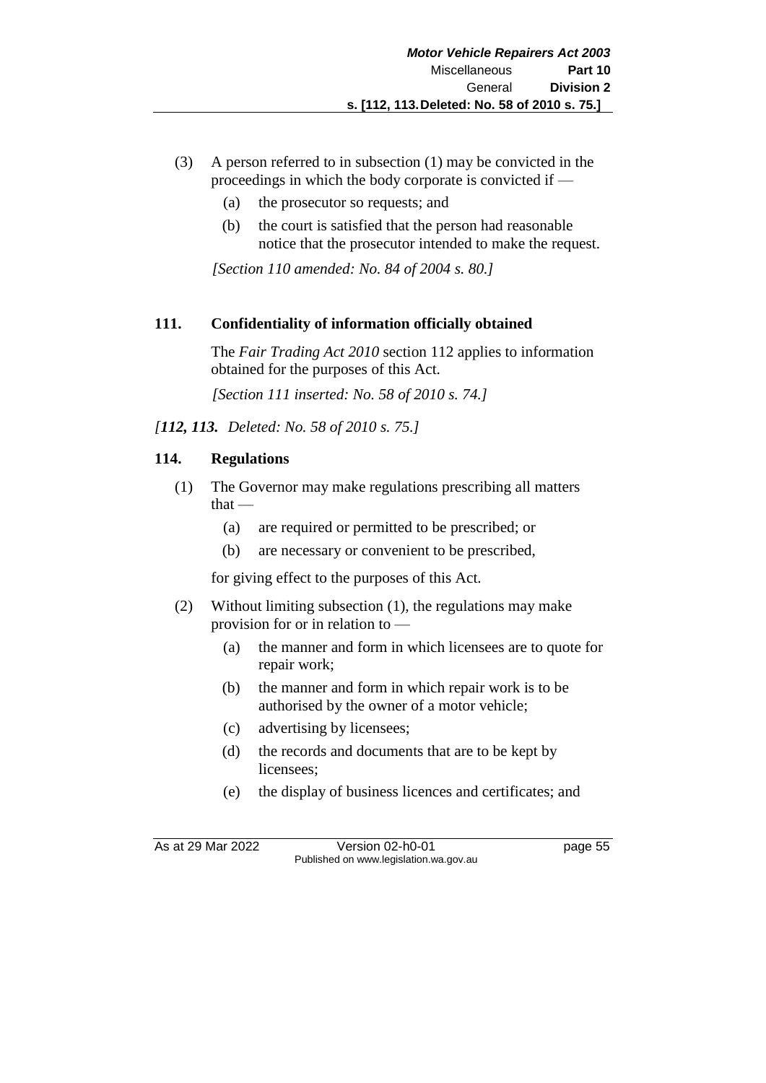- (3) A person referred to in subsection (1) may be convicted in the proceedings in which the body corporate is convicted if —
	- (a) the prosecutor so requests; and
	- (b) the court is satisfied that the person had reasonable notice that the prosecutor intended to make the request.

*[Section 110 amended: No. 84 of 2004 s. 80.]* 

## **111. Confidentiality of information officially obtained**

The *Fair Trading Act 2010* section 112 applies to information obtained for the purposes of this Act.

*[Section 111 inserted: No. 58 of 2010 s. 74.]*

*[112, 113. Deleted: No. 58 of 2010 s. 75.]*

## **114. Regulations**

- (1) The Governor may make regulations prescribing all matters  $that -$ 
	- (a) are required or permitted to be prescribed; or
	- (b) are necessary or convenient to be prescribed,

for giving effect to the purposes of this Act.

- (2) Without limiting subsection (1), the regulations may make provision for or in relation to —
	- (a) the manner and form in which licensees are to quote for repair work;
	- (b) the manner and form in which repair work is to be authorised by the owner of a motor vehicle;
	- (c) advertising by licensees;
	- (d) the records and documents that are to be kept by licensees;
	- (e) the display of business licences and certificates; and

As at 29 Mar 2022 Version 02-h0-01 page 55 Published on www.legislation.wa.gov.au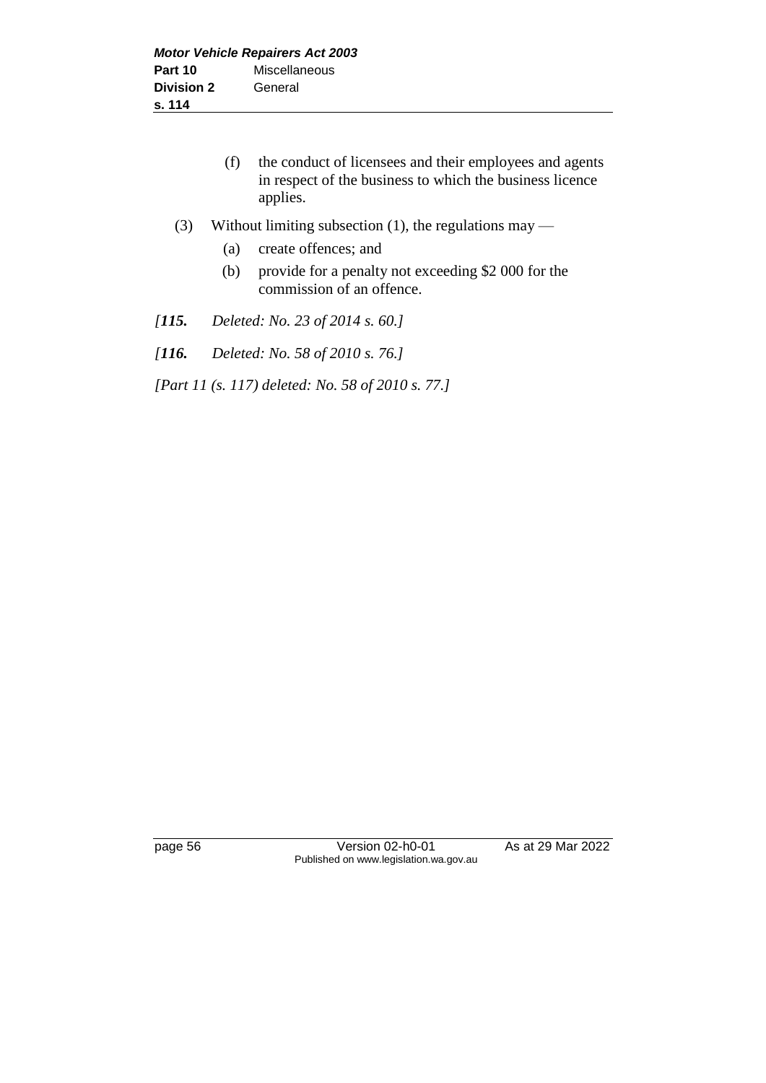- (f) the conduct of licensees and their employees and agents in respect of the business to which the business licence applies.
- (3) Without limiting subsection (1), the regulations may
	- (a) create offences; and
	- (b) provide for a penalty not exceeding \$2 000 for the commission of an offence.
- *[115. Deleted: No. 23 of 2014 s. 60.]*
- *[116. Deleted: No. 58 of 2010 s. 76.]*

*[Part 11 (s. 117) deleted: No. 58 of 2010 s. 77.]*

page 56 Version 02-h0-01 As at 29 Mar 2022 Published on www.legislation.wa.gov.au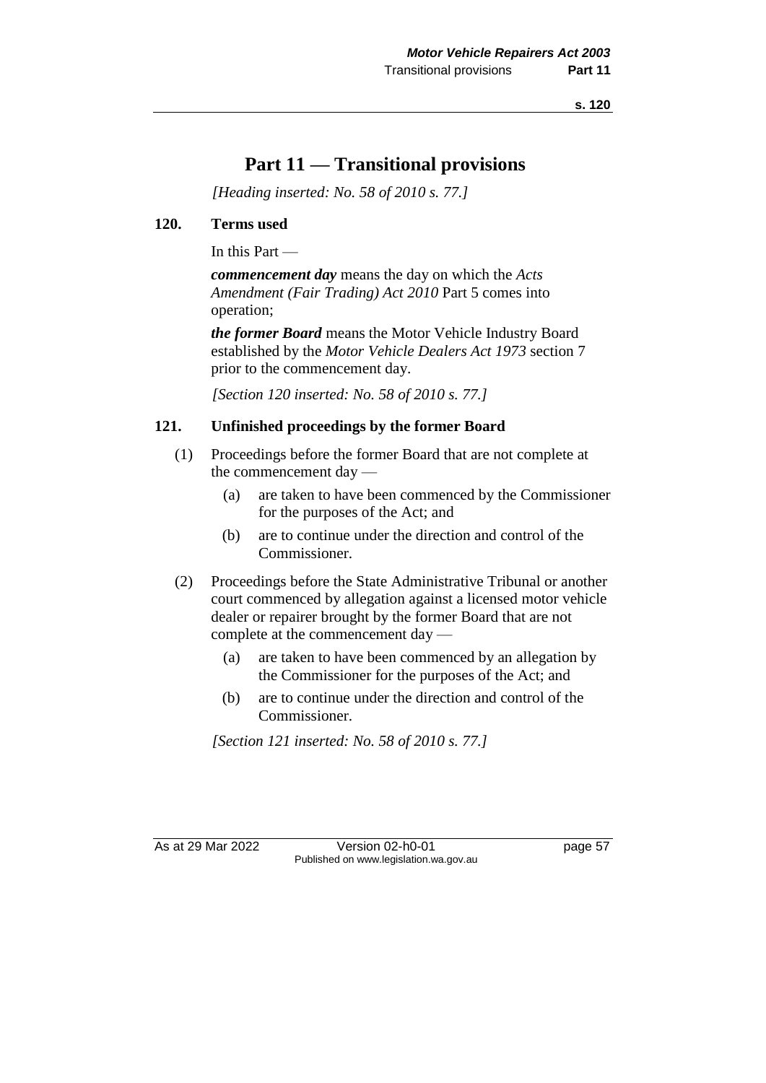# **Part 11 — Transitional provisions**

*[Heading inserted: No. 58 of 2010 s. 77.]*

### **120. Terms used**

In this Part —

*commencement day* means the day on which the *Acts Amendment (Fair Trading) Act 2010* Part 5 comes into operation;

*the former Board* means the Motor Vehicle Industry Board established by the *Motor Vehicle Dealers Act 1973* section 7 prior to the commencement day.

*[Section 120 inserted: No. 58 of 2010 s. 77.]*

# **121. Unfinished proceedings by the former Board**

- (1) Proceedings before the former Board that are not complete at the commencement day —
	- (a) are taken to have been commenced by the Commissioner for the purposes of the Act; and
	- (b) are to continue under the direction and control of the Commissioner.
- (2) Proceedings before the State Administrative Tribunal or another court commenced by allegation against a licensed motor vehicle dealer or repairer brought by the former Board that are not complete at the commencement day —
	- (a) are taken to have been commenced by an allegation by the Commissioner for the purposes of the Act; and
	- (b) are to continue under the direction and control of the Commissioner.

*[Section 121 inserted: No. 58 of 2010 s. 77.]*

As at 29 Mar 2022 Version 02-h0-01 page 57 Published on www.legislation.wa.gov.au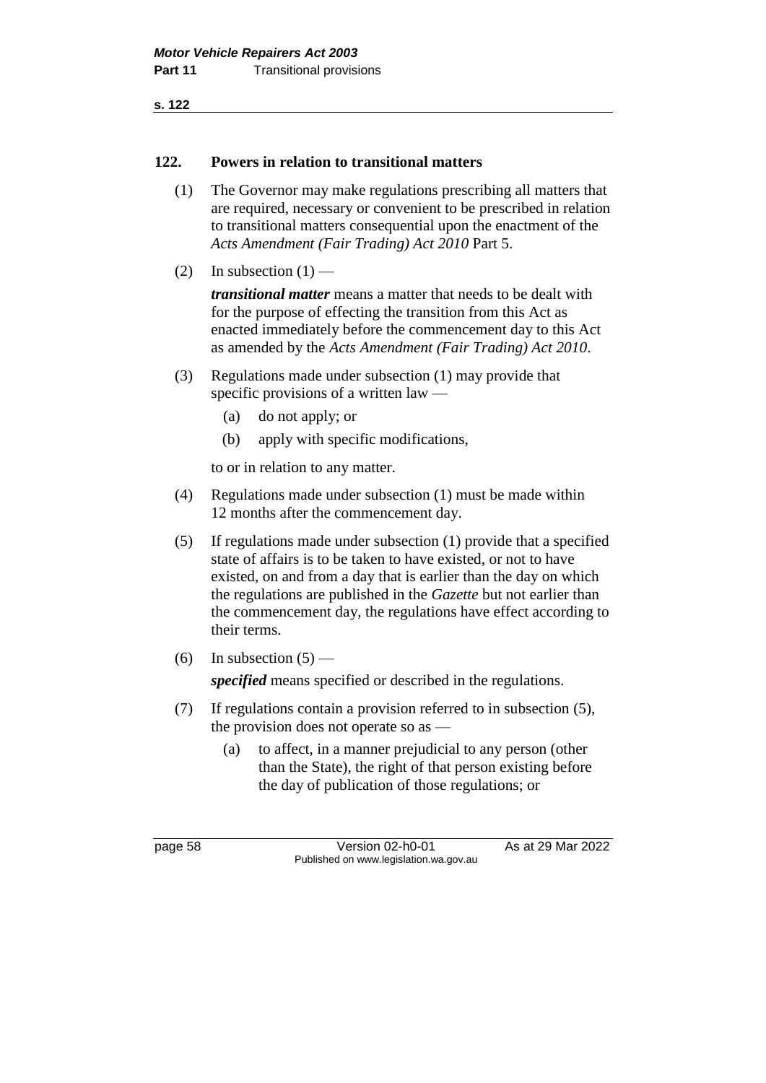### **122. Powers in relation to transitional matters**

- (1) The Governor may make regulations prescribing all matters that are required, necessary or convenient to be prescribed in relation to transitional matters consequential upon the enactment of the *Acts Amendment (Fair Trading) Act 2010* Part 5.
- (2) In subsection  $(1)$  —

*transitional matter* means a matter that needs to be dealt with for the purpose of effecting the transition from this Act as enacted immediately before the commencement day to this Act as amended by the *Acts Amendment (Fair Trading) Act 2010*.

- (3) Regulations made under subsection (1) may provide that specific provisions of a written law —
	- (a) do not apply; or
	- (b) apply with specific modifications,

to or in relation to any matter.

- (4) Regulations made under subsection (1) must be made within 12 months after the commencement day.
- (5) If regulations made under subsection (1) provide that a specified state of affairs is to be taken to have existed, or not to have existed, on and from a day that is earlier than the day on which the regulations are published in the *Gazette* but not earlier than the commencement day, the regulations have effect according to their terms.
- (6) In subsection  $(5)$  —

*specified* means specified or described in the regulations.

- (7) If regulations contain a provision referred to in subsection (5), the provision does not operate so as —
	- (a) to affect, in a manner prejudicial to any person (other than the State), the right of that person existing before the day of publication of those regulations; or

page 58 Version 02-h0-01 As at 29 Mar 2022 Published on www.legislation.wa.gov.au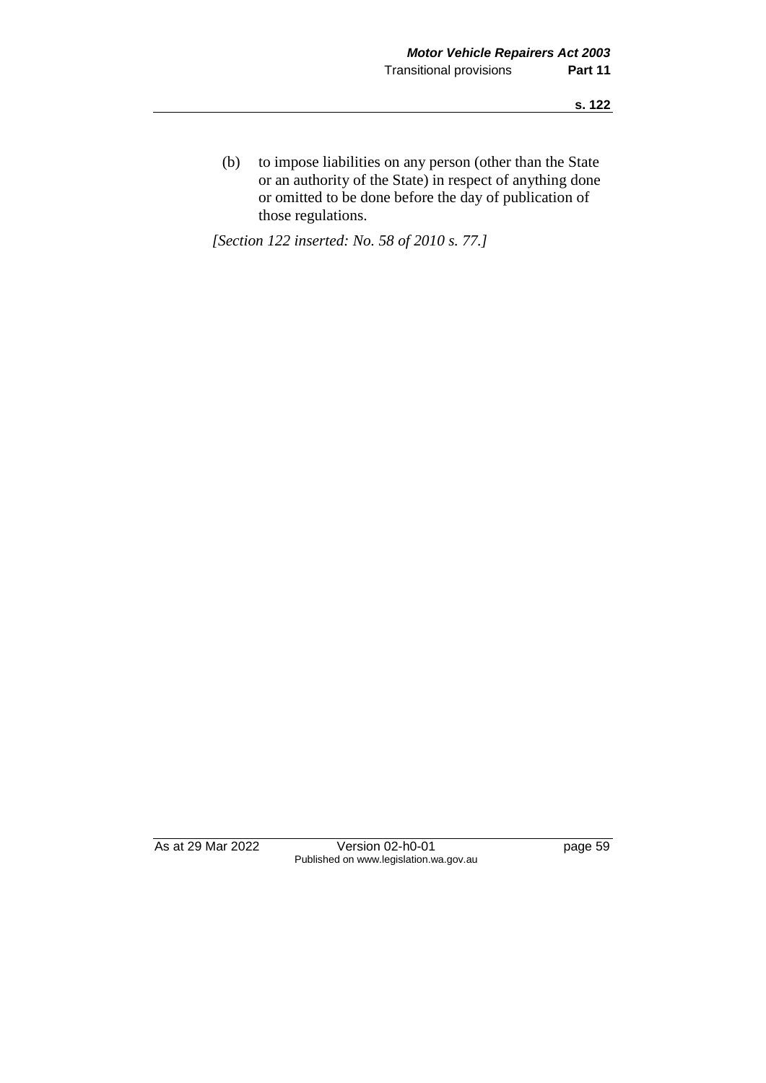(b) to impose liabilities on any person (other than the State or an authority of the State) in respect of anything done or omitted to be done before the day of publication of those regulations.

*[Section 122 inserted: No. 58 of 2010 s. 77.]*

As at 29 Mar 2022 Version 02-h0-01 page 59 Published on www.legislation.wa.gov.au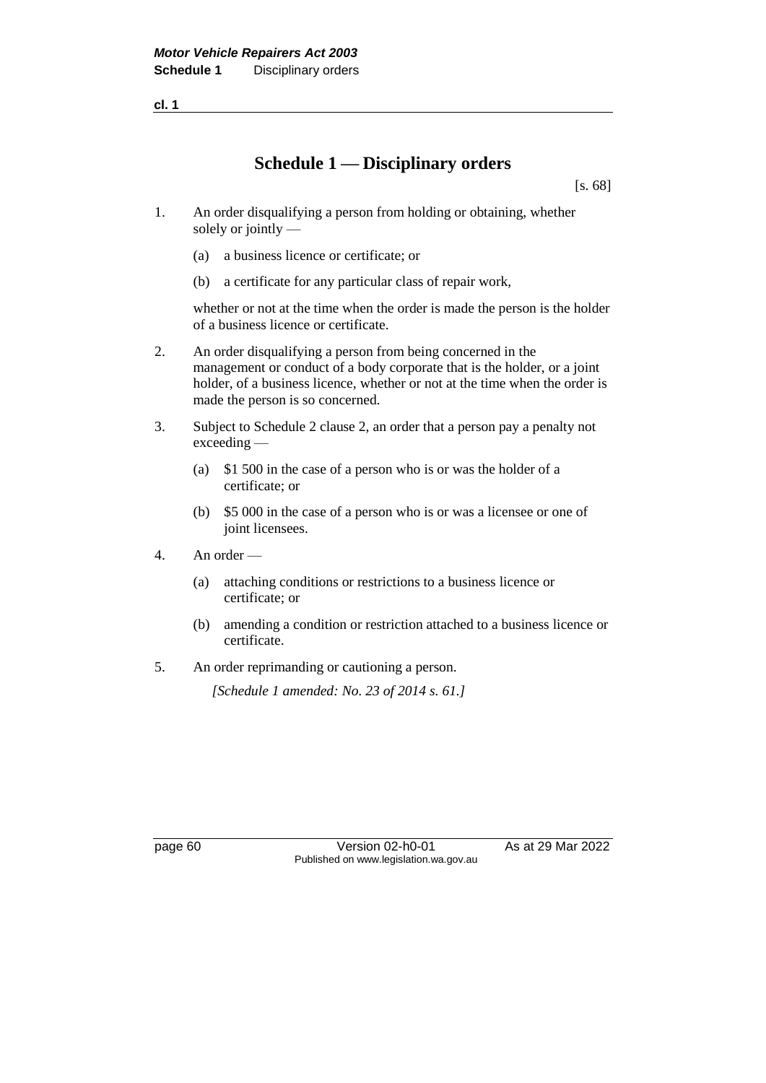**cl. 1**

# **Schedule 1 — Disciplinary orders**

[s. 68]

- 1. An order disqualifying a person from holding or obtaining, whether solely or jointly —
	- (a) a business licence or certificate; or
	- (b) a certificate for any particular class of repair work,

whether or not at the time when the order is made the person is the holder of a business licence or certificate.

- 2. An order disqualifying a person from being concerned in the management or conduct of a body corporate that is the holder, or a joint holder, of a business licence, whether or not at the time when the order is made the person is so concerned.
- 3. Subject to Schedule 2 clause 2, an order that a person pay a penalty not exceeding —
	- (a) \$1 500 in the case of a person who is or was the holder of a certificate; or
	- (b) \$5 000 in the case of a person who is or was a licensee or one of joint licensees.
- 4. An order
	- (a) attaching conditions or restrictions to a business licence or certificate; or
	- (b) amending a condition or restriction attached to a business licence or certificate.
- 5. An order reprimanding or cautioning a person.

*[Schedule 1 amended: No. 23 of 2014 s. 61.]*

page 60 **Version 02-h0-01** As at 29 Mar 2022 Published on www.legislation.wa.gov.au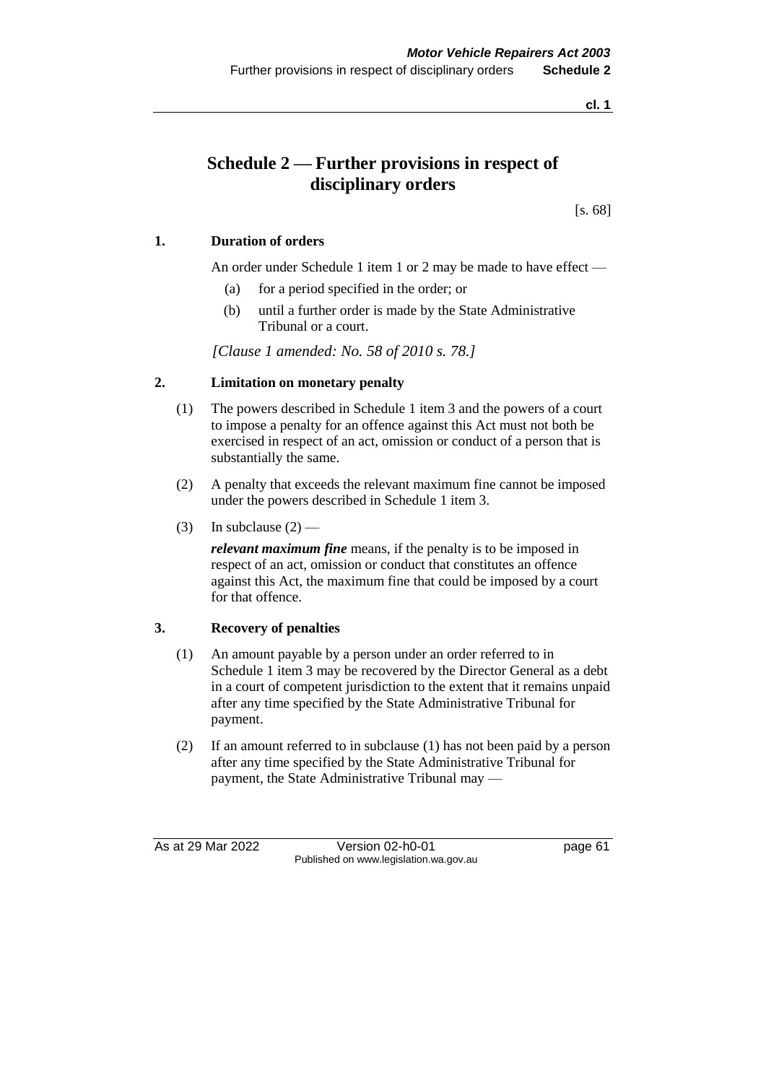**cl. 1**

# **Schedule 2 — Further provisions in respect of disciplinary orders**

[s. 68]

### **1. Duration of orders**

An order under Schedule 1 item 1 or 2 may be made to have effect —

- (a) for a period specified in the order; or
- (b) until a further order is made by the State Administrative Tribunal or a court.

*[Clause 1 amended: No. 58 of 2010 s. 78.]*

#### **2. Limitation on monetary penalty**

- (1) The powers described in Schedule 1 item 3 and the powers of a court to impose a penalty for an offence against this Act must not both be exercised in respect of an act, omission or conduct of a person that is substantially the same.
- (2) A penalty that exceeds the relevant maximum fine cannot be imposed under the powers described in Schedule 1 item 3.
- (3) In subclause  $(2)$  —

*relevant maximum fine* means, if the penalty is to be imposed in respect of an act, omission or conduct that constitutes an offence against this Act, the maximum fine that could be imposed by a court for that offence.

#### **3. Recovery of penalties**

- (1) An amount payable by a person under an order referred to in Schedule 1 item 3 may be recovered by the Director General as a debt in a court of competent jurisdiction to the extent that it remains unpaid after any time specified by the State Administrative Tribunal for payment.
- (2) If an amount referred to in subclause (1) has not been paid by a person after any time specified by the State Administrative Tribunal for payment, the State Administrative Tribunal may —

As at 29 Mar 2022 Version 02-h0-01 page 61 Published on www.legislation.wa.gov.au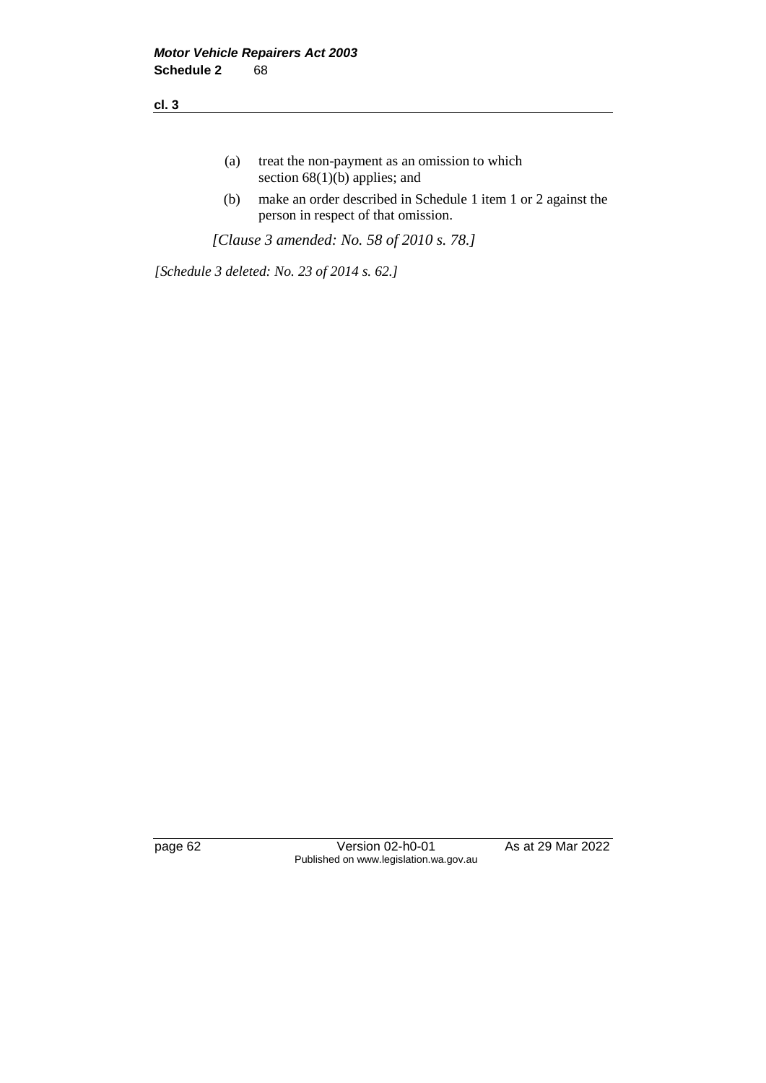- (a) treat the non-payment as an omission to which section 68(1)(b) applies; and
- (b) make an order described in Schedule 1 item 1 or 2 against the person in respect of that omission.

*[Clause 3 amended: No. 58 of 2010 s. 78.]*

*[Schedule 3 deleted: No. 23 of 2014 s. 62.]*

page 62 Version 02-h0-01 As at 29 Mar 2022 Published on www.legislation.wa.gov.au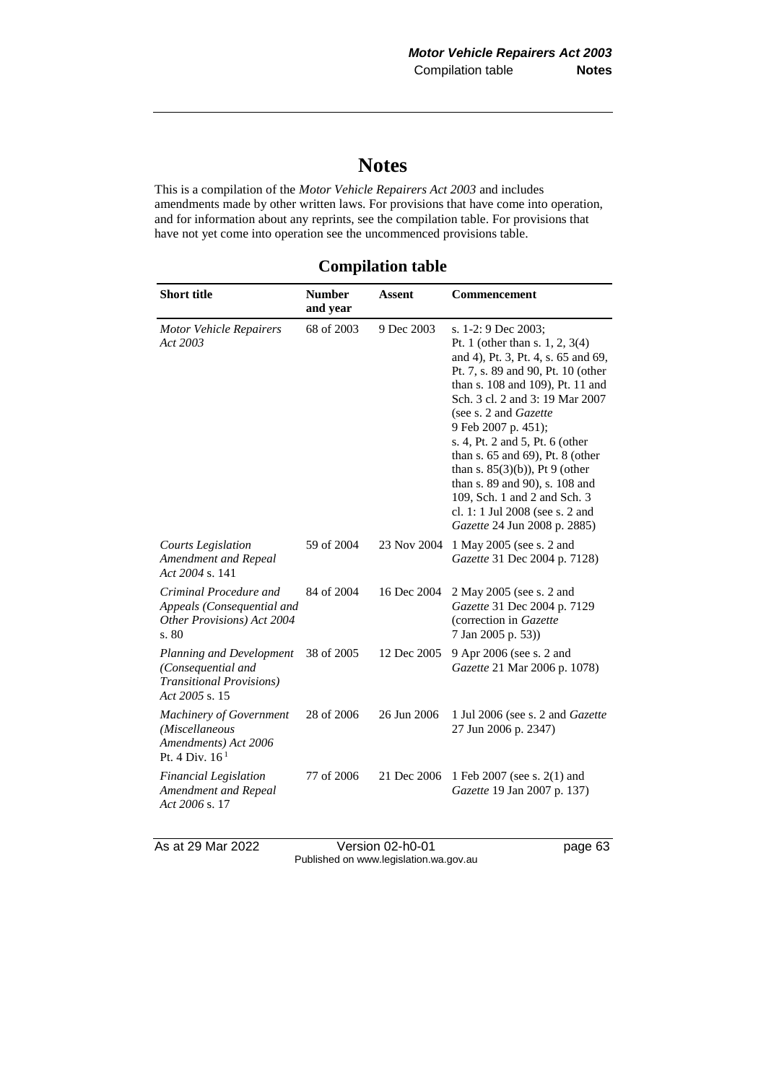# **Notes**

This is a compilation of the *Motor Vehicle Repairers Act 2003* and includes amendments made by other written laws. For provisions that have come into operation, and for information about any reprints, see the compilation table. For provisions that have not yet come into operation see the uncommenced provisions table.

| <b>Compilation table</b> |  |  |
|--------------------------|--|--|
|--------------------------|--|--|

| <b>Short title</b>                                                                                   | <b>Number</b><br>and year | <b>Assent</b> | <b>Commencement</b>                                                                                                                                                                                                                                                                                                                                                                                                                                                                                        |
|------------------------------------------------------------------------------------------------------|---------------------------|---------------|------------------------------------------------------------------------------------------------------------------------------------------------------------------------------------------------------------------------------------------------------------------------------------------------------------------------------------------------------------------------------------------------------------------------------------------------------------------------------------------------------------|
| <b>Motor Vehicle Repairers</b><br>Act 2003                                                           | 68 of 2003                | 9 Dec 2003    | s. 1-2: 9 Dec 2003;<br>Pt. 1 (other than s. 1, 2, 3(4)<br>and 4), Pt. 3, Pt. 4, s. 65 and 69,<br>Pt. 7, s. 89 and 90, Pt. 10 (other<br>than s. 108 and 109), Pt. 11 and<br>Sch. 3 cl. 2 and 3: 19 Mar 2007<br>(see s. 2 and Gazette<br>9 Feb 2007 p. 451);<br>s. 4, Pt. 2 and 5, Pt. 6 (other<br>than s. 65 and 69), Pt. 8 (other<br>than s. $85(3)(b)$ , Pt 9 (other<br>than s. 89 and 90), s. 108 and<br>109, Sch. 1 and 2 and Sch. 3<br>cl. 1: 1 Jul 2008 (see s. 2 and<br>Gazette 24 Jun 2008 p. 2885) |
| <b>Courts Legislation</b><br>Amendment and Repeal<br>Act 2004 s. 141                                 | 59 of 2004                | 23 Nov 2004   | 1 May 2005 (see s. 2 and<br>Gazette 31 Dec 2004 p. 7128)                                                                                                                                                                                                                                                                                                                                                                                                                                                   |
| Criminal Procedure and<br>Appeals (Consequential and<br>Other Provisions) Act 2004<br>s. 80          | 84 of 2004                | 16 Dec 2004   | 2 May 2005 (see s. 2 and<br>Gazette 31 Dec 2004 p. 7129<br>(correction in Gazette)<br>7 Jan 2005 p. 53))                                                                                                                                                                                                                                                                                                                                                                                                   |
| Planning and Development<br>(Consequential and<br><b>Transitional Provisions</b> )<br>Act 2005 s. 15 | 38 of 2005                | 12 Dec 2005   | 9 Apr 2006 (see s. 2 and<br>Gazette 21 Mar 2006 p. 1078)                                                                                                                                                                                                                                                                                                                                                                                                                                                   |
| <b>Machinery of Government</b><br>(Miscellaneous<br>Amendments) Act 2006<br>Pt. 4 Div. $161$         | 28 of 2006                | 26 Jun 2006   | 1 Jul 2006 (see s. 2 and <i>Gazette</i><br>27 Jun 2006 p. 2347)                                                                                                                                                                                                                                                                                                                                                                                                                                            |
| <b>Financial Legislation</b><br>Amendment and Repeal<br>Act 2006 s. 17                               | 77 of 2006                | 21 Dec 2006   | 1 Feb 2007 (see s. 2(1) and<br>Gazette 19 Jan 2007 p. 137)                                                                                                                                                                                                                                                                                                                                                                                                                                                 |

As at 29 Mar 2022 Version 02-h0-01 page 63 Published on www.legislation.wa.gov.au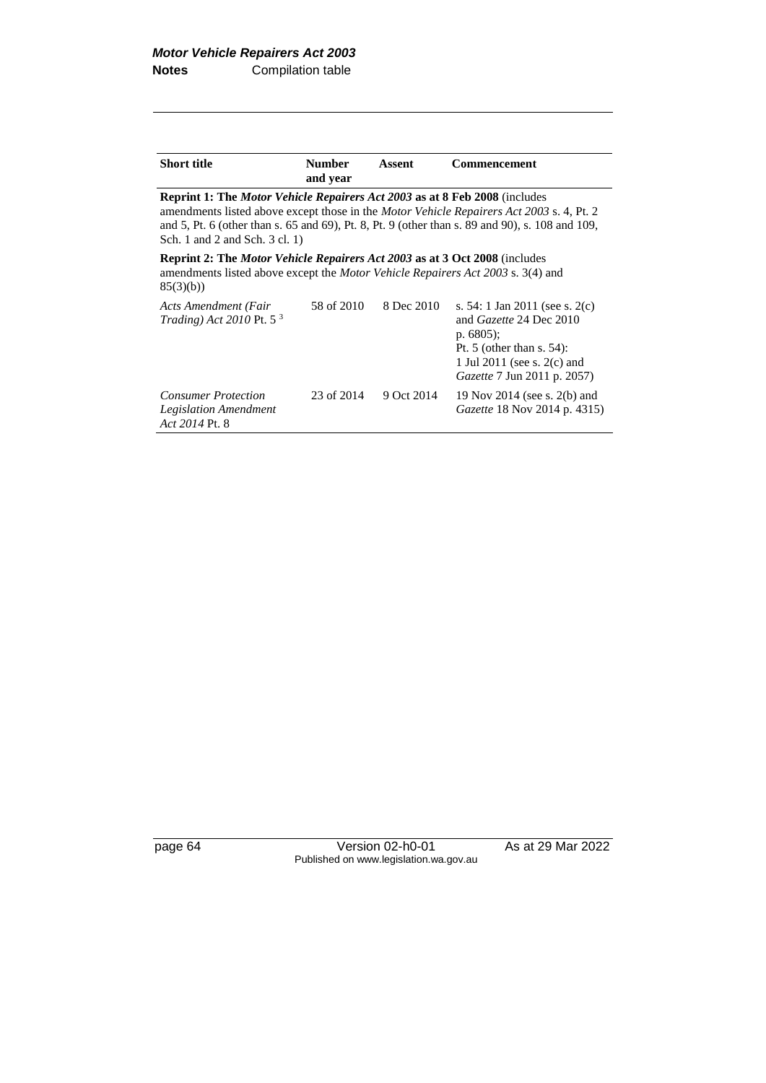| <b>Short title</b> | <b>Number</b> | Assent | <b>Commencement</b> |
|--------------------|---------------|--------|---------------------|
|                    | and year      |        |                     |

**Reprint 1: The** *Motor Vehicle Repairers Act 2003* **as at 8 Feb 2008** (includes amendments listed above except those in the *Motor Vehicle Repairers Act 2003* s. 4, Pt. 2 and 5, Pt. 6 (other than s. 65 and 69), Pt. 8, Pt. 9 (other than s. 89 and 90), s. 108 and 109, Sch. 1 and 2 and Sch. 3 cl. 1)

**Reprint 2: The** *Motor Vehicle Repairers Act 2003* **as at 3 Oct 2008** (includes amendments listed above except the *Motor Vehicle Repairers Act 2003* s. 3(4) and 85(3)(b))

| Acts Amendment (Fair<br><i>Trading</i> ) <i>Act</i> 2010 Pt. 5 <sup>3</sup>  | 58 of 2010 | 8 Dec 2010 | s. 54: 1 Jan 2011 (see s. $2(c)$ )<br>and Gazette 24 Dec 2010<br>p. $6805$ :<br>Pt. 5 (other than s. $54$ ):<br>1 Jul 2011 (see s. 2(c) and<br><i>Gazette</i> 7 Jun 2011 p. 2057) |
|------------------------------------------------------------------------------|------------|------------|-----------------------------------------------------------------------------------------------------------------------------------------------------------------------------------|
| <b>Consumer Protection</b><br><b>Legislation Amendment</b><br>Act 2014 Pt. 8 | 23 of 2014 | 9 Oct 2014 | 19 Nov 2014 (see s. 2(b) and<br>Gazette 18 Nov 2014 p. 4315)                                                                                                                      |

page 64 Version 02-h0-01 As at 29 Mar 2022 Published on www.legislation.wa.gov.au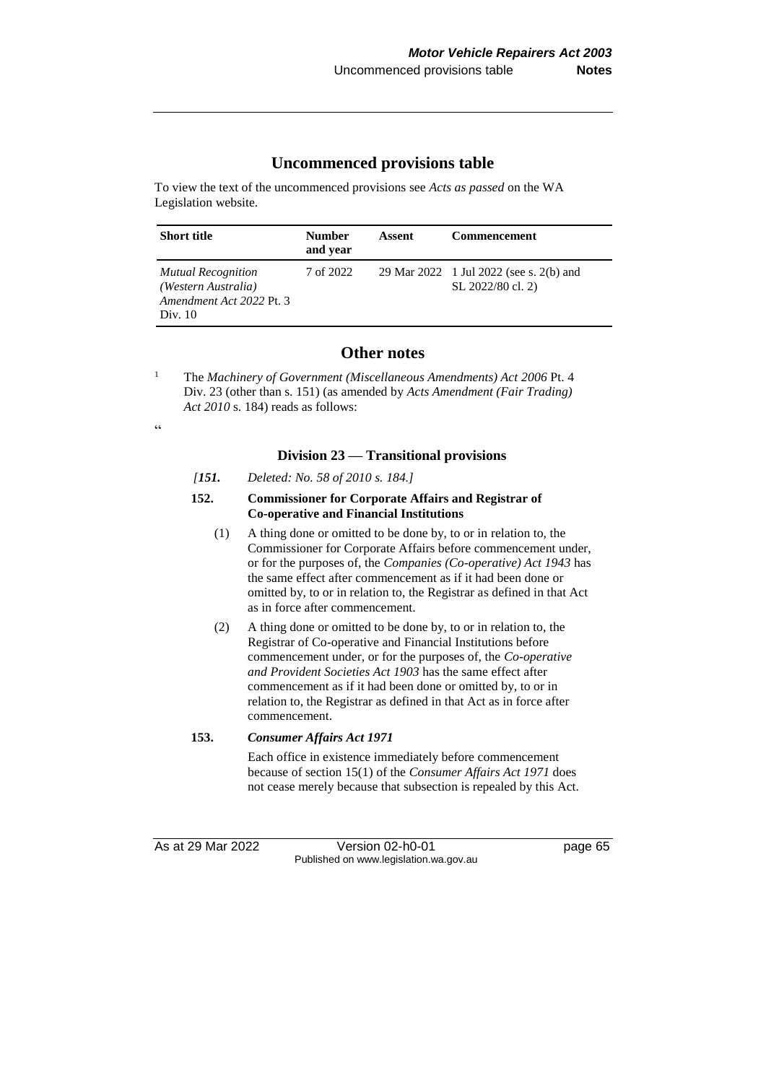### **Uncommenced provisions table**

To view the text of the uncommenced provisions see *Acts as passed* on the WA Legislation website.

| <b>Short title</b>                                                                        | <b>Number</b><br>and year | Assent | <b>Commencement</b>                                          |
|-------------------------------------------------------------------------------------------|---------------------------|--------|--------------------------------------------------------------|
| <b>Mutual Recognition</b><br>(Western Australia)<br>Amendment Act 2022 Pt. 3<br>Div. $10$ | 7 of 2022                 |        | 29 Mar 2022 1 Jul 2022 (see s. 2(b) and<br>SL 2022/80 cl. 2) |

## **Other notes**

<sup>1</sup> The *Machinery of Government (Miscellaneous Amendments) Act 2006* Pt. 4 Div. 23 (other than s. 151) (as amended by *Acts Amendment (Fair Trading) Act 2010* s. 184) reads as follows:

 $\zeta\,\zeta$ 

#### **Division 23 — Transitional provisions**

*[151. Deleted: No. 58 of 2010 s. 184.]*

#### **152. Commissioner for Corporate Affairs and Registrar of Co-operative and Financial Institutions**

- (1) A thing done or omitted to be done by, to or in relation to, the Commissioner for Corporate Affairs before commencement under, or for the purposes of, the *Companies (Co-operative) Act 1943* has the same effect after commencement as if it had been done or omitted by, to or in relation to, the Registrar as defined in that Act as in force after commencement.
- (2) A thing done or omitted to be done by, to or in relation to, the Registrar of Co-operative and Financial Institutions before commencement under, or for the purposes of, the *Co-operative and Provident Societies Act 1903* has the same effect after commencement as if it had been done or omitted by, to or in relation to, the Registrar as defined in that Act as in force after commencement.

#### **153.** *Consumer Affairs Act 1971*

Each office in existence immediately before commencement because of section 15(1) of the *Consumer Affairs Act 1971* does not cease merely because that subsection is repealed by this Act.

As at 29 Mar 2022 Version 02-h0-01 page 65 Published on www.legislation.wa.gov.au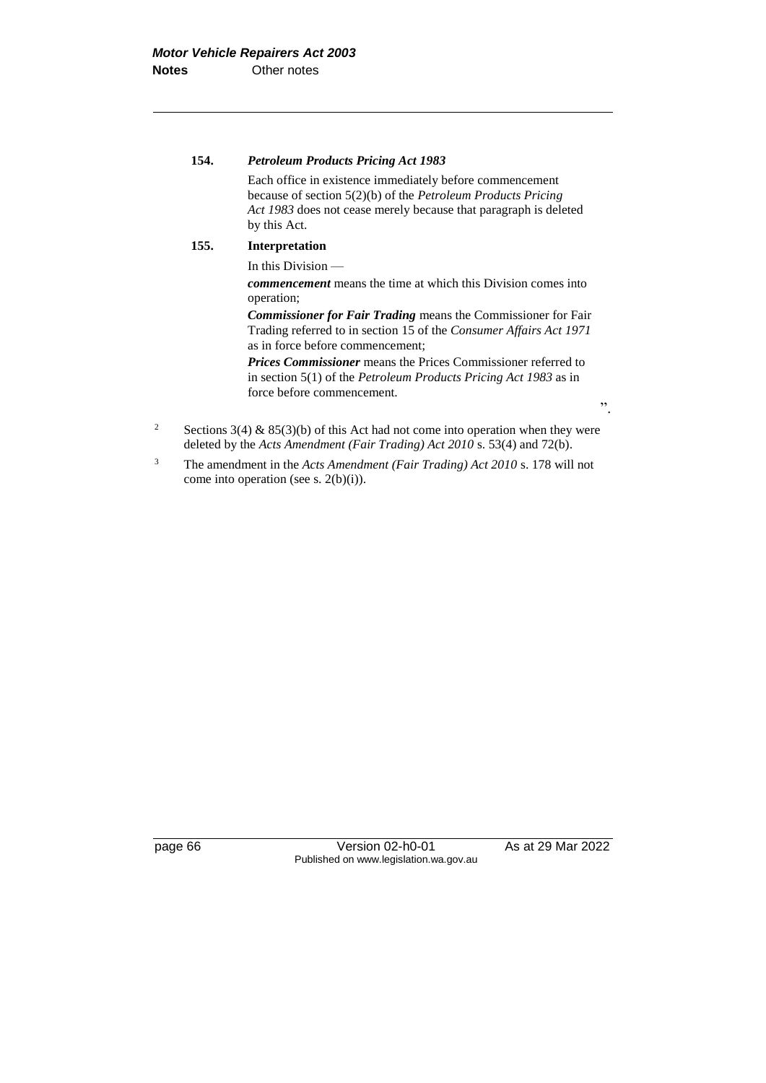#### **154.** *Petroleum Products Pricing Act 1983*

Each office in existence immediately before commencement because of section 5(2)(b) of the *Petroleum Products Pricing Act 1983* does not cease merely because that paragraph is deleted by this Act.

#### **155. Interpretation**

In this Division —

*commencement* means the time at which this Division comes into operation;

*Commissioner for Fair Trading* means the Commissioner for Fair Trading referred to in section 15 of the *Consumer Affairs Act 1971* as in force before commencement;

*Prices Commissioner* means the Prices Commissioner referred to in section 5(1) of the *Petroleum Products Pricing Act 1983* as in force before commencement.

- <sup>2</sup> Sections 3(4) & 85(3)(b) of this Act had not come into operation when they were deleted by the *Acts Amendment (Fair Trading) Act 2010* s. 53(4) and 72(b).
- <sup>3</sup> The amendment in the *Acts Amendment (Fair Trading) Act 2010* s. 178 will not come into operation (see s. 2(b)(i)).

page 66 **Version 02-h0-01** As at 29 Mar 2022 Published on www.legislation.wa.gov.au

".